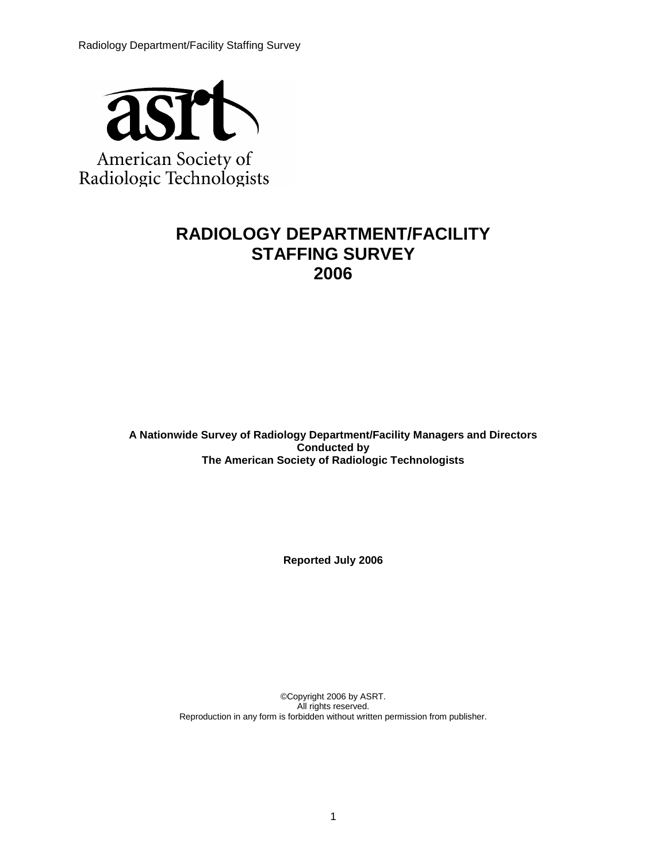

American Society of Radiologic Technologists

# **RADIOLOGY DEPARTMENT/FACILITY STAFFING SURVEY 2006**

**A Nationwide Survey of Radiology Department/Facility Managers and Directors Conducted by The American Society of Radiologic Technologists**

**Reported July 2006**

<span id="page-0-0"></span>©Copyright 2006 by ASRT. All rights reserved. Reproduction in any form is forbidden without written permission from publisher.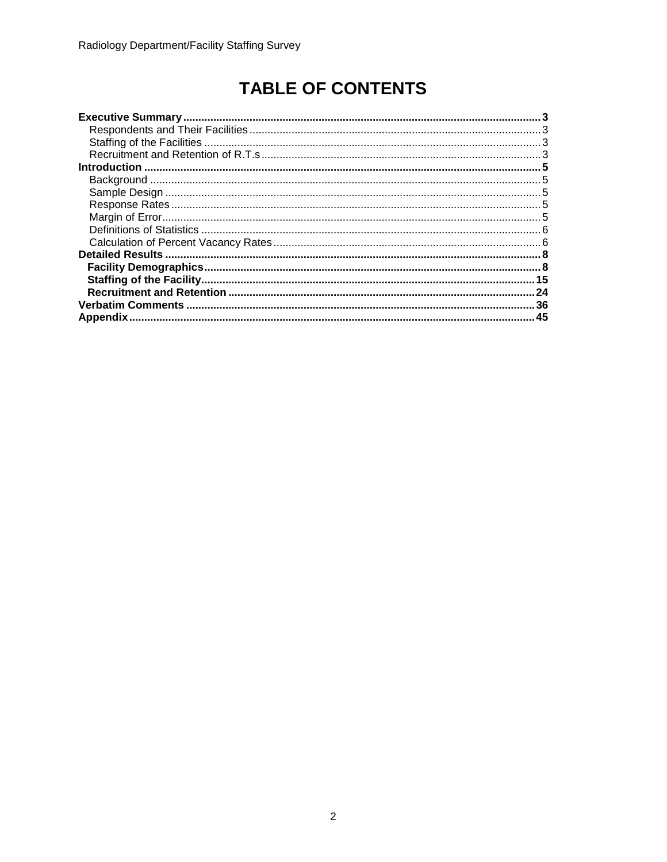# **TABLE OF CONTENTS**

| Introduction |  |
|--------------|--|
|              |  |
|              |  |
|              |  |
|              |  |
|              |  |
|              |  |
|              |  |
|              |  |
|              |  |
| .24          |  |
| 36           |  |
| 45           |  |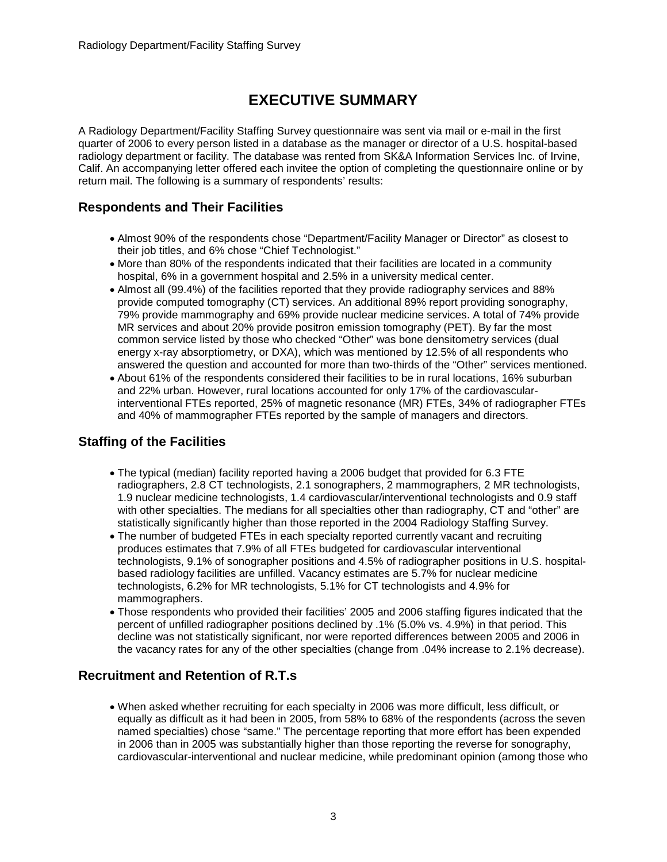# **EXECUTIVE SUMMARY**

<span id="page-2-0"></span>A Radiology Department/Facility Staffing Survey questionnaire was sent via mail or e-mail in the first quarter of 2006 to every person listed in a database as the manager or director of a U.S. hospital-based radiology department or facility. The database was rented from SK&A Information Services Inc. of Irvine, Calif. An accompanying letter offered each invitee the option of completing the questionnaire online or by return mail. The following is a summary of respondents' results:

# <span id="page-2-1"></span>**Respondents and Their Facilities**

- Almost 90% of the respondents chose "Department/Facility Manager or Director" as closest to their job titles, and 6% chose "Chief Technologist."
- More than 80% of the respondents indicated that their facilities are located in a community hospital, 6% in a government hospital and 2.5% in a university medical center.
- Almost all (99.4%) of the facilities reported that they provide radiography services and 88% provide computed tomography (CT) services. An additional 89% report providing sonography, 79% provide mammography and 69% provide nuclear medicine services. A total of 74% provide MR services and about 20% provide positron emission tomography (PET). By far the most common service listed by those who checked "Other" was bone densitometry services (dual energy x-ray absorptiometry, or DXA), which was mentioned by 12.5% of all respondents who answered the question and accounted for more than two-thirds of the "Other" services mentioned.
- About 61% of the respondents considered their facilities to be in rural locations, 16% suburban and 22% urban. However, rural locations accounted for only 17% of the cardiovascularinterventional FTEs reported, 25% of magnetic resonance (MR) FTEs, 34% of radiographer FTEs and 40% of mammographer FTEs reported by the sample of managers and directors.

# <span id="page-2-2"></span>**Staffing of the Facilities**

- The typical (median) facility reported having a 2006 budget that provided for 6.3 FTE radiographers, 2.8 CT technologists, 2.1 sonographers, 2 mammographers, 2 MR technologists, 1.9 nuclear medicine technologists, 1.4 cardiovascular/interventional technologists and 0.9 staff with other specialties. The medians for all specialties other than radiography, CT and "other" are statistically significantly higher than those reported in the 2004 Radiology Staffing Survey.
- The number of budgeted FTEs in each specialty reported currently vacant and recruiting produces estimates that 7.9% of all FTEs budgeted for cardiovascular interventional technologists, 9.1% of sonographer positions and 4.5% of radiographer positions in U.S. hospitalbased radiology facilities are unfilled. Vacancy estimates are 5.7% for nuclear medicine technologists, 6.2% for MR technologists, 5.1% for CT technologists and 4.9% for mammographers.
- Those respondents who provided their facilities' 2005 and 2006 staffing figures indicated that the percent of unfilled radiographer positions declined by .1% (5.0% vs. 4.9%) in that period. This decline was not statistically significant, nor were reported differences between 2005 and 2006 in the vacancy rates for any of the other specialties (change from .04% increase to 2.1% decrease).

### <span id="page-2-3"></span>**Recruitment and Retention of R.T.s**

• When asked whether recruiting for each specialty in 2006 was more difficult, less difficult, or equally as difficult as it had been in 2005, from 58% to 68% of the respondents (across the seven named specialties) chose "same." The percentage reporting that more effort has been expended in 2006 than in 2005 was substantially higher than those reporting the reverse for sonography, cardiovascular-interventional and nuclear medicine, while predominant opinion (among those who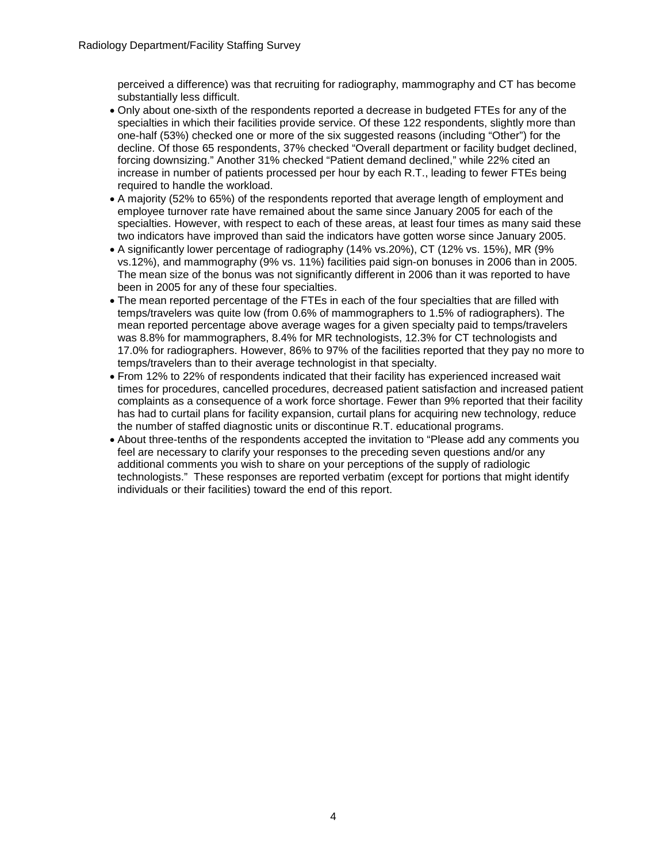perceived a difference) was that recruiting for radiography, mammography and CT has become substantially less difficult.

- Only about one-sixth of the respondents reported a decrease in budgeted FTEs for any of the specialties in which their facilities provide service. Of these 122 respondents, slightly more than one-half (53%) checked one or more of the six suggested reasons (including "Other") for the decline. Of those 65 respondents, 37% checked "Overall department or facility budget declined, forcing downsizing." Another 31% checked "Patient demand declined," while 22% cited an increase in number of patients processed per hour by each R.T., leading to fewer FTEs being required to handle the workload.
- A majority (52% to 65%) of the respondents reported that average length of employment and employee turnover rate have remained about the same since January 2005 for each of the specialties. However, with respect to each of these areas, at least four times as many said these two indicators have improved than said the indicators have gotten worse since January 2005.
- A significantly lower percentage of radiography (14% vs.20%), CT (12% vs. 15%), MR (9% vs.12%), and mammography (9% vs. 11%) facilities paid sign-on bonuses in 2006 than in 2005. The mean size of the bonus was not significantly different in 2006 than it was reported to have been in 2005 for any of these four specialties.
- The mean reported percentage of the FTEs in each of the four specialties that are filled with temps/travelers was quite low (from 0.6% of mammographers to 1.5% of radiographers). The mean reported percentage above average wages for a given specialty paid to temps/travelers was 8.8% for mammographers, 8.4% for MR technologists, 12.3% for CT technologists and 17.0% for radiographers. However, 86% to 97% of the facilities reported that they pay no more to temps/travelers than to their average technologist in that specialty.
- From 12% to 22% of respondents indicated that their facility has experienced increased wait times for procedures, cancelled procedures, decreased patient satisfaction and increased patient complaints as a consequence of a work force shortage. Fewer than 9% reported that their facility has had to curtail plans for facility expansion, curtail plans for acquiring new technology, reduce the number of staffed diagnostic units or discontinue R.T. educational programs.
- About three-tenths of the respondents accepted the invitation to "Please add any comments you feel are necessary to clarify your responses to the preceding seven questions and/or any additional comments you wish to share on your perceptions of the supply of radiologic technologists." These responses are reported verbatim (except for portions that might identify individuals or their facilities) toward the end of this report.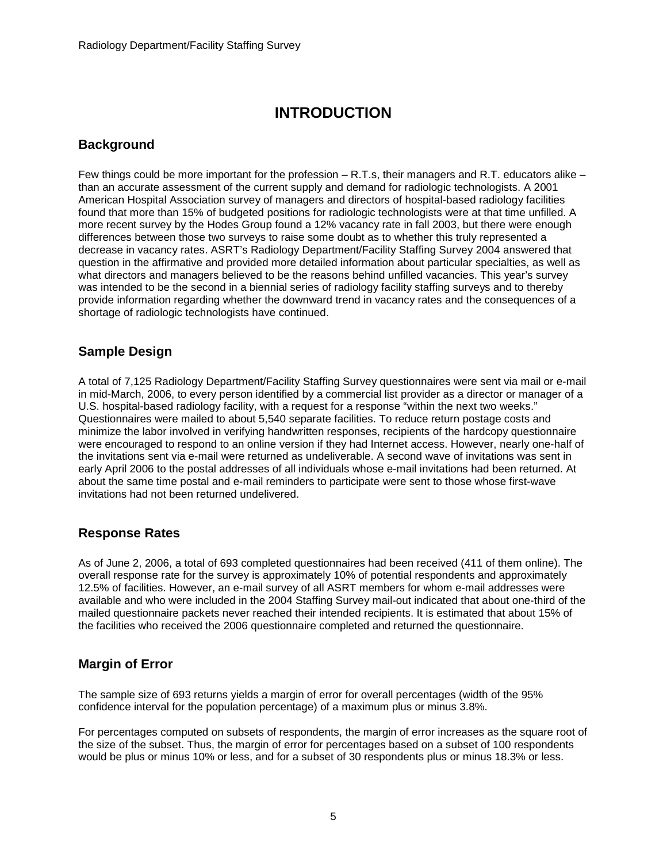# **INTRODUCTION**

### <span id="page-4-1"></span><span id="page-4-0"></span>**Background**

Few things could be more important for the profession – R.T.s, their managers and R.T. educators alike – than an accurate assessment of the current supply and demand for radiologic technologists. A 2001 American Hospital Association survey of managers and directors of hospital-based radiology facilities found that more than 15% of budgeted positions for radiologic technologists were at that time unfilled. A more recent survey by the Hodes Group found a 12% vacancy rate in fall 2003, but there were enough differences between those two surveys to raise some doubt as to whether this truly represented a decrease in vacancy rates. ASRT's Radiology Department/Facility Staffing Survey 2004 answered that question in the affirmative and provided more detailed information about particular specialties, as well as what directors and managers believed to be the reasons behind unfilled vacancies. This year's survey was intended to be the second in a biennial series of radiology facility staffing surveys and to thereby provide information regarding whether the downward trend in vacancy rates and the consequences of a shortage of radiologic technologists have continued.

### <span id="page-4-2"></span>**Sample Design**

A total of 7,125 Radiology Department/Facility Staffing Survey questionnaires were sent via mail or e-mail in mid-March, 2006, to every person identified by a commercial list provider as a director or manager of a U.S. hospital-based radiology facility, with a request for a response "within the next two weeks." Questionnaires were mailed to about 5,540 separate facilities. To reduce return postage costs and minimize the labor involved in verifying handwritten responses, recipients of the hardcopy questionnaire were encouraged to respond to an online version if they had Internet access. However, nearly one-half of the invitations sent via e-mail were returned as undeliverable. A second wave of invitations was sent in early April 2006 to the postal addresses of all individuals whose e-mail invitations had been returned. At about the same time postal and e-mail reminders to participate were sent to those whose first-wave invitations had not been returned undelivered.

### <span id="page-4-3"></span>**Response Rates**

As of June 2, 2006, a total of 693 completed questionnaires had been received (411 of them online). The overall response rate for the survey is approximately 10% of potential respondents and approximately 12.5% of facilities. However, an e-mail survey of all ASRT members for whom e-mail addresses were available and who were included in the 2004 Staffing Survey mail-out indicated that about one-third of the mailed questionnaire packets never reached their intended recipients. It is estimated that about 15% of the facilities who received the 2006 questionnaire completed and returned the questionnaire.

### <span id="page-4-4"></span>**Margin of Error**

The sample size of 693 returns yields a margin of error for overall percentages (width of the 95% confidence interval for the population percentage) of a maximum plus or minus 3.8%.

For percentages computed on subsets of respondents, the margin of error increases as the square root of the size of the subset. Thus, the margin of error for percentages based on a subset of 100 respondents would be plus or minus 10% or less, and for a subset of 30 respondents plus or minus 18.3% or less.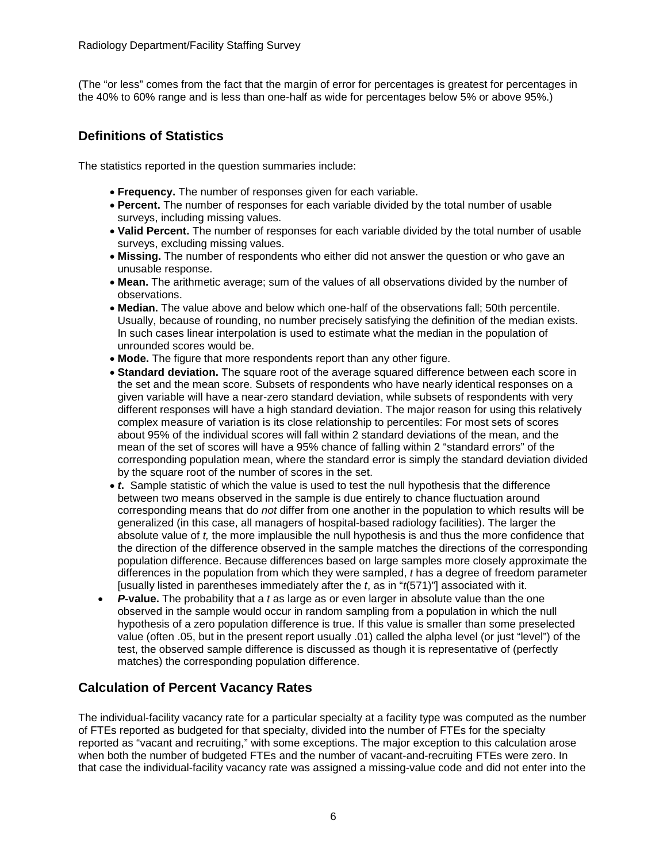(The "or less" comes from the fact that the margin of error for percentages is greatest for percentages in the 40% to 60% range and is less than one-half as wide for percentages below 5% or above 95%.)

## <span id="page-5-0"></span>**Definitions of Statistics**

The statistics reported in the question summaries include:

- **Frequency.** The number of responses given for each variable.
- **Percent.** The number of responses for each variable divided by the total number of usable surveys, including missing values.
- **Valid Percent.** The number of responses for each variable divided by the total number of usable surveys, excluding missing values.
- **Missing.** The number of respondents who either did not answer the question or who gave an unusable response.
- **Mean.** The arithmetic average; sum of the values of all observations divided by the number of observations.
- **Median.** The value above and below which one-half of the observations fall; 50th percentile. Usually, because of rounding, no number precisely satisfying the definition of the median exists. In such cases linear interpolation is used to estimate what the median in the population of unrounded scores would be.
- **Mode.** The figure that more respondents report than any other figure.
- **Standard deviation.** The square root of the average squared difference between each score in the set and the mean score. Subsets of respondents who have nearly identical responses on a given variable will have a near-zero standard deviation, while subsets of respondents with very different responses will have a high standard deviation. The major reason for using this relatively complex measure of variation is its close relationship to percentiles: For most sets of scores about 95% of the individual scores will fall within 2 standard deviations of the mean, and the mean of the set of scores will have a 95% chance of falling within 2 "standard errors" of the corresponding population mean, where the standard error is simply the standard deviation divided by the square root of the number of scores in the set.
- *t***.** Sample statistic of which the value is used to test the null hypothesis that the difference between two means observed in the sample is due entirely to chance fluctuation around corresponding means that do *not* differ from one another in the population to which results will be generalized (in this case, all managers of hospital-based radiology facilities). The larger the absolute value of *t,* the more implausible the null hypothesis is and thus the more confidence that the direction of the difference observed in the sample matches the directions of the corresponding population difference. Because differences based on large samples more closely approximate the differences in the population from which they were sampled, *t* has a degree of freedom parameter [usually listed in parentheses immediately after the *t*, as in "*t*(571)"] associated with it.
- *P***-value.** The probability that a *t* as large as or even larger in absolute value than the one observed in the sample would occur in random sampling from a population in which the null hypothesis of a zero population difference is true. If this value is smaller than some preselected value (often .05, but in the present report usually .01) called the alpha level (or just "level") of the test, the observed sample difference is discussed as though it is representative of (perfectly matches) the corresponding population difference.

# <span id="page-5-1"></span>**Calculation of Percent Vacancy Rates**

The individual-facility vacancy rate for a particular specialty at a facility type was computed as the number of FTEs reported as budgeted for that specialty, divided into the number of FTEs for the specialty reported as "vacant and recruiting," with some exceptions. The major exception to this calculation arose when both the number of budgeted FTEs and the number of vacant-and-recruiting FTEs were zero. In that case the individual-facility vacancy rate was assigned a missing-value code and did not enter into the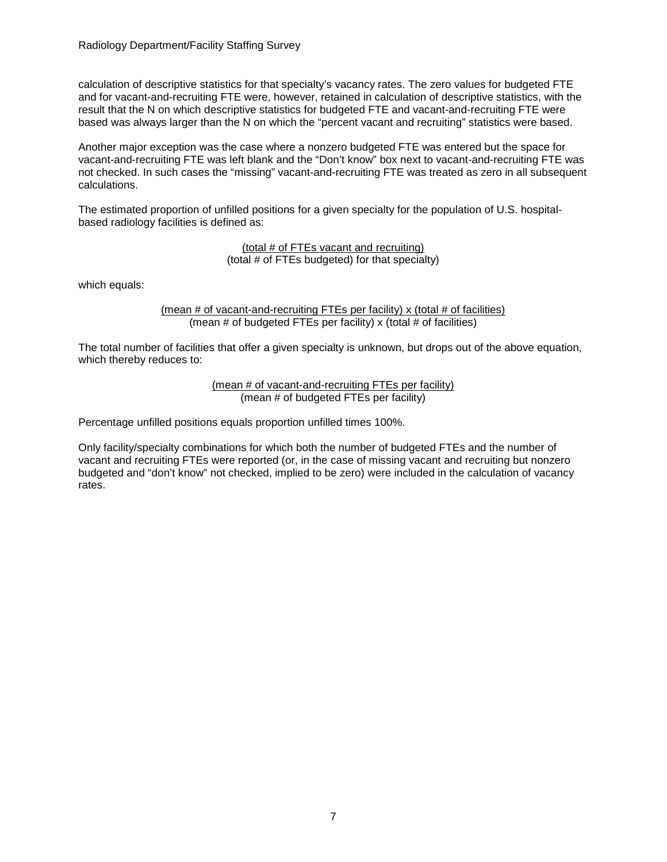calculation of descriptive statistics for that specialty's vacancy rates. The zero values for budgeted FTE and for vacant-and-recruiting FTE were, however, retained in calculation of descriptive statistics, with the result that the N on which descriptive statistics for budgeted FTE and vacant-and-recruiting FTE were based was always larger than the N on which the "percent vacant and recruiting" statistics were based.

Another major exception was the case where a nonzero budgeted FTE was entered but the space for vacant-and-recruiting FTE was left blank and the "Don't know" box next to vacant-and-recruiting FTE was not checked. In such cases the "missing" vacant-and-recruiting FTE was treated as zero in all subsequent calculations.

The estimated proportion of unfilled positions for a given specialty for the population of U.S. hospitalbased radiology facilities is defined as:

> (total # of FTEs vacant and recruiting) (total # of FTEs budgeted) for that specialty)

which equals:

(mean  $#$  of vacant-and-recruiting FTEs per facility) x (total  $#$  of facilities) (mean  $#$  of budgeted FTEs per facility) x (total  $#$  of facilities)

The total number of facilities that offer a given specialty is unknown, but drops out of the above equation, which thereby reduces to:

> (mean # of vacant-and-recruiting FTEs per facility) (mean # of budgeted FTEs per facility)

Percentage unfilled positions equals proportion unfilled times 100%.

Only facility/specialty combinations for which both the number of budgeted FTEs and the number of vacant and recruiting FTEs were reported (or, in the case of missing vacant and recruiting but nonzero budgeted and "don't know" not checked, implied to be zero) were included in the calculation of vacancy rates.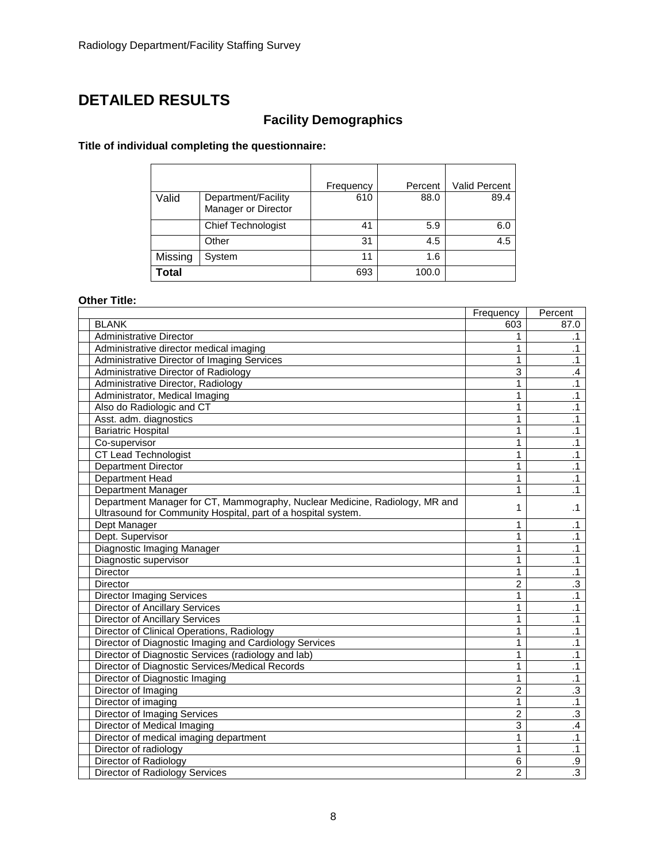# <span id="page-7-0"></span>**DETAILED RESULTS**

# **Facility Demographics**

# **Title of individual completing the questionnaire:**

|         |                                            | Frequency | Percent | <b>Valid Percent</b> |
|---------|--------------------------------------------|-----------|---------|----------------------|
| Valid   | Department/Facility<br>Manager or Director | 610       | 88.0    | 89.4                 |
|         | <b>Chief Technologist</b>                  | 41        | 5.9     | 6.0                  |
|         | Other                                      | 31        | 4.5     | 4.5                  |
| Missing | System                                     | 11        | 1.6     |                      |
| Total   |                                            | 693       | 100.0   |                      |

### **Other Title:**

|                                                                             | Frequency      | Percent         |
|-----------------------------------------------------------------------------|----------------|-----------------|
| <b>BLANK</b>                                                                | 603            | 87.0            |
| <b>Administrative Director</b>                                              | 1              | $\cdot$ 1       |
| Administrative director medical imaging                                     |                | $\cdot$ 1       |
| Administrative Director of Imaging Services                                 | 1              | $\cdot$ 1       |
| Administrative Director of Radiology                                        | 3              | $\mathbf{.4}$   |
| Administrative Director, Radiology                                          | 1              | $\cdot$ 1       |
| Administrator, Medical Imaging                                              | 1              | $\cdot$ 1       |
| Also do Radiologic and CT                                                   | 1              | $\cdot$ 1       |
| Asst. adm. diagnostics                                                      | 1              | $\cdot$ 1       |
| <b>Bariatric Hospital</b>                                                   | 1              | $\cdot$ 1       |
| Co-supervisor                                                               | 1              | $\cdot$ 1       |
| CT Lead Technologist                                                        | 1              | $\cdot$ 1       |
| <b>Department Director</b>                                                  | 1              | $\overline{.1}$ |
| Department Head                                                             | 1              | $\cdot$ 1       |
| Department Manager                                                          | 1              | $\cdot$ 1       |
| Department Manager for CT, Mammography, Nuclear Medicine, Radiology, MR and | 1              | $\cdot$ 1       |
| Ultrasound for Community Hospital, part of a hospital system.               |                |                 |
| Dept Manager                                                                | 1              | $\cdot$ 1       |
| Dept. Supervisor                                                            | 1              | $\cdot$ 1       |
| Diagnostic Imaging Manager                                                  | 1              | $\cdot$ 1       |
| Diagnostic supervisor                                                       | 1              | $\cdot$ 1       |
| <b>Director</b>                                                             | 1              | $\cdot$ 1       |
| <b>Director</b>                                                             | 2              | $\cdot$ 3       |
| <b>Director Imaging Services</b>                                            | 1              | $\cdot$ 1       |
| <b>Director of Ancillary Services</b>                                       | 1              | $\cdot$ 1       |
| <b>Director of Ancillary Services</b>                                       | 1              | $\cdot$ 1       |
| Director of Clinical Operations, Radiology                                  | 1              | $\overline{.1}$ |
| Director of Diagnostic Imaging and Cardiology Services                      | 1              | $\cdot$ 1       |
| Director of Diagnostic Services (radiology and lab)                         | 1              | $\overline{.1}$ |
| Director of Diagnostic Services/Medical Records                             | 1              | $\cdot$ 1       |
| Director of Diagnostic Imaging                                              | 1              | $\cdot$ 1       |
| Director of Imaging                                                         | 2              | $\cdot$ 3       |
| Director of imaging                                                         | 1              | $\cdot$ 1       |
| Director of Imaging Services                                                | $\overline{2}$ | $\overline{3}$  |
| Director of Medical Imaging                                                 | 3              | $\mathcal{A}$   |
| Director of medical imaging department                                      | 1              | $\overline{.1}$ |
| Director of radiology                                                       | 1              | $\cdot$ 1       |
| Director of Radiology                                                       | 6              | .9              |
| Director of Radiology Services                                              | 2              | .3              |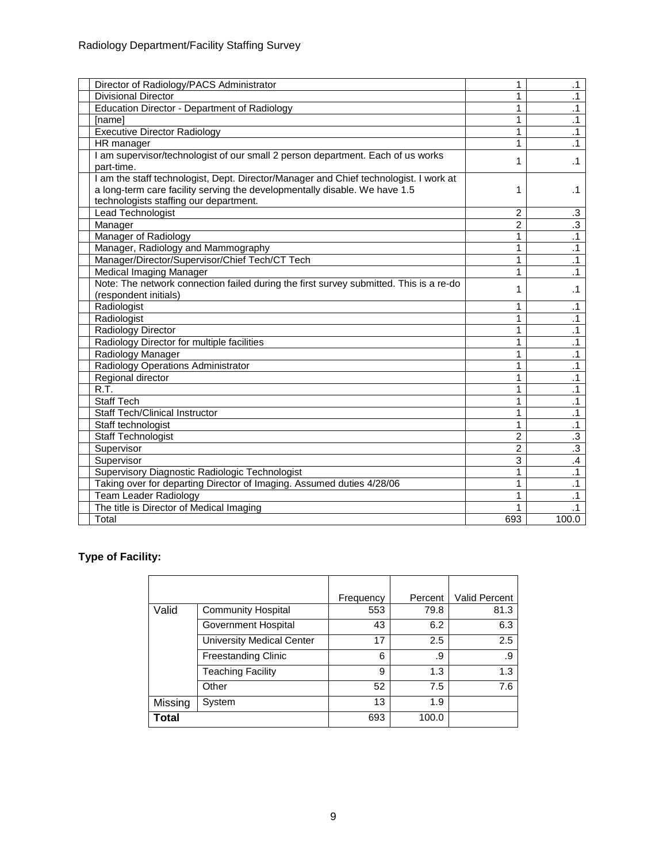| Director of Radiology/PACS Administrator                                                                                                                                                                      | 1              | $\cdot$ 1      |
|---------------------------------------------------------------------------------------------------------------------------------------------------------------------------------------------------------------|----------------|----------------|
| <b>Divisional Director</b>                                                                                                                                                                                    |                | $\cdot$ 1      |
| Education Director - Department of Radiology                                                                                                                                                                  | 1              | $\cdot$ 1      |
| [name]                                                                                                                                                                                                        | 1              | $\cdot$ 1      |
| <b>Executive Director Radiology</b>                                                                                                                                                                           | 1              | $\cdot$ 1      |
| HR manager                                                                                                                                                                                                    | 1              | $\cdot$ 1      |
| I am supervisor/technologist of our small 2 person department. Each of us works<br>part-time.                                                                                                                 | 1              | $\cdot$ 1      |
| I am the staff technologist, Dept. Director/Manager and Chief technologist. I work at<br>a long-term care facility serving the developmentally disable. We have 1.5<br>technologists staffing our department. | 1              | .1             |
| Lead Technologist                                                                                                                                                                                             | $\overline{2}$ | $\cdot$ 3      |
| Manager                                                                                                                                                                                                       | 2              | .3             |
| Manager of Radiology                                                                                                                                                                                          | 1              | $\cdot$ 1      |
| Manager, Radiology and Mammography                                                                                                                                                                            | 1              | $\cdot$ 1      |
| Manager/Director/Supervisor/Chief Tech/CT Tech                                                                                                                                                                | 1              | $\cdot$ 1      |
| Medical Imaging Manager                                                                                                                                                                                       | 1              | $\cdot$ 1      |
| Note: The network connection failed during the first survey submitted. This is a re-do<br>(respondent initials)                                                                                               | 1              | $\cdot$ 1      |
| Radiologist                                                                                                                                                                                                   | 1              | $\cdot$ 1      |
| Radiologist                                                                                                                                                                                                   | 1              | $\cdot$ 1      |
| Radiology Director                                                                                                                                                                                            | 1              | $\cdot$ 1      |
| Radiology Director for multiple facilities                                                                                                                                                                    | 1              | $\cdot$ 1      |
| Radiology Manager                                                                                                                                                                                             | 1              | $\cdot$ 1      |
| Radiology Operations Administrator                                                                                                                                                                            | 1              | $\cdot$ 1      |
| Regional director                                                                                                                                                                                             | 1              | $\cdot$ 1      |
| R.T.                                                                                                                                                                                                          | 1              | $\cdot$ 1      |
| <b>Staff Tech</b>                                                                                                                                                                                             | 1              | $\cdot$ 1      |
| <b>Staff Tech/Clinical Instructor</b>                                                                                                                                                                         | 1              | $\cdot$ 1      |
| Staff technologist                                                                                                                                                                                            | 1              | $\cdot$ 1      |
| <b>Staff Technologist</b>                                                                                                                                                                                     | $\overline{2}$ | $\overline{3}$ |
| Supervisor                                                                                                                                                                                                    | $\overline{2}$ | $\cdot$ 3      |
| Supervisor                                                                                                                                                                                                    | 3              | $\cdot$        |
| Supervisory Diagnostic Radiologic Technologist                                                                                                                                                                | 1              | $\cdot$ 1      |
| Taking over for departing Director of Imaging. Assumed duties 4/28/06                                                                                                                                         | 1              | $\cdot$ 1      |
| <b>Team Leader Radiology</b>                                                                                                                                                                                  | 1              | $\cdot$ 1      |
| The title is Director of Medical Imaging                                                                                                                                                                      | 1              | $\cdot$ 1      |
| Total                                                                                                                                                                                                         | 693            | 100.0          |

# **Type of Facility:**

|         |                                  | Frequency | Percent | <b>Valid Percent</b> |
|---------|----------------------------------|-----------|---------|----------------------|
| Valid   | <b>Community Hospital</b>        | 553       | 79.8    | 81.3                 |
|         | <b>Government Hospital</b>       | 43        | 6.2     | 6.3                  |
|         | <b>University Medical Center</b> | 17        | 2.5     | 2.5                  |
|         | <b>Freestanding Clinic</b>       | 6         | .9      | .9                   |
|         | <b>Teaching Facility</b>         | 9         | 1.3     | 1.3                  |
|         | Other                            | 52        | 7.5     | 7.6                  |
| Missing | System                           | 13        | 1.9     |                      |
| Total   |                                  | 693       | 100.0   |                      |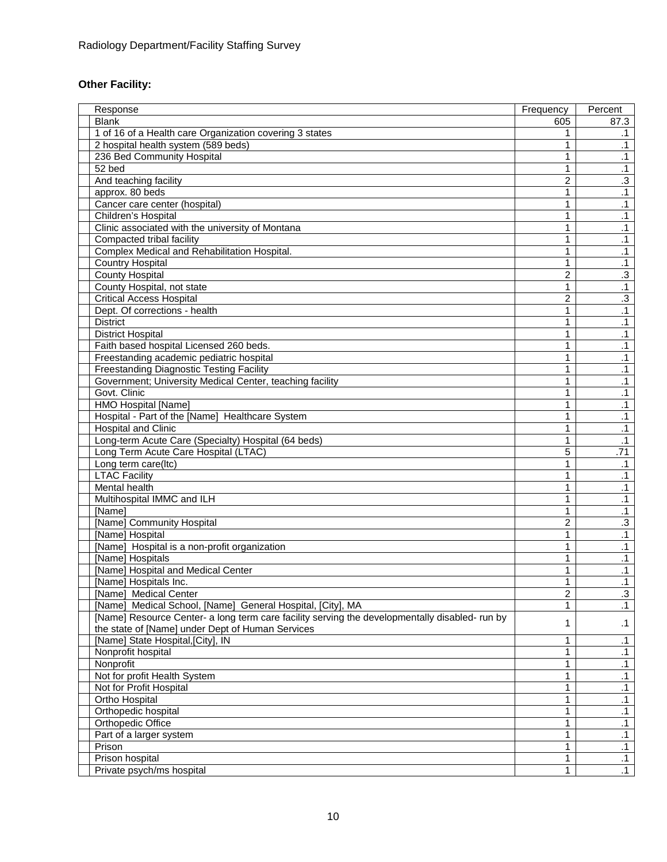# **Other Facility:**

| Response                                                                                       | Frequency         | Percent         |
|------------------------------------------------------------------------------------------------|-------------------|-----------------|
| <b>Blank</b>                                                                                   | 605               | 87.3            |
| 1 of 16 of a Health care Organization covering 3 states                                        | 1                 | $\cdot$ 1       |
| 2 hospital health system (589 beds)                                                            | 1                 | $\cdot$ 1       |
| 236 Bed Community Hospital                                                                     | 1                 | $\cdot$ 1       |
| 52 bed                                                                                         | 1                 | $\cdot$ 1       |
| And teaching facility                                                                          | $\overline{2}$    | $\overline{.3}$ |
| approx. 80 beds                                                                                | 1                 | $\cdot$ 1       |
| Cancer care center (hospital)                                                                  | $\mathbf{1}$      | $\cdot$ 1       |
| Children's Hospital                                                                            | 1                 | $\cdot$ 1       |
| Clinic associated with the university of Montana                                               | 1                 | $\overline{.1}$ |
| Compacted tribal facility                                                                      | 1                 | $\overline{.1}$ |
| Complex Medical and Rehabilitation Hospital.                                                   | 1                 | $\cdot$ 1       |
| <b>Country Hospital</b>                                                                        | 1                 | $\overline{.1}$ |
| <b>County Hospital</b>                                                                         | 2                 | $\overline{3}$  |
| County Hospital, not state                                                                     | 1                 | $\overline{.1}$ |
| <b>Critical Access Hospital</b>                                                                | $\overline{2}$    | $\overline{.3}$ |
| Dept. Of corrections - health                                                                  | 1                 | $\overline{.1}$ |
| <b>District</b>                                                                                | 1                 | $\cdot$ 1       |
| <b>District Hospital</b>                                                                       | 1                 | $\cdot$ 1       |
| Faith based hospital Licensed 260 beds.                                                        | $\mathbf{1}$      | $\cdot$ 1       |
| Freestanding academic pediatric hospital                                                       | 1                 | $\overline{.1}$ |
| <b>Freestanding Diagnostic Testing Facility</b>                                                | 1                 | $\overline{.1}$ |
| Government; University Medical Center, teaching facility                                       | 1                 | $\cdot$ 1       |
| Govt. Clinic                                                                                   | 1                 | $\cdot$ 1       |
| HMO Hospital [Name]                                                                            | 1                 | $\cdot$ 1       |
| Hospital - Part of the [Name] Healthcare System                                                | 1                 | $\overline{.1}$ |
| Hospital and Clinic                                                                            | 1                 | $\overline{.1}$ |
| Long-term Acute Care (Specialty) Hospital (64 beds)                                            | 1                 | $\cdot$ 1       |
| Long Term Acute Care Hospital (LTAC)                                                           | 5                 | .71             |
| Long term care(Itc)                                                                            | 1                 | $\cdot$ 1       |
| <b>LTAC Facility</b>                                                                           | 1                 | $\cdot$ 1       |
| Mental health                                                                                  | 1                 | $\overline{.1}$ |
| Multihospital IMMC and ILH                                                                     | 1                 | $\cdot$ 1       |
| [Name]                                                                                         | 1                 | $\overline{.1}$ |
| [Name] Community Hospital                                                                      | 2                 | $\overline{3}$  |
| [Name] Hospital                                                                                | 1                 | $\cdot$ 1       |
| [Name] Hospital is a non-profit organization                                                   | 1                 | $\cdot$ 1       |
| [Name] Hospitals                                                                               | 1                 | $\cdot$ 1       |
| [Name] Hospital and Medical Center                                                             | 1                 | $\cdot$ 1       |
| [Name] Hospitals Inc.                                                                          | 1                 | $\overline{.1}$ |
| [Name] Medical Center                                                                          |                   | $\cdot$ 3       |
| [Name] Medical School, [Name] General Hospital, [City], MA                                     | 2<br>$\mathbf{1}$ | $\overline{.1}$ |
| [Name] Resource Center- a long term care facility serving the developmentally disabled- run by |                   |                 |
| the state of [Name] under Dept of Human Services                                               | 1                 | $\cdot$ 1       |
| [Name] State Hospital, [City], IN                                                              | 1                 | $\cdot$ 1       |
| Nonprofit hospital                                                                             | 1                 | $\cdot$ 1       |
| Nonprofit                                                                                      | 1                 | $\cdot$ 1       |
|                                                                                                | 1                 |                 |
| Not for profit Health System<br>Not for Profit Hospital                                        | 1                 | $\cdot$ 1       |
|                                                                                                |                   | $\cdot$ 1       |
| Ortho Hospital                                                                                 | 1                 | $\cdot$ 1       |
| Orthopedic hospital                                                                            | 1                 | $\cdot$ 1       |
| <b>Orthopedic Office</b>                                                                       | $\mathbf{1}$      | $\cdot$ 1       |
| Part of a larger system                                                                        | 1                 | $\cdot$ 1       |
| Prison                                                                                         | 1                 | $\cdot$ 1       |
| Prison hospital                                                                                | 1                 | $\cdot$ 1       |
| Private psych/ms hospital                                                                      | 1                 | .1              |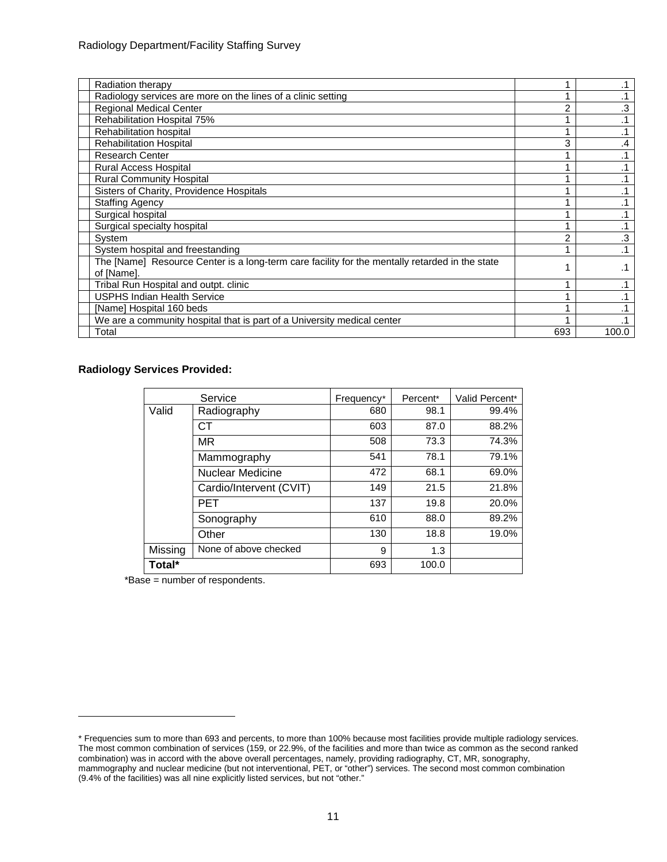| Radiation therapy                                                                                            |     |           |
|--------------------------------------------------------------------------------------------------------------|-----|-----------|
| Radiology services are more on the lines of a clinic setting                                                 |     |           |
| <b>Regional Medical Center</b>                                                                               | 2   | .3        |
| Rehabilitation Hospital 75%                                                                                  |     |           |
| Rehabilitation hospital                                                                                      |     |           |
| <b>Rehabilitation Hospital</b>                                                                               | 3   | .4        |
| <b>Research Center</b>                                                                                       |     |           |
| Rural Access Hospital                                                                                        |     | $\cdot$ 1 |
| <b>Rural Community Hospital</b>                                                                              |     |           |
| Sisters of Charity, Providence Hospitals                                                                     |     |           |
| <b>Staffing Agency</b>                                                                                       |     |           |
| Surgical hospital                                                                                            |     |           |
| Surgical specialty hospital                                                                                  |     | .1        |
| System                                                                                                       | 2   | .3        |
| System hospital and freestanding                                                                             |     | $\cdot$ 1 |
| The [Name] Resource Center is a long-term care facility for the mentally retarded in the state<br>of [Name]. |     | $\cdot$ 1 |
| Tribal Run Hospital and outpt. clinic                                                                        |     |           |
| <b>USPHS Indian Health Service</b>                                                                           |     |           |
| [Name] Hospital 160 beds                                                                                     |     |           |
| We are a community hospital that is part of a University medical center                                      |     |           |
| Total                                                                                                        | 693 | 100.0     |

#### **Radiology Services Provided:**

| Service |                         | Frequency* | Percent* | Valid Percent* |
|---------|-------------------------|------------|----------|----------------|
| Valid   | Radiography             |            | 98.1     | 99.4%          |
|         | CТ                      | 603        | 87.0     | 88.2%          |
|         | MR                      | 508        | 73.3     | 74.3%          |
|         | Mammography             | 541        | 78.1     | 79.1%          |
|         | Nuclear Medicine        | 472        | 68.1     | 69.0%          |
|         | Cardio/Intervent (CVIT) | 149        | 21.5     | 21.8%          |
|         | <b>PET</b>              | 137        | 19.8     | 20.0%          |
|         | Sonography              | 610        | 88.0     | 89.2%          |
|         | Other                   | 130        | 18.8     | 19.0%          |
| Missing | None of above checked   | 9          | 1.3      |                |
| Total*  |                         | 693        | 100.0    |                |

\*Base = number of respondents.

-

<span id="page-10-0"></span><sup>\*</sup> Frequencies sum to more than 693 and percents, to more than 100% because most facilities provide multiple radiology services. The most common combination of services (159, or 22.9%, of the facilities and more than twice as common as the second ranked combination) was in accord with the above overall percentages, namely, providing radiography, CT, MR, sonography, mammography and nuclear medicine (but not interventional, PET, or "other") services. The second most common combination (9.4% of the facilities) was all nine explicitly listed services, but not "other."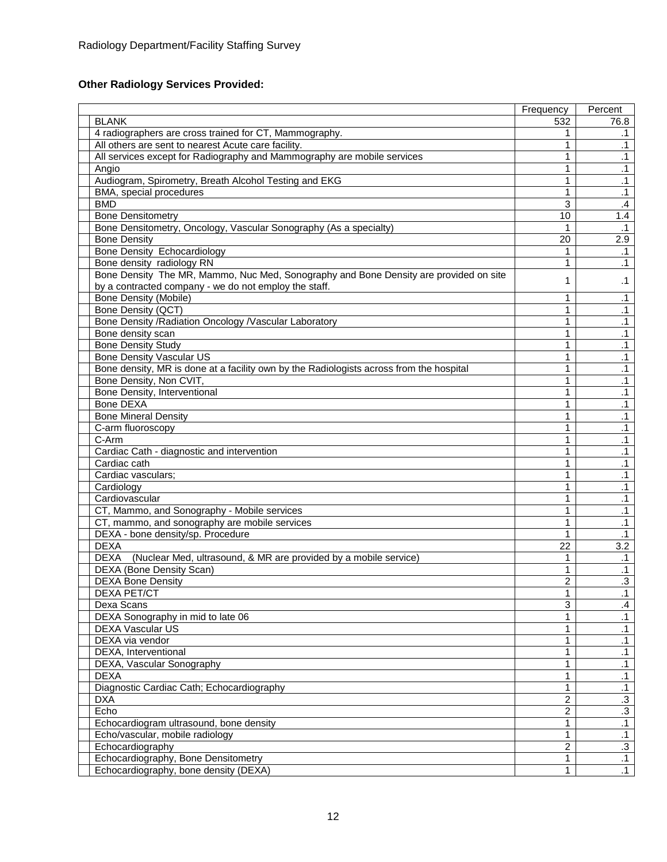# **Other Radiology Services Provided:**

| <b>BLANK</b><br>532<br>76.8<br>4 radiographers are cross trained for CT, Mammography.<br>1<br>.1<br>All others are sent to nearest Acute care facility.<br>.1<br>1<br>All services except for Radiography and Mammography are mobile services<br>1<br>$\cdot$ 1<br>1<br>$\cdot$ 1<br>Angio<br>Audiogram, Spirometry, Breath Alcohol Testing and EKG<br>1<br>$\cdot$ 1<br>BMA, special procedures<br>$\cdot$ 1<br>1<br><b>BMD</b><br>3<br>$\mathcal{A}$<br>10<br>1.4<br><b>Bone Densitometry</b><br>Bone Densitometry, Oncology, Vascular Sonography (As a specialty)<br>$\cdot$ 1<br>1<br>20<br>2.9<br><b>Bone Density</b><br><b>Bone Density Echocardiology</b><br>1<br>$\cdot$ 1<br>Bone density radiology RN<br>$\cdot$ 1<br>1<br>Bone Density The MR, Mammo, Nuc Med, Sonography and Bone Density are provided on site<br>$\cdot$ 1<br>1<br>by a contracted company - we do not employ the staff.<br><b>Bone Density (Mobile)</b><br>1<br>$\cdot$ 1<br>Bone Density (QCT)<br>$\cdot$ 1<br>1<br>Bone Density / Radiation Oncology / Vascular Laboratory<br>$\cdot$ 1<br>1<br>$\cdot$ 1<br>Bone density scan<br>1<br>$\overline{.1}$<br><b>Bone Density Study</b><br>1<br><b>Bone Density Vascular US</b><br>1<br>$\cdot$ 1<br>Bone density, MR is done at a facility own by the Radiologists across from the hospital<br>1<br>$\cdot$ 1<br>Bone Density, Non CVIT,<br>$\cdot$ 1<br>1<br>Bone Density, Interventional<br>1<br>$\cdot$ 1<br>Bone DEXA<br>1<br>$\cdot$ 1<br><b>Bone Mineral Density</b><br>$\cdot$ 1<br>1<br>C-arm fluoroscopy<br>1<br>$\cdot$ 1<br>C-Arm<br>$\cdot$ 1<br>1<br>Cardiac Cath - diagnostic and intervention<br>1<br>$\cdot$ 1<br>$\overline{.1}$<br>Cardiac cath<br>1<br>$\cdot$ 1<br>Cardiac vasculars;<br>1<br>Cardiology<br>1<br>$\cdot$ 1<br>Cardiovascular<br>$\cdot$ 1<br>1<br>CT, Mammo, and Sonography - Mobile services<br>$\cdot$ 1<br>1<br>CT, mammo, and sonography are mobile services<br>$\cdot$ 1<br>1<br>DEXA - bone density/sp. Procedure<br>1<br>$\cdot$ 1<br><b>DEXA</b><br>3.2<br>22<br><b>DEXA</b><br>(Nuclear Med, ultrasound, & MR are provided by a mobile service)<br>1<br>$\cdot$ 1<br><b>DEXA (Bone Density Scan)</b><br>$\cdot$ 1<br>1<br>$\overline{c}$<br>$\overline{3}$<br><b>DEXA Bone Density</b><br><b>DEXA PET/CT</b><br>$\overline{.1}$<br>3<br>$\cdot$<br>Dexa Scans<br>DEXA Sonography in mid to late 06<br>$\cdot$ 1<br>1<br><b>DEXA Vascular US</b><br>$\cdot$ 1<br>1<br>DEXA via vendor<br>$\cdot$ 1<br>1<br>DEXA, Interventional<br>$\overline{.1}$<br>1<br>$\cdot$ 1<br>DEXA, Vascular Sonography<br>1<br><b>DEXA</b><br>$\cdot$ 1<br>1<br>Diagnostic Cardiac Cath; Echocardiography<br>$\cdot$ 1<br>1<br>$\overline{\cdot}$<br><b>DXA</b><br>2<br>$\overline{.3}$<br>$\overline{c}$<br>Echo<br>$\cdot$ 1<br>Echocardiogram ultrasound, bone density<br>1<br>$\cdot$ 1<br>Echo/vascular, mobile radiology<br>1<br>$\overline{.3}$<br>Echocardiography<br>2<br>Echocardiography, Bone Densitometry<br>$\cdot$ 1<br>1<br>$\overline{.1}$<br>Echocardiography, bone density (DEXA)<br>1 | Frequency | Percent |
|---------------------------------------------------------------------------------------------------------------------------------------------------------------------------------------------------------------------------------------------------------------------------------------------------------------------------------------------------------------------------------------------------------------------------------------------------------------------------------------------------------------------------------------------------------------------------------------------------------------------------------------------------------------------------------------------------------------------------------------------------------------------------------------------------------------------------------------------------------------------------------------------------------------------------------------------------------------------------------------------------------------------------------------------------------------------------------------------------------------------------------------------------------------------------------------------------------------------------------------------------------------------------------------------------------------------------------------------------------------------------------------------------------------------------------------------------------------------------------------------------------------------------------------------------------------------------------------------------------------------------------------------------------------------------------------------------------------------------------------------------------------------------------------------------------------------------------------------------------------------------------------------------------------------------------------------------------------------------------------------------------------------------------------------------------------------------------------------------------------------------------------------------------------------------------------------------------------------------------------------------------------------------------------------------------------------------------------------------------------------------------------------------------------------------------------------------------------------------------------------------------------------------------------------------------------------------------------------------------------------------------------------------------------------------------------------------------------------------------------------------------------------------------------------------------------------------------------------------------------------------------------------------------------------------------------------------------------------------------------------------------------------------------------------------------------|-----------|---------|
|                                                                                                                                                                                                                                                                                                                                                                                                                                                                                                                                                                                                                                                                                                                                                                                                                                                                                                                                                                                                                                                                                                                                                                                                                                                                                                                                                                                                                                                                                                                                                                                                                                                                                                                                                                                                                                                                                                                                                                                                                                                                                                                                                                                                                                                                                                                                                                                                                                                                                                                                                                                                                                                                                                                                                                                                                                                                                                                                                                                                                                                               |           |         |
|                                                                                                                                                                                                                                                                                                                                                                                                                                                                                                                                                                                                                                                                                                                                                                                                                                                                                                                                                                                                                                                                                                                                                                                                                                                                                                                                                                                                                                                                                                                                                                                                                                                                                                                                                                                                                                                                                                                                                                                                                                                                                                                                                                                                                                                                                                                                                                                                                                                                                                                                                                                                                                                                                                                                                                                                                                                                                                                                                                                                                                                               |           |         |
|                                                                                                                                                                                                                                                                                                                                                                                                                                                                                                                                                                                                                                                                                                                                                                                                                                                                                                                                                                                                                                                                                                                                                                                                                                                                                                                                                                                                                                                                                                                                                                                                                                                                                                                                                                                                                                                                                                                                                                                                                                                                                                                                                                                                                                                                                                                                                                                                                                                                                                                                                                                                                                                                                                                                                                                                                                                                                                                                                                                                                                                               |           |         |
|                                                                                                                                                                                                                                                                                                                                                                                                                                                                                                                                                                                                                                                                                                                                                                                                                                                                                                                                                                                                                                                                                                                                                                                                                                                                                                                                                                                                                                                                                                                                                                                                                                                                                                                                                                                                                                                                                                                                                                                                                                                                                                                                                                                                                                                                                                                                                                                                                                                                                                                                                                                                                                                                                                                                                                                                                                                                                                                                                                                                                                                               |           |         |
|                                                                                                                                                                                                                                                                                                                                                                                                                                                                                                                                                                                                                                                                                                                                                                                                                                                                                                                                                                                                                                                                                                                                                                                                                                                                                                                                                                                                                                                                                                                                                                                                                                                                                                                                                                                                                                                                                                                                                                                                                                                                                                                                                                                                                                                                                                                                                                                                                                                                                                                                                                                                                                                                                                                                                                                                                                                                                                                                                                                                                                                               |           |         |
|                                                                                                                                                                                                                                                                                                                                                                                                                                                                                                                                                                                                                                                                                                                                                                                                                                                                                                                                                                                                                                                                                                                                                                                                                                                                                                                                                                                                                                                                                                                                                                                                                                                                                                                                                                                                                                                                                                                                                                                                                                                                                                                                                                                                                                                                                                                                                                                                                                                                                                                                                                                                                                                                                                                                                                                                                                                                                                                                                                                                                                                               |           |         |
|                                                                                                                                                                                                                                                                                                                                                                                                                                                                                                                                                                                                                                                                                                                                                                                                                                                                                                                                                                                                                                                                                                                                                                                                                                                                                                                                                                                                                                                                                                                                                                                                                                                                                                                                                                                                                                                                                                                                                                                                                                                                                                                                                                                                                                                                                                                                                                                                                                                                                                                                                                                                                                                                                                                                                                                                                                                                                                                                                                                                                                                               |           |         |
|                                                                                                                                                                                                                                                                                                                                                                                                                                                                                                                                                                                                                                                                                                                                                                                                                                                                                                                                                                                                                                                                                                                                                                                                                                                                                                                                                                                                                                                                                                                                                                                                                                                                                                                                                                                                                                                                                                                                                                                                                                                                                                                                                                                                                                                                                                                                                                                                                                                                                                                                                                                                                                                                                                                                                                                                                                                                                                                                                                                                                                                               |           |         |
|                                                                                                                                                                                                                                                                                                                                                                                                                                                                                                                                                                                                                                                                                                                                                                                                                                                                                                                                                                                                                                                                                                                                                                                                                                                                                                                                                                                                                                                                                                                                                                                                                                                                                                                                                                                                                                                                                                                                                                                                                                                                                                                                                                                                                                                                                                                                                                                                                                                                                                                                                                                                                                                                                                                                                                                                                                                                                                                                                                                                                                                               |           |         |
|                                                                                                                                                                                                                                                                                                                                                                                                                                                                                                                                                                                                                                                                                                                                                                                                                                                                                                                                                                                                                                                                                                                                                                                                                                                                                                                                                                                                                                                                                                                                                                                                                                                                                                                                                                                                                                                                                                                                                                                                                                                                                                                                                                                                                                                                                                                                                                                                                                                                                                                                                                                                                                                                                                                                                                                                                                                                                                                                                                                                                                                               |           |         |
|                                                                                                                                                                                                                                                                                                                                                                                                                                                                                                                                                                                                                                                                                                                                                                                                                                                                                                                                                                                                                                                                                                                                                                                                                                                                                                                                                                                                                                                                                                                                                                                                                                                                                                                                                                                                                                                                                                                                                                                                                                                                                                                                                                                                                                                                                                                                                                                                                                                                                                                                                                                                                                                                                                                                                                                                                                                                                                                                                                                                                                                               |           |         |
|                                                                                                                                                                                                                                                                                                                                                                                                                                                                                                                                                                                                                                                                                                                                                                                                                                                                                                                                                                                                                                                                                                                                                                                                                                                                                                                                                                                                                                                                                                                                                                                                                                                                                                                                                                                                                                                                                                                                                                                                                                                                                                                                                                                                                                                                                                                                                                                                                                                                                                                                                                                                                                                                                                                                                                                                                                                                                                                                                                                                                                                               |           |         |
|                                                                                                                                                                                                                                                                                                                                                                                                                                                                                                                                                                                                                                                                                                                                                                                                                                                                                                                                                                                                                                                                                                                                                                                                                                                                                                                                                                                                                                                                                                                                                                                                                                                                                                                                                                                                                                                                                                                                                                                                                                                                                                                                                                                                                                                                                                                                                                                                                                                                                                                                                                                                                                                                                                                                                                                                                                                                                                                                                                                                                                                               |           |         |
|                                                                                                                                                                                                                                                                                                                                                                                                                                                                                                                                                                                                                                                                                                                                                                                                                                                                                                                                                                                                                                                                                                                                                                                                                                                                                                                                                                                                                                                                                                                                                                                                                                                                                                                                                                                                                                                                                                                                                                                                                                                                                                                                                                                                                                                                                                                                                                                                                                                                                                                                                                                                                                                                                                                                                                                                                                                                                                                                                                                                                                                               |           |         |
|                                                                                                                                                                                                                                                                                                                                                                                                                                                                                                                                                                                                                                                                                                                                                                                                                                                                                                                                                                                                                                                                                                                                                                                                                                                                                                                                                                                                                                                                                                                                                                                                                                                                                                                                                                                                                                                                                                                                                                                                                                                                                                                                                                                                                                                                                                                                                                                                                                                                                                                                                                                                                                                                                                                                                                                                                                                                                                                                                                                                                                                               |           |         |
|                                                                                                                                                                                                                                                                                                                                                                                                                                                                                                                                                                                                                                                                                                                                                                                                                                                                                                                                                                                                                                                                                                                                                                                                                                                                                                                                                                                                                                                                                                                                                                                                                                                                                                                                                                                                                                                                                                                                                                                                                                                                                                                                                                                                                                                                                                                                                                                                                                                                                                                                                                                                                                                                                                                                                                                                                                                                                                                                                                                                                                                               |           |         |
|                                                                                                                                                                                                                                                                                                                                                                                                                                                                                                                                                                                                                                                                                                                                                                                                                                                                                                                                                                                                                                                                                                                                                                                                                                                                                                                                                                                                                                                                                                                                                                                                                                                                                                                                                                                                                                                                                                                                                                                                                                                                                                                                                                                                                                                                                                                                                                                                                                                                                                                                                                                                                                                                                                                                                                                                                                                                                                                                                                                                                                                               |           |         |
|                                                                                                                                                                                                                                                                                                                                                                                                                                                                                                                                                                                                                                                                                                                                                                                                                                                                                                                                                                                                                                                                                                                                                                                                                                                                                                                                                                                                                                                                                                                                                                                                                                                                                                                                                                                                                                                                                                                                                                                                                                                                                                                                                                                                                                                                                                                                                                                                                                                                                                                                                                                                                                                                                                                                                                                                                                                                                                                                                                                                                                                               |           |         |
|                                                                                                                                                                                                                                                                                                                                                                                                                                                                                                                                                                                                                                                                                                                                                                                                                                                                                                                                                                                                                                                                                                                                                                                                                                                                                                                                                                                                                                                                                                                                                                                                                                                                                                                                                                                                                                                                                                                                                                                                                                                                                                                                                                                                                                                                                                                                                                                                                                                                                                                                                                                                                                                                                                                                                                                                                                                                                                                                                                                                                                                               |           |         |
|                                                                                                                                                                                                                                                                                                                                                                                                                                                                                                                                                                                                                                                                                                                                                                                                                                                                                                                                                                                                                                                                                                                                                                                                                                                                                                                                                                                                                                                                                                                                                                                                                                                                                                                                                                                                                                                                                                                                                                                                                                                                                                                                                                                                                                                                                                                                                                                                                                                                                                                                                                                                                                                                                                                                                                                                                                                                                                                                                                                                                                                               |           |         |
|                                                                                                                                                                                                                                                                                                                                                                                                                                                                                                                                                                                                                                                                                                                                                                                                                                                                                                                                                                                                                                                                                                                                                                                                                                                                                                                                                                                                                                                                                                                                                                                                                                                                                                                                                                                                                                                                                                                                                                                                                                                                                                                                                                                                                                                                                                                                                                                                                                                                                                                                                                                                                                                                                                                                                                                                                                                                                                                                                                                                                                                               |           |         |
|                                                                                                                                                                                                                                                                                                                                                                                                                                                                                                                                                                                                                                                                                                                                                                                                                                                                                                                                                                                                                                                                                                                                                                                                                                                                                                                                                                                                                                                                                                                                                                                                                                                                                                                                                                                                                                                                                                                                                                                                                                                                                                                                                                                                                                                                                                                                                                                                                                                                                                                                                                                                                                                                                                                                                                                                                                                                                                                                                                                                                                                               |           |         |
|                                                                                                                                                                                                                                                                                                                                                                                                                                                                                                                                                                                                                                                                                                                                                                                                                                                                                                                                                                                                                                                                                                                                                                                                                                                                                                                                                                                                                                                                                                                                                                                                                                                                                                                                                                                                                                                                                                                                                                                                                                                                                                                                                                                                                                                                                                                                                                                                                                                                                                                                                                                                                                                                                                                                                                                                                                                                                                                                                                                                                                                               |           |         |
|                                                                                                                                                                                                                                                                                                                                                                                                                                                                                                                                                                                                                                                                                                                                                                                                                                                                                                                                                                                                                                                                                                                                                                                                                                                                                                                                                                                                                                                                                                                                                                                                                                                                                                                                                                                                                                                                                                                                                                                                                                                                                                                                                                                                                                                                                                                                                                                                                                                                                                                                                                                                                                                                                                                                                                                                                                                                                                                                                                                                                                                               |           |         |
|                                                                                                                                                                                                                                                                                                                                                                                                                                                                                                                                                                                                                                                                                                                                                                                                                                                                                                                                                                                                                                                                                                                                                                                                                                                                                                                                                                                                                                                                                                                                                                                                                                                                                                                                                                                                                                                                                                                                                                                                                                                                                                                                                                                                                                                                                                                                                                                                                                                                                                                                                                                                                                                                                                                                                                                                                                                                                                                                                                                                                                                               |           |         |
|                                                                                                                                                                                                                                                                                                                                                                                                                                                                                                                                                                                                                                                                                                                                                                                                                                                                                                                                                                                                                                                                                                                                                                                                                                                                                                                                                                                                                                                                                                                                                                                                                                                                                                                                                                                                                                                                                                                                                                                                                                                                                                                                                                                                                                                                                                                                                                                                                                                                                                                                                                                                                                                                                                                                                                                                                                                                                                                                                                                                                                                               |           |         |
|                                                                                                                                                                                                                                                                                                                                                                                                                                                                                                                                                                                                                                                                                                                                                                                                                                                                                                                                                                                                                                                                                                                                                                                                                                                                                                                                                                                                                                                                                                                                                                                                                                                                                                                                                                                                                                                                                                                                                                                                                                                                                                                                                                                                                                                                                                                                                                                                                                                                                                                                                                                                                                                                                                                                                                                                                                                                                                                                                                                                                                                               |           |         |
|                                                                                                                                                                                                                                                                                                                                                                                                                                                                                                                                                                                                                                                                                                                                                                                                                                                                                                                                                                                                                                                                                                                                                                                                                                                                                                                                                                                                                                                                                                                                                                                                                                                                                                                                                                                                                                                                                                                                                                                                                                                                                                                                                                                                                                                                                                                                                                                                                                                                                                                                                                                                                                                                                                                                                                                                                                                                                                                                                                                                                                                               |           |         |
|                                                                                                                                                                                                                                                                                                                                                                                                                                                                                                                                                                                                                                                                                                                                                                                                                                                                                                                                                                                                                                                                                                                                                                                                                                                                                                                                                                                                                                                                                                                                                                                                                                                                                                                                                                                                                                                                                                                                                                                                                                                                                                                                                                                                                                                                                                                                                                                                                                                                                                                                                                                                                                                                                                                                                                                                                                                                                                                                                                                                                                                               |           |         |
|                                                                                                                                                                                                                                                                                                                                                                                                                                                                                                                                                                                                                                                                                                                                                                                                                                                                                                                                                                                                                                                                                                                                                                                                                                                                                                                                                                                                                                                                                                                                                                                                                                                                                                                                                                                                                                                                                                                                                                                                                                                                                                                                                                                                                                                                                                                                                                                                                                                                                                                                                                                                                                                                                                                                                                                                                                                                                                                                                                                                                                                               |           |         |
|                                                                                                                                                                                                                                                                                                                                                                                                                                                                                                                                                                                                                                                                                                                                                                                                                                                                                                                                                                                                                                                                                                                                                                                                                                                                                                                                                                                                                                                                                                                                                                                                                                                                                                                                                                                                                                                                                                                                                                                                                                                                                                                                                                                                                                                                                                                                                                                                                                                                                                                                                                                                                                                                                                                                                                                                                                                                                                                                                                                                                                                               |           |         |
|                                                                                                                                                                                                                                                                                                                                                                                                                                                                                                                                                                                                                                                                                                                                                                                                                                                                                                                                                                                                                                                                                                                                                                                                                                                                                                                                                                                                                                                                                                                                                                                                                                                                                                                                                                                                                                                                                                                                                                                                                                                                                                                                                                                                                                                                                                                                                                                                                                                                                                                                                                                                                                                                                                                                                                                                                                                                                                                                                                                                                                                               |           |         |
|                                                                                                                                                                                                                                                                                                                                                                                                                                                                                                                                                                                                                                                                                                                                                                                                                                                                                                                                                                                                                                                                                                                                                                                                                                                                                                                                                                                                                                                                                                                                                                                                                                                                                                                                                                                                                                                                                                                                                                                                                                                                                                                                                                                                                                                                                                                                                                                                                                                                                                                                                                                                                                                                                                                                                                                                                                                                                                                                                                                                                                                               |           |         |
|                                                                                                                                                                                                                                                                                                                                                                                                                                                                                                                                                                                                                                                                                                                                                                                                                                                                                                                                                                                                                                                                                                                                                                                                                                                                                                                                                                                                                                                                                                                                                                                                                                                                                                                                                                                                                                                                                                                                                                                                                                                                                                                                                                                                                                                                                                                                                                                                                                                                                                                                                                                                                                                                                                                                                                                                                                                                                                                                                                                                                                                               |           |         |
|                                                                                                                                                                                                                                                                                                                                                                                                                                                                                                                                                                                                                                                                                                                                                                                                                                                                                                                                                                                                                                                                                                                                                                                                                                                                                                                                                                                                                                                                                                                                                                                                                                                                                                                                                                                                                                                                                                                                                                                                                                                                                                                                                                                                                                                                                                                                                                                                                                                                                                                                                                                                                                                                                                                                                                                                                                                                                                                                                                                                                                                               |           |         |
|                                                                                                                                                                                                                                                                                                                                                                                                                                                                                                                                                                                                                                                                                                                                                                                                                                                                                                                                                                                                                                                                                                                                                                                                                                                                                                                                                                                                                                                                                                                                                                                                                                                                                                                                                                                                                                                                                                                                                                                                                                                                                                                                                                                                                                                                                                                                                                                                                                                                                                                                                                                                                                                                                                                                                                                                                                                                                                                                                                                                                                                               |           |         |
|                                                                                                                                                                                                                                                                                                                                                                                                                                                                                                                                                                                                                                                                                                                                                                                                                                                                                                                                                                                                                                                                                                                                                                                                                                                                                                                                                                                                                                                                                                                                                                                                                                                                                                                                                                                                                                                                                                                                                                                                                                                                                                                                                                                                                                                                                                                                                                                                                                                                                                                                                                                                                                                                                                                                                                                                                                                                                                                                                                                                                                                               |           |         |
|                                                                                                                                                                                                                                                                                                                                                                                                                                                                                                                                                                                                                                                                                                                                                                                                                                                                                                                                                                                                                                                                                                                                                                                                                                                                                                                                                                                                                                                                                                                                                                                                                                                                                                                                                                                                                                                                                                                                                                                                                                                                                                                                                                                                                                                                                                                                                                                                                                                                                                                                                                                                                                                                                                                                                                                                                                                                                                                                                                                                                                                               |           |         |
|                                                                                                                                                                                                                                                                                                                                                                                                                                                                                                                                                                                                                                                                                                                                                                                                                                                                                                                                                                                                                                                                                                                                                                                                                                                                                                                                                                                                                                                                                                                                                                                                                                                                                                                                                                                                                                                                                                                                                                                                                                                                                                                                                                                                                                                                                                                                                                                                                                                                                                                                                                                                                                                                                                                                                                                                                                                                                                                                                                                                                                                               |           |         |
|                                                                                                                                                                                                                                                                                                                                                                                                                                                                                                                                                                                                                                                                                                                                                                                                                                                                                                                                                                                                                                                                                                                                                                                                                                                                                                                                                                                                                                                                                                                                                                                                                                                                                                                                                                                                                                                                                                                                                                                                                                                                                                                                                                                                                                                                                                                                                                                                                                                                                                                                                                                                                                                                                                                                                                                                                                                                                                                                                                                                                                                               |           |         |
|                                                                                                                                                                                                                                                                                                                                                                                                                                                                                                                                                                                                                                                                                                                                                                                                                                                                                                                                                                                                                                                                                                                                                                                                                                                                                                                                                                                                                                                                                                                                                                                                                                                                                                                                                                                                                                                                                                                                                                                                                                                                                                                                                                                                                                                                                                                                                                                                                                                                                                                                                                                                                                                                                                                                                                                                                                                                                                                                                                                                                                                               |           |         |
|                                                                                                                                                                                                                                                                                                                                                                                                                                                                                                                                                                                                                                                                                                                                                                                                                                                                                                                                                                                                                                                                                                                                                                                                                                                                                                                                                                                                                                                                                                                                                                                                                                                                                                                                                                                                                                                                                                                                                                                                                                                                                                                                                                                                                                                                                                                                                                                                                                                                                                                                                                                                                                                                                                                                                                                                                                                                                                                                                                                                                                                               |           |         |
|                                                                                                                                                                                                                                                                                                                                                                                                                                                                                                                                                                                                                                                                                                                                                                                                                                                                                                                                                                                                                                                                                                                                                                                                                                                                                                                                                                                                                                                                                                                                                                                                                                                                                                                                                                                                                                                                                                                                                                                                                                                                                                                                                                                                                                                                                                                                                                                                                                                                                                                                                                                                                                                                                                                                                                                                                                                                                                                                                                                                                                                               |           |         |
|                                                                                                                                                                                                                                                                                                                                                                                                                                                                                                                                                                                                                                                                                                                                                                                                                                                                                                                                                                                                                                                                                                                                                                                                                                                                                                                                                                                                                                                                                                                                                                                                                                                                                                                                                                                                                                                                                                                                                                                                                                                                                                                                                                                                                                                                                                                                                                                                                                                                                                                                                                                                                                                                                                                                                                                                                                                                                                                                                                                                                                                               |           |         |
|                                                                                                                                                                                                                                                                                                                                                                                                                                                                                                                                                                                                                                                                                                                                                                                                                                                                                                                                                                                                                                                                                                                                                                                                                                                                                                                                                                                                                                                                                                                                                                                                                                                                                                                                                                                                                                                                                                                                                                                                                                                                                                                                                                                                                                                                                                                                                                                                                                                                                                                                                                                                                                                                                                                                                                                                                                                                                                                                                                                                                                                               |           |         |
|                                                                                                                                                                                                                                                                                                                                                                                                                                                                                                                                                                                                                                                                                                                                                                                                                                                                                                                                                                                                                                                                                                                                                                                                                                                                                                                                                                                                                                                                                                                                                                                                                                                                                                                                                                                                                                                                                                                                                                                                                                                                                                                                                                                                                                                                                                                                                                                                                                                                                                                                                                                                                                                                                                                                                                                                                                                                                                                                                                                                                                                               |           |         |
|                                                                                                                                                                                                                                                                                                                                                                                                                                                                                                                                                                                                                                                                                                                                                                                                                                                                                                                                                                                                                                                                                                                                                                                                                                                                                                                                                                                                                                                                                                                                                                                                                                                                                                                                                                                                                                                                                                                                                                                                                                                                                                                                                                                                                                                                                                                                                                                                                                                                                                                                                                                                                                                                                                                                                                                                                                                                                                                                                                                                                                                               |           |         |
|                                                                                                                                                                                                                                                                                                                                                                                                                                                                                                                                                                                                                                                                                                                                                                                                                                                                                                                                                                                                                                                                                                                                                                                                                                                                                                                                                                                                                                                                                                                                                                                                                                                                                                                                                                                                                                                                                                                                                                                                                                                                                                                                                                                                                                                                                                                                                                                                                                                                                                                                                                                                                                                                                                                                                                                                                                                                                                                                                                                                                                                               |           |         |
|                                                                                                                                                                                                                                                                                                                                                                                                                                                                                                                                                                                                                                                                                                                                                                                                                                                                                                                                                                                                                                                                                                                                                                                                                                                                                                                                                                                                                                                                                                                                                                                                                                                                                                                                                                                                                                                                                                                                                                                                                                                                                                                                                                                                                                                                                                                                                                                                                                                                                                                                                                                                                                                                                                                                                                                                                                                                                                                                                                                                                                                               |           |         |
|                                                                                                                                                                                                                                                                                                                                                                                                                                                                                                                                                                                                                                                                                                                                                                                                                                                                                                                                                                                                                                                                                                                                                                                                                                                                                                                                                                                                                                                                                                                                                                                                                                                                                                                                                                                                                                                                                                                                                                                                                                                                                                                                                                                                                                                                                                                                                                                                                                                                                                                                                                                                                                                                                                                                                                                                                                                                                                                                                                                                                                                               |           |         |
|                                                                                                                                                                                                                                                                                                                                                                                                                                                                                                                                                                                                                                                                                                                                                                                                                                                                                                                                                                                                                                                                                                                                                                                                                                                                                                                                                                                                                                                                                                                                                                                                                                                                                                                                                                                                                                                                                                                                                                                                                                                                                                                                                                                                                                                                                                                                                                                                                                                                                                                                                                                                                                                                                                                                                                                                                                                                                                                                                                                                                                                               |           |         |
|                                                                                                                                                                                                                                                                                                                                                                                                                                                                                                                                                                                                                                                                                                                                                                                                                                                                                                                                                                                                                                                                                                                                                                                                                                                                                                                                                                                                                                                                                                                                                                                                                                                                                                                                                                                                                                                                                                                                                                                                                                                                                                                                                                                                                                                                                                                                                                                                                                                                                                                                                                                                                                                                                                                                                                                                                                                                                                                                                                                                                                                               |           |         |
|                                                                                                                                                                                                                                                                                                                                                                                                                                                                                                                                                                                                                                                                                                                                                                                                                                                                                                                                                                                                                                                                                                                                                                                                                                                                                                                                                                                                                                                                                                                                                                                                                                                                                                                                                                                                                                                                                                                                                                                                                                                                                                                                                                                                                                                                                                                                                                                                                                                                                                                                                                                                                                                                                                                                                                                                                                                                                                                                                                                                                                                               |           |         |
|                                                                                                                                                                                                                                                                                                                                                                                                                                                                                                                                                                                                                                                                                                                                                                                                                                                                                                                                                                                                                                                                                                                                                                                                                                                                                                                                                                                                                                                                                                                                                                                                                                                                                                                                                                                                                                                                                                                                                                                                                                                                                                                                                                                                                                                                                                                                                                                                                                                                                                                                                                                                                                                                                                                                                                                                                                                                                                                                                                                                                                                               |           |         |
|                                                                                                                                                                                                                                                                                                                                                                                                                                                                                                                                                                                                                                                                                                                                                                                                                                                                                                                                                                                                                                                                                                                                                                                                                                                                                                                                                                                                                                                                                                                                                                                                                                                                                                                                                                                                                                                                                                                                                                                                                                                                                                                                                                                                                                                                                                                                                                                                                                                                                                                                                                                                                                                                                                                                                                                                                                                                                                                                                                                                                                                               |           |         |
|                                                                                                                                                                                                                                                                                                                                                                                                                                                                                                                                                                                                                                                                                                                                                                                                                                                                                                                                                                                                                                                                                                                                                                                                                                                                                                                                                                                                                                                                                                                                                                                                                                                                                                                                                                                                                                                                                                                                                                                                                                                                                                                                                                                                                                                                                                                                                                                                                                                                                                                                                                                                                                                                                                                                                                                                                                                                                                                                                                                                                                                               |           |         |
|                                                                                                                                                                                                                                                                                                                                                                                                                                                                                                                                                                                                                                                                                                                                                                                                                                                                                                                                                                                                                                                                                                                                                                                                                                                                                                                                                                                                                                                                                                                                                                                                                                                                                                                                                                                                                                                                                                                                                                                                                                                                                                                                                                                                                                                                                                                                                                                                                                                                                                                                                                                                                                                                                                                                                                                                                                                                                                                                                                                                                                                               |           |         |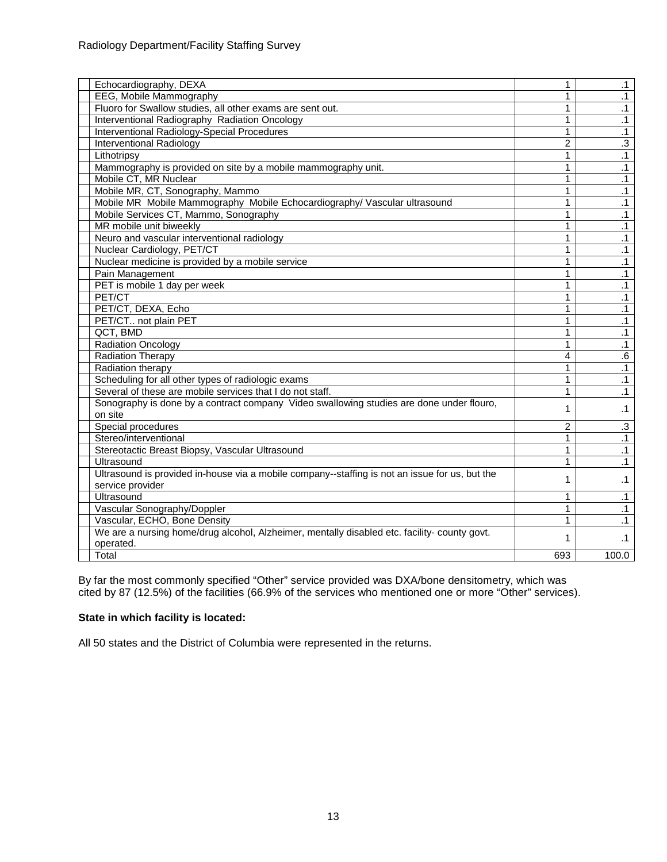| Echocardiography, DEXA                                                                         | 1              | $\cdot$ 1       |
|------------------------------------------------------------------------------------------------|----------------|-----------------|
| EEG, Mobile Mammography                                                                        | 1              | $\cdot$ 1       |
| Fluoro for Swallow studies, all other exams are sent out.                                      | 1              | $\cdot$ 1       |
| Interventional Radiography Radiation Oncology                                                  | 1              | $\cdot$ 1       |
| Interventional Radiology-Special Procedures                                                    | 1              | .1              |
| <b>Interventional Radiology</b>                                                                | $\overline{2}$ | $\overline{.3}$ |
| Lithotripsy                                                                                    | 1              | $\overline{.1}$ |
| Mammography is provided on site by a mobile mammography unit.                                  | 1              | .1              |
| Mobile CT, MR Nuclear                                                                          | 1              | .1              |
| Mobile MR, CT, Sonography, Mammo                                                               | 1              | .1              |
| Mobile MR Mobile Mammography Mobile Echocardiography/ Vascular ultrasound                      | 1              | $\cdot$ 1       |
| Mobile Services CT, Mammo, Sonography                                                          | 1              | $\cdot$ 1       |
| MR mobile unit biweekly                                                                        | 1              | $\overline{.1}$ |
| Neuro and vascular interventional radiology                                                    | 1              | $\cdot$ 1       |
| Nuclear Cardiology, PET/CT                                                                     | 1              | $\cdot$ 1       |
| Nuclear medicine is provided by a mobile service                                               | 1              | $\cdot$ 1       |
| Pain Management                                                                                | 1              | $\cdot$ 1       |
| PET is mobile 1 day per week                                                                   | 1              | $\cdot$ 1       |
| PET/CT                                                                                         | 1              | $\cdot$ 1       |
| PET/CT, DEXA, Echo                                                                             | 1              | $\cdot$ 1       |
| PET/CT not plain PET                                                                           | 1              | $\cdot$ 1       |
| QCT, BMD                                                                                       | 1              | .1              |
| <b>Radiation Oncology</b>                                                                      | 1              | $\overline{.1}$ |
| Radiation Therapy                                                                              | 4              | $\overline{6}$  |
| Radiation therapy                                                                              | 1              | $\cdot$ 1       |
| Scheduling for all other types of radiologic exams                                             | 1              | .1              |
| Several of these are mobile services that I do not staff.                                      | 1              | $\cdot$ 1       |
| Sonography is done by a contract company Video swallowing studies are done under flouro,       | 1              | .1              |
| on site                                                                                        |                |                 |
| Special procedures                                                                             | $\overline{2}$ | $\cdot$ 3       |
| Stereo/interventional                                                                          | 1              | $\cdot$ 1       |
| Stereotactic Breast Biopsy, Vascular Ultrasound                                                | 1              | .1              |
| Ultrasound                                                                                     | $\mathbf{1}$   | $\cdot$ 1       |
| Ultrasound is provided in-house via a mobile company--staffing is not an issue for us, but the | 1              | $\cdot$ 1       |
| service provider                                                                               |                |                 |
| Ultrasound                                                                                     | 1              | $\cdot$ 1       |
| Vascular Sonography/Doppler                                                                    | 1              | .1              |
| Vascular, ECHO, Bone Density                                                                   | 1              | $\cdot$ 1       |
| We are a nursing home/drug alcohol, Alzheimer, mentally disabled etc. facility- county govt.   | 1              | $\cdot$ 1       |
| operated.                                                                                      |                |                 |
| Total                                                                                          | 693            | 100.0           |

By far the most commonly specified "Other" service provided was DXA/bone densitometry, which was cited by 87 (12.5%) of the facilities (66.9% of the services who mentioned one or more "Other" services).

#### **State in which facility is located:**

All 50 states and the District of Columbia were represented in the returns.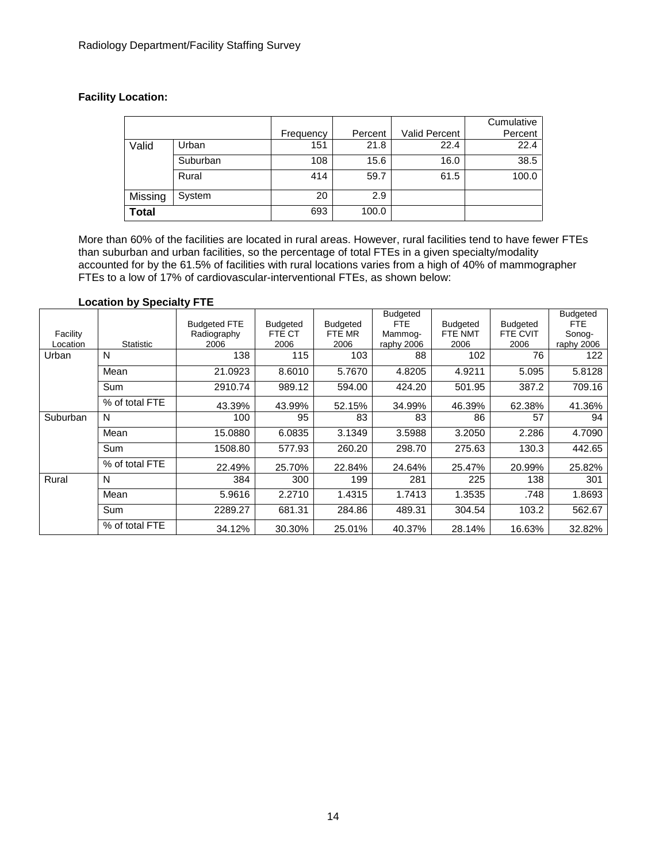#### **Facility Location:**

|              |          | Frequency | Percent | Valid Percent | Cumulative<br>Percent |
|--------------|----------|-----------|---------|---------------|-----------------------|
| Valid        | Urban    | 151       | 21.8    | 22.4          | 22.4                  |
|              | Suburban | 108       | 15.6    | 16.0          | 38.5                  |
|              | Rural    | 414       | 59.7    | 61.5          | 100.0                 |
| Missing      | System   | 20        | 2.9     |               |                       |
| <b>Total</b> |          | 693       | 100.0   |               |                       |

More than 60% of the facilities are located in rural areas. However, rural facilities tend to have fewer FTEs than suburban and urban facilities, so the percentage of total FTEs in a given specialty/modality accounted for by the 61.5% of facilities with rural locations varies from a high of 40% of mammographer FTEs to a low of 17% of cardiovascular-interventional FTEs, as shown below:

#### **Location by Specialty FTE**

|          |                  |                     |                 |                 | <b>Budgeted</b> |                 |                 | <b>Budgeted</b> |
|----------|------------------|---------------------|-----------------|-----------------|-----------------|-----------------|-----------------|-----------------|
|          |                  | <b>Budgeted FTE</b> | <b>Budgeted</b> | <b>Budgeted</b> | FTE.            | <b>Budgeted</b> | <b>Budgeted</b> | <b>FTE</b>      |
| Facility |                  | Radiography         | FTE CT          | FTE MR          | Mammog-         | FTE NMT         | FTE CVIT        | Sonog-          |
| Location | <b>Statistic</b> | 2006                | 2006            | 2006            | raphy 2006      | 2006            | 2006            | raphy 2006      |
| Urban    | N                | 138                 | 115             | 103             | 88              | 102             | 76              | 122             |
|          | Mean             | 21.0923             | 8.6010          | 5.7670          | 4.8205          | 4.9211          | 5.095           | 5.8128          |
|          | Sum              | 2910.74             | 989.12          | 594.00          | 424.20          | 501.95          | 387.2           | 709.16          |
|          | % of total FTE   | 43.39%              | 43.99%          | 52.15%          | 34.99%          | 46.39%          | 62.38%          | 41.36%          |
| Suburban | N                | 100                 | 95              | 83              | 83              | 86              | 57              | 94              |
|          | Mean             | 15.0880             | 6.0835          | 3.1349          | 3.5988          | 3.2050          | 2.286           | 4.7090          |
|          | Sum              | 1508.80             | 577.93          | 260.20          | 298.70          | 275.63          | 130.3           | 442.65          |
|          | % of total FTE   | 22.49%              | 25.70%          | 22.84%          | 24.64%          | 25.47%          | 20.99%          | 25.82%          |
| Rural    | N                | 384                 | 300             | 199             | 281             | 225             | 138             | 301             |
|          | Mean             | 5.9616              | 2.2710          | 1.4315          | 1.7413          | 1.3535          | .748            | 1.8693          |
|          | Sum              | 2289.27             | 681.31          | 284.86          | 489.31          | 304.54          | 103.2           | 562.67          |
|          | % of total FTE   | 34.12%              | 30.30%          | 25.01%          | 40.37%          | 28.14%          | 16.63%          | 32.82%          |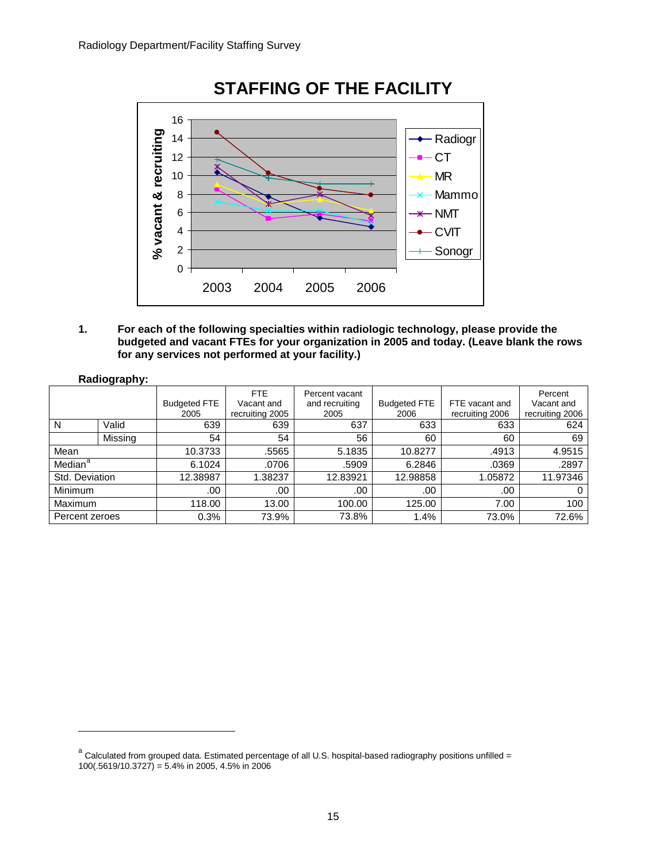

#### **1. For each of the following specialties within radiologic technology, please provide the budgeted and vacant FTEs for your organization in 2005 and today. (Leave blank the rows for any services not performed at your facility.)**

|                     | Radiography: |                     |                   |                                  |                     |                 |                       |  |
|---------------------|--------------|---------------------|-------------------|----------------------------------|---------------------|-----------------|-----------------------|--|
|                     |              | <b>Budgeted FTE</b> | FTE<br>Vacant and | Percent vacant<br>and recruiting | <b>Budgeted FTE</b> | FTE vacant and  | Percent<br>Vacant and |  |
|                     |              | 2005                | recruiting 2005   | 2005                             | 2006                | recruiting 2006 | recruiting 2006       |  |
| N                   | Valid        | 639                 | 639               | 637                              | 633                 | 633             | 624                   |  |
|                     | Missing      | 54                  | 54                | 56                               | 60                  | 60              | 69                    |  |
| Mean                |              | 10.3733             | .5565             | 5.1835                           | 10.8277             | .4913           | 4.9515                |  |
| Median <sup>a</sup> |              | 6.1024              | .0706             | .5909                            | 6.2846              | .0369           | .2897                 |  |
| Std. Deviation      |              | 12.38987            | 1.38237           | 12.83921                         | 12.98858            | 1.05872         | 11.97346              |  |
| <b>Minimum</b>      |              | .00                 | .00               | .00                              | .00                 | .00             |                       |  |
| <b>Maximum</b>      |              | 118.00              | 13.00             | 100.00                           | 125.00              | 7.00            | 100                   |  |
| Percent zeroes      |              | 0.3%                | 73.9%             | 73.8%                            | 1.4%                | 73.0%           | 72.6%                 |  |

j

<span id="page-14-0"></span><sup>&</sup>lt;sup>a</sup> Calculated from grouped data. Estimated percentage of all U.S. hospital-based radiography positions unfilled = 100(.5619/10.3727) = 5.4% in 2005, 4.5% in 2006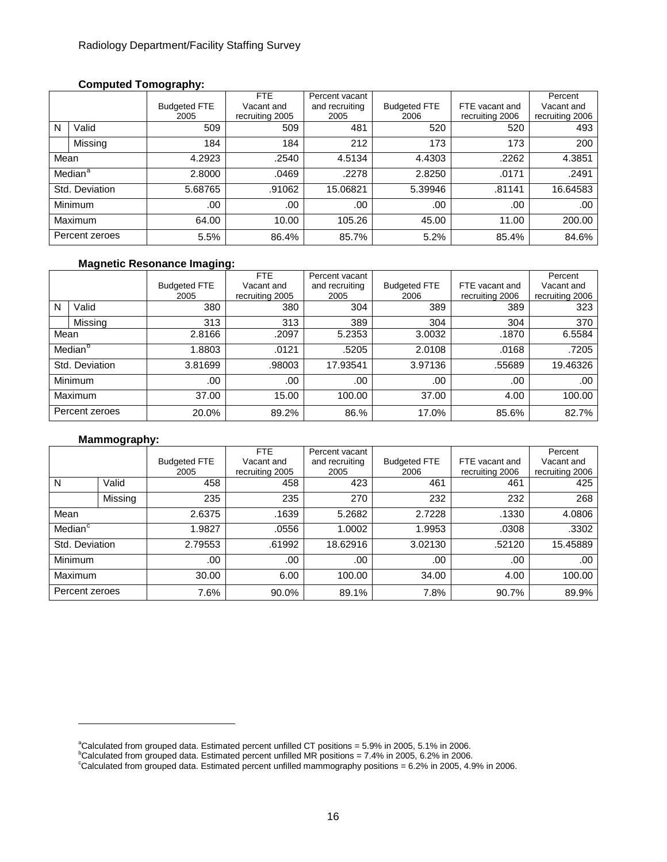#### **Computed Tomography:**

|      |                     |                     | FTE             | Percent vacant |                     |                 | Percent         |
|------|---------------------|---------------------|-----------------|----------------|---------------------|-----------------|-----------------|
|      |                     | <b>Budgeted FTE</b> | Vacant and      | and recruiting | <b>Budgeted FTE</b> | FTE vacant and  | Vacant and      |
|      |                     | 2005                | recruiting 2005 | 2005           | 2006                | recruiting 2006 | recruiting 2006 |
| N    | Valid               | 509                 | 509             | 481            | 520                 | 520             | 493             |
|      | Missing             | 184                 | 184             | 212            | 173                 | 173             | 200             |
| Mean |                     | 4.2923              | .2540           | 4.5134         | 4.4303              | .2262           | 4.3851          |
|      | Median <sup>a</sup> | 2.8000              | .0469           | .2278          | 2.8250              | .0171           | .2491           |
|      | Std. Deviation      | 5.68765             | .91062          | 15.06821       | 5.39946             | .81141          | 16.64583        |
|      | <b>Minimum</b>      | .00                 | .00             | .00            | .00                 | .00             | .00.            |
|      | <b>Maximum</b>      | 64.00               | 10.00           | 105.26         | 45.00               | 11.00           | 200.00          |
|      | Percent zeroes      | 5.5%                | 86.4%           | 85.7%          | 5.2%                | 85.4%           | 84.6%           |

#### **Magnetic Resonance Imaging:**

|      | . .                 | - -                 | FTE             | Percent vacant |                     |                 | Percent         |
|------|---------------------|---------------------|-----------------|----------------|---------------------|-----------------|-----------------|
|      |                     | <b>Budgeted FTE</b> | Vacant and      | and recruiting | <b>Budgeted FTE</b> | FTE vacant and  | Vacant and      |
|      |                     | 2005                | recruiting 2005 | 2005           | 2006                | recruiting 2006 | recruiting 2006 |
| N    | Valid               | 380                 | 380             | 304            | 389                 | 389             | 323             |
|      | Missing             | 313                 | 313             | 389            | 304                 | 304             | 370             |
| Mean |                     | 2.8166              | .2097           | 5.2353         | 3.0032              | .1870           | 6.5584          |
|      | Median <sup>b</sup> | 1.8803              | .0121           | .5205          | 2.0108              | .0168           | .7205           |
|      | Std. Deviation      | 3.81699             | .98003          | 17.93541       | 3.97136             | .55689          | 19.46326        |
|      | Minimum             | .00                 | .00             | .00            | .00                 | .00             | .00             |
|      | <b>Maximum</b>      | 37.00               | 15.00           | 100.00         | 37.00               | 4.00            | 100.00          |
|      | Percent zeroes      | 20.0%               | 89.2%           | 86.%           | 17.0%               | 85.6%           | 82.7%           |

#### **Mammography:**

j

|                     |         | <b>Budgeted FTE</b><br>2005 | <b>FTE</b><br>Vacant and<br>recruiting 2005 | Percent vacant<br>and recruiting<br>2005 | <b>Budgeted FTE</b><br>2006 | FTE vacant and<br>recruiting 2006 | Percent<br>Vacant and<br>recruiting 2006 |
|---------------------|---------|-----------------------------|---------------------------------------------|------------------------------------------|-----------------------------|-----------------------------------|------------------------------------------|
| N                   | Valid   | 458                         | 458                                         | 423                                      | 461                         | 461                               | 425                                      |
|                     | Missing | 235                         | 235                                         | 270                                      | 232                         | 232                               | 268                                      |
| Mean                |         | 2.6375                      | .1639                                       | 5.2682                                   | 2.7228                      | .1330                             | 4.0806                                   |
| Median <sup>c</sup> |         | 1.9827                      | .0556                                       | 1.0002                                   | 1.9953                      | .0308                             | .3302                                    |
| Std. Deviation      |         | 2.79553                     | .61992                                      | 18.62916                                 | 3.02130                     | .52120                            | 15.45889                                 |
| Minimum             |         | .00                         | .00                                         | .00                                      | .00                         | .00                               | .00                                      |
| Maximum             |         | 30.00                       | 6.00                                        | 100.00                                   | 34.00                       | 4.00                              | 100.00                                   |
| Percent zeroes      |         | 7.6%                        | 90.0%                                       | 89.1%                                    | 7.8%                        | 90.7%                             | 89.9%                                    |

<span id="page-15-2"></span><span id="page-15-0"></span>

<span id="page-15-1"></span>

<sup>&</sup>lt;sup>a</sup>Calculated from grouped data. Estimated percent unfilled CT positions = 5.9% in 2005, 5.1% in 2006.<br><sup>b</sup>Calculated from grouped data. Estimated percent unfilled MR positions = 7.4% in 2005, 6.2% in 2006.<br>°Calculated from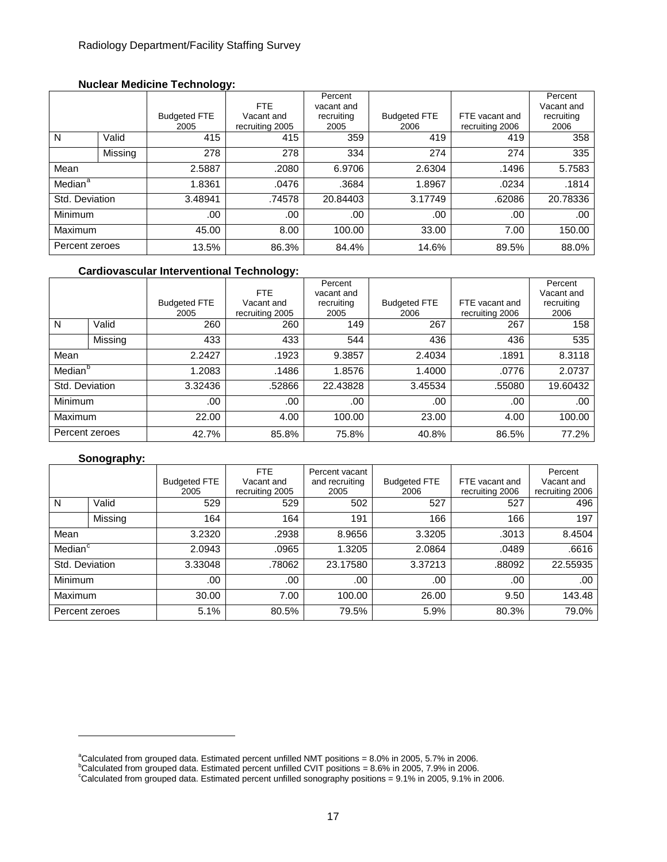#### **Nuclear Medicine Technology:**

|                     |         |                             | <b>FTE</b>                    | Percent<br>vacant and |                             |                                   | Percent<br>Vacant and |
|---------------------|---------|-----------------------------|-------------------------------|-----------------------|-----------------------------|-----------------------------------|-----------------------|
|                     |         | <b>Budgeted FTE</b><br>2005 | Vacant and<br>recruiting 2005 | recruiting<br>2005    | <b>Budgeted FTE</b><br>2006 | FTE vacant and<br>recruiting 2006 | recruiting<br>2006    |
| N                   | Valid   | 415                         | 415                           | 359                   | 419                         | 419                               | 358                   |
|                     | Missing | 278                         | 278                           | 334                   | 274                         | 274                               | 335                   |
| Mean                |         | 2.5887                      | .2080                         | 6.9706                | 2.6304                      | .1496                             | 5.7583                |
| Median <sup>a</sup> |         | 1.8361                      | .0476                         | .3684                 | 1.8967                      | .0234                             | .1814                 |
| Std. Deviation      |         | 3.48941                     | .74578                        | 20.84403              | 3.17749                     | .62086                            | 20.78336              |
| Minimum             |         | .00                         | .00                           | .00                   | .00                         | .00                               | .00                   |
| <b>Maximum</b>      |         | 45.00                       | 8.00                          | 100.00                | 33.00                       | 7.00                              | 150.00                |
| Percent zeroes      |         | 13.5%                       | 86.3%                         | 84.4%                 | 14.6%                       | 89.5%                             | 88.0%                 |

#### **Cardiovascular Interventional Technology:**

|                     |                |                     | --              | Percent    |                     |                 | Percent    |
|---------------------|----------------|---------------------|-----------------|------------|---------------------|-----------------|------------|
|                     |                |                     | FTE             | vacant and |                     |                 | Vacant and |
|                     |                | <b>Budgeted FTE</b> | Vacant and      | recruiting | <b>Budgeted FTE</b> | FTE vacant and  | recruiting |
|                     |                | 2005                | recruiting 2005 | 2005       | 2006                | recruiting 2006 | 2006       |
| N                   | Valid          | 260                 | 260             | 149        | 267                 | 267             | 158        |
|                     | Missing        | 433                 | 433             | 544        | 436                 | 436             | 535        |
| Mean                |                | 2.2427              | .1923           | 9.3857     | 2.4034              | .1891           | 8.3118     |
| Median <sup>b</sup> |                | 1.2083              | .1486           | 1.8576     | 1.4000              | .0776           | 2.0737     |
|                     | Std. Deviation | 3.32436             | .52866          | 22.43828   | 3.45534             | .55080          | 19.60432   |
| Minimum             |                | .00                 | .00             | .00        | .00                 | .00             | .00        |
| Maximum             |                | 22.00               | 4.00            | 100.00     | 23.00               | 4.00            | 100.00     |
|                     | Percent zeroes | 42.7%               | 85.8%           | 75.8%      | 40.8%               | 86.5%           | 77.2%      |

#### **Sonography:**

-

|                       |         | <b>Budgeted FTE</b><br>2005 | FTE<br>Vacant and<br>recruiting 2005 | Percent vacant<br>and recruiting<br>2005 | <b>Budgeted FTE</b><br>2006 | FTE vacant and<br>recruiting 2006 | Percent<br>Vacant and<br>recruiting 2006 |
|-----------------------|---------|-----------------------------|--------------------------------------|------------------------------------------|-----------------------------|-----------------------------------|------------------------------------------|
| N                     | Valid   | 529                         | 529                                  | 502                                      | 527                         | 527                               | 496                                      |
|                       | Missing | 164                         | 164                                  | 191                                      | 166                         | 166                               | 197                                      |
| Mean                  |         | 3.2320                      | .2938                                | 8.9656                                   | 3.3205                      | .3013                             | 8.4504                                   |
| Median $\overline{c}$ |         | 2.0943                      | .0965                                | 1.3205                                   | 2.0864                      | .0489                             | .6616                                    |
| Std. Deviation        |         | 3.33048                     | .78062                               | 23.17580                                 | 3.37213                     | .88092                            | 22.55935                                 |
| Minimum               |         | .00                         | .00                                  | .00                                      | .00                         | .00                               | .00.                                     |
| <b>Maximum</b>        |         | 30.00                       | 7.00                                 | 100.00                                   | 26.00                       | 9.50                              | 143.48                                   |
| Percent zeroes        |         | 5.1%                        | 80.5%                                | 79.5%                                    | 5.9%                        | 80.3%                             | 79.0%                                    |

<span id="page-16-0"></span><sup>&</sup>lt;sup>a</sup>Calculated from grouped data. Estimated percent unfilled NMT positions = 8.0% in 2005, 5.7% in 2006.<br><sup>b</sup>Calculated from grouped data. Estimated percent unfilled CVIT positions = 8.6% in 2005, 7.9% in 2006.<br>°Calculated f

<span id="page-16-1"></span>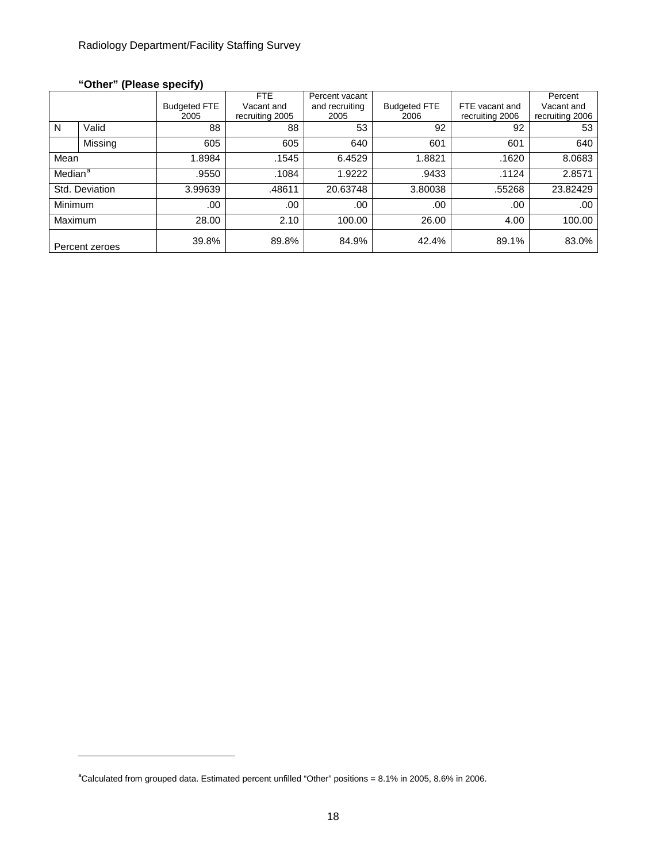# **"Other" (Please specify)**

-

|                     |                |                     | <b>FTE</b>      | Percent vacant |                     |                 | Percent         |
|---------------------|----------------|---------------------|-----------------|----------------|---------------------|-----------------|-----------------|
|                     |                | <b>Budgeted FTE</b> | Vacant and      | and recruiting | <b>Budgeted FTE</b> | FTE vacant and  | Vacant and      |
|                     |                | 2005                | recruiting 2005 | 2005           | 2006                | recruiting 2006 | recruiting 2006 |
| N                   | Valid          | 88                  | 88              | 53             | 92                  | 92              | 53              |
|                     | Missing        | 605                 | 605             | 640            | 601                 | 601             | 640             |
| Mean                |                | 1.8984              | .1545           | 6.4529         | 1.8821              | .1620           | 8.0683          |
| Median <sup>a</sup> |                | .9550               | .1084           | 1.9222         | .9433               | .1124           | 2.8571          |
|                     | Std. Deviation | 3.99639             | .48611          | 20.63748       | 3.80038             | .55268          | 23.82429        |
| Minimum             |                | .00                 | .00             | .00            | .00                 | .00             | .00             |
| <b>Maximum</b>      |                | 28.00               | 2.10            | 100.00         | 26.00               | 4.00            | 100.00          |
|                     | Percent zeroes | 39.8%               | 89.8%           | 84.9%          | 42.4%               | 89.1%           | 83.0%           |

<span id="page-17-0"></span>a Calculated from grouped data. Estimated percent unfilled "Other" positions = 8.1% in 2005, 8.6% in 2006.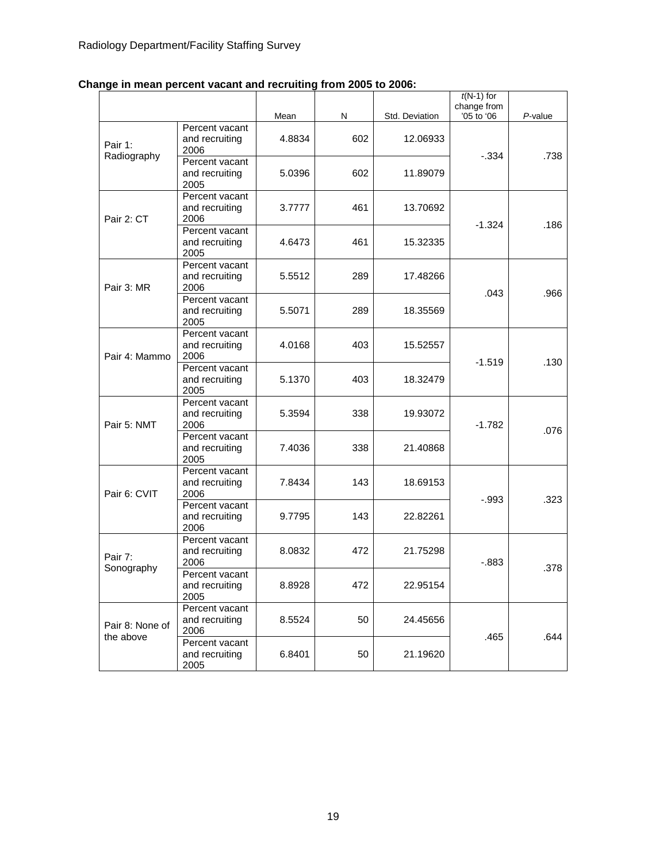|  | Change in mean percent vacant and recruiting from 2005 to 2006: |  |  |
|--|-----------------------------------------------------------------|--|--|
|--|-----------------------------------------------------------------|--|--|

|                        |                                          | Mean   | N   | Std. Deviation | $t(N-1)$ for<br>change from<br>'05 to '06 | P-value |
|------------------------|------------------------------------------|--------|-----|----------------|-------------------------------------------|---------|
| Pair 1:<br>Radiography | Percent vacant<br>and recruiting<br>2006 | 4.8834 | 602 | 12.06933       | $-.334$                                   | .738    |
|                        | Percent vacant<br>and recruiting<br>2005 | 5.0396 | 602 | 11.89079       |                                           |         |
| Pair 2: CT             | Percent vacant<br>and recruiting<br>2006 | 3.7777 | 461 | 13.70692       | $-1.324$                                  | .186    |
|                        | Percent vacant<br>and recruiting<br>2005 | 4.6473 | 461 | 15.32335       |                                           |         |
| Pair 3: MR             | Percent vacant<br>and recruiting<br>2006 | 5.5512 | 289 | 17.48266       | .043                                      | .966    |
|                        | Percent vacant<br>and recruiting<br>2005 | 5.5071 | 289 | 18.35569       |                                           |         |
| Pair 4: Mammo          | Percent vacant<br>and recruiting<br>2006 | 4.0168 | 403 | 15.52557       | $-1.519$                                  | .130    |
|                        | Percent vacant<br>and recruiting<br>2005 | 5.1370 | 403 | 18.32479       |                                           |         |
| Pair 5: NMT            | Percent vacant<br>and recruiting<br>2006 | 5.3594 | 338 | 19.93072       | $-1.782$                                  | .076    |
|                        | Percent vacant<br>and recruiting<br>2005 | 7.4036 | 338 | 21.40868       |                                           |         |
| Pair 6: CVIT           | Percent vacant<br>and recruiting<br>2006 | 7.8434 | 143 | 18.69153       |                                           |         |
|                        | Percent vacant<br>and recruiting<br>2006 | 9.7795 | 143 | 22.82261       | $-0.993$                                  | .323    |
| Pair 7:                | Percent vacant<br>and recruiting<br>2006 | 8.0832 | 472 | 21.75298       | -.883                                     |         |
| Sonography             | Percent vacant<br>and recruiting<br>2005 | 8.8928 | 472 | 22.95154       |                                           | .378    |
| Pair 8: None of        | Percent vacant<br>and recruiting<br>2006 | 8.5524 | 50  | 24.45656       |                                           |         |
| the above              | Percent vacant<br>and recruiting<br>2005 | 6.8401 | 50  | 21.19620       | .465                                      | .644    |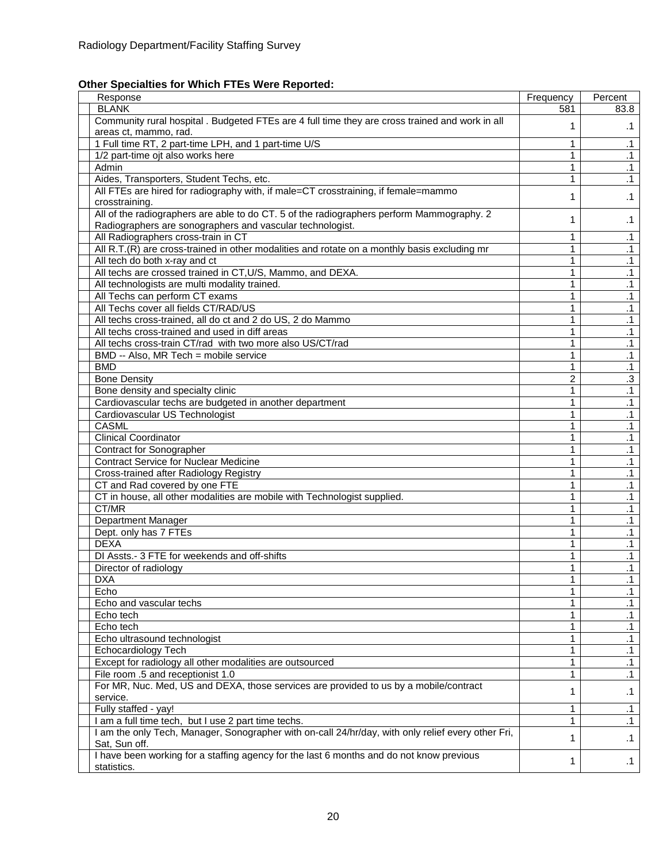### **Other Specialties for Which FTEs Were Reported:**

| Response                                                                                           | Frequency      | Percent         |
|----------------------------------------------------------------------------------------------------|----------------|-----------------|
| <b>BLANK</b>                                                                                       | 581            | 83.8            |
| Community rural hospital . Budgeted FTEs are 4 full time they are cross trained and work in all    |                |                 |
| areas ct, mammo, rad.                                                                              | 1              | $\cdot$ 1       |
| 1 Full time RT, 2 part-time LPH, and 1 part-time U/S                                               | 1              | .1              |
| 1/2 part-time ojt also works here                                                                  | $\mathbf{1}$   | $\cdot$ 1       |
| Admin                                                                                              | 1              | $\cdot$ 1       |
| Aides, Transporters, Student Techs, etc.                                                           | $\mathbf{1}$   | $\cdot$ 1       |
| All FTEs are hired for radiography with, if male=CT crosstraining, if female=mammo                 |                |                 |
| crosstraining.                                                                                     | 1              | $\cdot$ 1       |
| All of the radiographers are able to do CT. 5 of the radiographers perform Mammography. 2          |                |                 |
|                                                                                                    | 1              | $\cdot$ 1       |
| Radiographers are sonographers and vascular technologist.                                          |                |                 |
| All Radiographers cross-train in CT                                                                | 1              | .1              |
| All R.T.(R) are cross-trained in other modalities and rotate on a monthly basis excluding mr       | 1              | $\cdot$ 1       |
| All tech do both x-ray and ct                                                                      | $\mathbf{1}$   | $\cdot$ 1       |
| All techs are crossed trained in CT, U/S, Mammo, and DEXA.                                         | $\mathbf{1}$   | $\overline{.1}$ |
| All technologists are multi modality trained.                                                      | $\mathbf{1}$   | $\cdot$ 1       |
| All Techs can perform CT exams                                                                     | 1              | $\cdot$ 1       |
| All Techs cover all fields CT/RAD/US                                                               | 1              | $\cdot$ 1       |
| All techs cross-trained, all do ct and 2 do US, 2 do Mammo                                         | $\mathbf{1}$   | $\overline{.1}$ |
| All techs cross-trained and used in diff areas                                                     | 1              | $\overline{.1}$ |
| All techs cross-train CT/rad with two more also US/CT/rad                                          | $\mathbf{1}$   | $\cdot$ 1       |
| BMD -- Also, MR Tech = mobile service                                                              | 1              | $\cdot$ 1       |
| <b>BMD</b>                                                                                         | 1              | $\cdot$ 1       |
| <b>Bone Density</b>                                                                                | $\overline{2}$ | $\overline{3}$  |
| Bone density and specialty clinic                                                                  | $\mathbf{1}$   | $\overline{.1}$ |
|                                                                                                    | $\mathbf{1}$   |                 |
| Cardiovascular techs are budgeted in another department                                            |                | $\overline{.1}$ |
| Cardiovascular US Technologist                                                                     | 1              | $\cdot$ 1       |
| <b>CASML</b>                                                                                       | 1              | $\cdot$ 1       |
| <b>Clinical Coordinator</b>                                                                        | 1              | $\cdot$ 1       |
| <b>Contract for Sonographer</b>                                                                    | 1              | $\overline{.1}$ |
| <b>Contract Service for Nuclear Medicine</b>                                                       | 1              | $\cdot$ 1       |
| Cross-trained after Radiology Registry                                                             | $\mathbf{1}$   | $\cdot$ 1       |
| CT and Rad covered by one FTE                                                                      | 1              | $\cdot$ 1       |
| CT in house, all other modalities are mobile with Technologist supplied.                           | 1              | $\cdot$ 1       |
| CT/MR                                                                                              | 1              | $\cdot$ 1       |
| Department Manager                                                                                 | $\mathbf{1}$   | $\overline{.1}$ |
| Dept. only has 7 FTEs                                                                              | $\mathbf{1}$   | $\cdot$ 1       |
| <b>DEXA</b>                                                                                        | 1              | $\cdot$ 1       |
| DI Assts.- 3 FTE for weekends and off-shifts                                                       | 1              | $\cdot$ 1       |
| Director of radiology                                                                              | 1              | $\overline{.1}$ |
| <b>DXA</b>                                                                                         |                | $\overline{.1}$ |
| Echo                                                                                               | $\mathbf{1}$   | $\cdot$ 1       |
| Echo and vascular techs                                                                            | 1              | $\cdot$ 1       |
| Echo tech                                                                                          |                |                 |
|                                                                                                    | 1              | $\cdot$ 1       |
| Echo tech                                                                                          | 1              | $\cdot$ 1       |
| Echo ultrasound technologist                                                                       | 1              | $\cdot$ 1       |
| Echocardiology Tech                                                                                | $\mathbf{1}$   | $\cdot$ 1       |
| Except for radiology all other modalities are outsourced                                           | 1              | $\cdot$ 1       |
| File room .5 and receptionist 1.0                                                                  | 1              | $\cdot$ 1       |
| For MR, Nuc. Med, US and DEXA, those services are provided to us by a mobile/contract              | 1              |                 |
| service.                                                                                           |                | $\cdot$ 1       |
| Fully staffed - yay!                                                                               | $\mathbf{1}$   | $\cdot$ 1       |
| I am a full time tech, but I use 2 part time techs.                                                | $\mathbf{1}$   | $\cdot$ 1       |
| I am the only Tech, Manager, Sonographer with on-call 24/hr/day, with only relief every other Fri, |                |                 |
| Sat, Sun off.                                                                                      | 1              | $\cdot$ 1       |
| I have been working for a staffing agency for the last 6 months and do not know previous           |                |                 |
| statistics.                                                                                        | 1              | $\cdot$ 1       |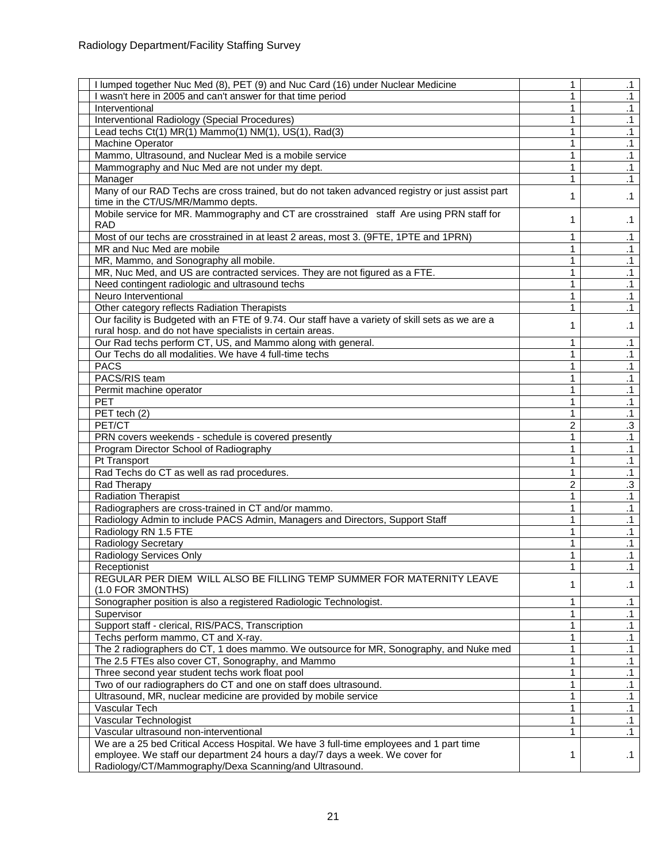| I lumped together Nuc Med (8), PET (9) and Nuc Card (16) under Nuclear Medicine                  | 1              | $\cdot$ 1              |
|--------------------------------------------------------------------------------------------------|----------------|------------------------|
| I wasn't here in 2005 and can't answer for that time period                                      | 1              | $\cdot$ 1              |
| Interventional                                                                                   | 1              | $\overline{.1}$        |
| Interventional Radiology (Special Procedures)                                                    | 1              | $\cdot$ 1              |
| Lead techs Ct(1) MR(1) Mammo(1) NM(1), US(1), Rad(3)                                             | 1              | $\cdot$ 1              |
| Machine Operator                                                                                 | 1              | $\cdot$ 1              |
| Mammo, Ultrasound, and Nuclear Med is a mobile service                                           | $\mathbf{1}$   | $\overline{.1}$        |
| Mammography and Nuc Med are not under my dept.                                                   | $\mathbf{1}$   | $\overline{.1}$        |
| Manager                                                                                          | $\mathbf{1}$   | $\cdot$ 1              |
| Many of our RAD Techs are cross trained, but do not taken advanced registry or just assist part  |                |                        |
| time in the CT/US/MR/Mammo depts.                                                                | 1              | $\cdot$ 1              |
| Mobile service for MR. Mammography and CT are crosstrained staff Are using PRN staff for         | 1              |                        |
| <b>RAD</b>                                                                                       |                | .1                     |
| Most of our techs are crosstrained in at least 2 areas, most 3. (9FTE, 1PTE and 1PRN)            | 1              | $\cdot$ 1              |
| MR and Nuc Med are mobile                                                                        | 1              | $\cdot$ 1              |
| MR, Mammo, and Sonography all mobile.                                                            | $\mathbf{1}$   | $\cdot$ 1              |
| MR, Nuc Med, and US are contracted services. They are not figured as a FTE.                      | $\mathbf{1}$   | $\overline{.1}$        |
| Need contingent radiologic and ultrasound techs                                                  | $\mathbf{1}$   | $\cdot$ 1              |
| Neuro Interventional                                                                             | 1              | $\cdot$ 1              |
| Other category reflects Radiation Therapists                                                     | 1              | $\cdot$ 1              |
| Our facility is Budgeted with an FTE of 9.74. Our staff have a variety of skill sets as we are a | 1              | $\cdot$ 1              |
| rural hosp. and do not have specialists in certain areas.                                        |                |                        |
| Our Rad techs perform CT, US, and Mammo along with general.                                      | $\mathbf{1}$   | $\cdot$ 1              |
| Our Techs do all modalities. We have 4 full-time techs                                           | 1              | $\cdot$ 1              |
| <b>PACS</b>                                                                                      | 1              | $\cdot$ 1              |
| PACS/RIS team                                                                                    | $\mathbf{1}$   | $\cdot$ 1              |
| Permit machine operator                                                                          | $\mathbf{1}$   | $\overline{.1}$        |
| PET                                                                                              | $\mathbf{1}$   | $\cdot$ 1              |
| PET tech (2)                                                                                     | $\mathbf{1}$   | $\overline{.1}$        |
| PET/CT                                                                                           | $\overline{c}$ | $\overline{3}$         |
| PRN covers weekends - schedule is covered presently                                              | $\mathbf{1}$   | $\overline{.1}$        |
| Program Director School of Radiography                                                           | 1              | $\overline{.1}$        |
| Pt Transport                                                                                     | 1              | $\overline{.1}$        |
| Rad Techs do CT as well as rad procedures.                                                       | 1              | $\cdot$ 1              |
| Rad Therapy                                                                                      | $\overline{c}$ | .3                     |
| <b>Radiation Therapist</b>                                                                       | $\mathbf{1}$   | $\cdot$ 1              |
| Radiographers are cross-trained in CT and/or mammo.                                              | $\mathbf{1}$   | $\overline{.1}$        |
| Radiology Admin to include PACS Admin, Managers and Directors, Support Staff                     | 1              | $\cdot$ 1              |
| Radiology RN 1.5 FTE                                                                             | $\mathbf{1}$   | $\cdot$ 1              |
| Radiology Secretary                                                                              | 1              | $\cdot$ 1              |
| Radiology Services Only                                                                          | $\mathbf{1}$   | $\cdot$ 1              |
| Receptionist<br>REGULAR PER DIEM WILL ALSO BE FILLING TEMP SUMMER FOR MATERNITY LEAVE            | 1              | $\overline{.1}$        |
|                                                                                                  | 1              | $\cdot$ 1              |
| (1.0 FOR 3MONTHS)                                                                                | 1              |                        |
| Sonographer position is also a registered Radiologic Technologist.<br>Supervisor                 | 1              | $\cdot$ 1<br>$\cdot$ 1 |
| Support staff - clerical, RIS/PACS, Transcription                                                | 1              | $\cdot$ 1              |
| Techs perform mammo, CT and X-ray.                                                               | 1              | $\cdot$ 1              |
| The 2 radiographers do CT, 1 does mammo. We outsource for MR, Sonography, and Nuke med           | $\mathbf{1}$   | $\cdot$ 1              |
| The 2.5 FTEs also cover CT, Sonography, and Mammo                                                | 1              | $\cdot$ 1              |
| Three second year student techs work float pool                                                  | $\mathbf{1}$   | $\cdot$ 1              |
| Two of our radiographers do CT and one on staff does ultrasound.                                 | 1              | $\cdot$ 1              |
| Ultrasound, MR, nuclear medicine are provided by mobile service                                  | $\mathbf{1}$   | $\cdot$ 1              |
| Vascular Tech                                                                                    | $\mathbf{1}$   | $\cdot$ 1              |
| Vascular Technologist                                                                            | 1              | $\cdot$ 1              |
| Vascular ultrasound non-interventional                                                           | 1              | $\cdot$ 1              |
| We are a 25 bed Critical Access Hospital. We have 3 full-time employees and 1 part time          |                |                        |
| employee. We staff our department 24 hours a day/7 days a week. We cover for                     | 1              | $\cdot$ 1              |
| Radiology/CT/Mammography/Dexa Scanning/and Ultrasound.                                           |                |                        |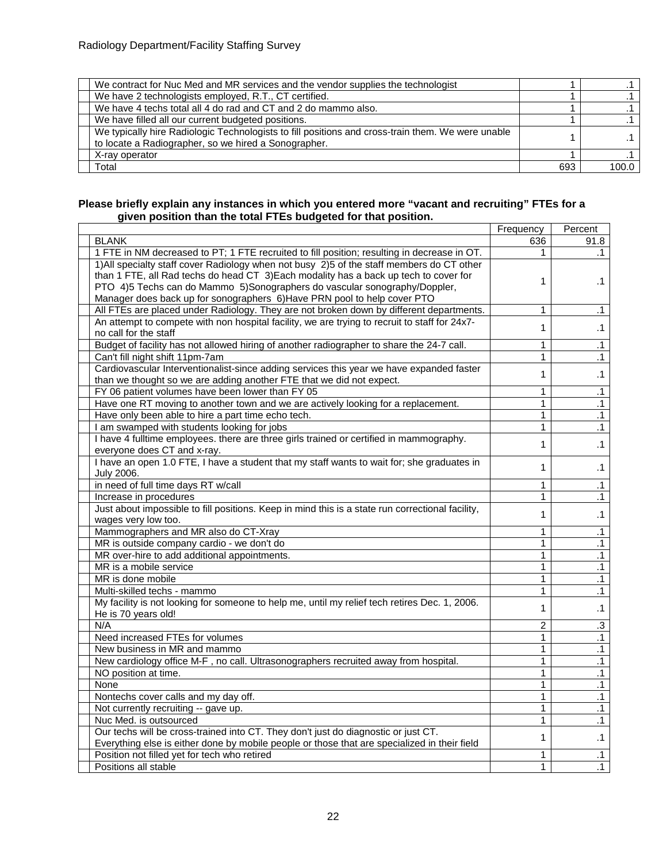| We contract for Nuc Med and MR services and the vendor supplies the technologist                                                                          |     |       |
|-----------------------------------------------------------------------------------------------------------------------------------------------------------|-----|-------|
| We have 2 technologists employed, R.T., CT certified.                                                                                                     |     |       |
| We have 4 techs total all 4 do rad and CT and 2 do mammo also.                                                                                            |     |       |
| We have filled all our current budgeted positions.                                                                                                        |     |       |
| We typically hire Radiologic Technologists to fill positions and cross-train them. We were unable<br>to locate a Radiographer, so we hired a Sonographer. |     |       |
| X-ray operator                                                                                                                                            |     |       |
| Total                                                                                                                                                     | 693 | 100 O |

#### **Please briefly explain any instances in which you entered more "vacant and recruiting" FTEs for a given position than the total FTEs budgeted for that position.**

|                                                                                                                        | Frequency      | Percent         |
|------------------------------------------------------------------------------------------------------------------------|----------------|-----------------|
| <b>BLANK</b>                                                                                                           | 636            | 91.8            |
| 1 FTE in NM decreased to PT; 1 FTE recruited to fill position; resulting in decrease in OT.                            | 1              | $\cdot$ 1       |
| 1) All specialty staff cover Radiology when not busy 2) 5 of the staff members do CT other                             |                |                 |
| than 1 FTE, all Rad techs do head CT 3) Each modality has a back up tech to cover for                                  | 1              | $\cdot$ 1       |
| PTO 4)5 Techs can do Mammo 5)Sonographers do vascular sonography/Doppler,                                              |                |                 |
| Manager does back up for sonographers 6) Have PRN pool to help cover PTO                                               |                |                 |
| All FTEs are placed under Radiology. They are not broken down by different departments.                                | $\mathbf{1}$   | $\cdot$ 1       |
| An attempt to compete with non hospital facility, we are trying to recruit to staff for 24x7-<br>no call for the staff | 1              | $\cdot$ 1       |
| Budget of facility has not allowed hiring of another radiographer to share the 24-7 call.                              | 1              | $\cdot$ 1       |
| Can't fill night shift 11pm-7am                                                                                        | 1              | $\cdot$ 1       |
| Cardiovascular Interventionalist-since adding services this year we have expanded faster                               |                |                 |
| than we thought so we are adding another FTE that we did not expect.                                                   | 1              | $\cdot$ 1       |
| FY 06 patient volumes have been lower than FY 05                                                                       | 1              | $\cdot$ 1       |
| Have one RT moving to another town and we are actively looking for a replacement.                                      | 1              | $\overline{.1}$ |
| Have only been able to hire a part time echo tech.                                                                     | $\mathbf{1}$   | $\cdot$ 1       |
| I am swamped with students looking for jobs                                                                            | $\mathbf{1}$   | $\cdot$ 1       |
| I have 4 fulltime employees. there are three girls trained or certified in mammography.                                |                |                 |
| everyone does CT and x-ray.                                                                                            | 1              | $\cdot$ 1       |
| I have an open 1.0 FTE, I have a student that my staff wants to wait for; she graduates in                             |                |                 |
| <b>July 2006.</b>                                                                                                      | 1              | $\cdot$ 1       |
| in need of full time days RT w/call                                                                                    | 1              | $\cdot$ 1       |
| Increase in procedures                                                                                                 | 1              | $\cdot$ 1       |
| Just about impossible to fill positions. Keep in mind this is a state run correctional facility,                       |                |                 |
| wages very low too.                                                                                                    | 1              | $\cdot$ 1       |
| Mammographers and MR also do CT-Xray                                                                                   | 1              | $\cdot$ 1       |
| MR is outside company cardio - we don't do                                                                             | 1              | $\overline{.1}$ |
| MR over-hire to add additional appointments.                                                                           | $\mathbf{1}$   | $\cdot$ 1       |
| MR is a mobile service                                                                                                 | 1              | $\overline{.1}$ |
| MR is done mobile                                                                                                      | 1              | $\cdot$ 1       |
| Multi-skilled techs - mammo                                                                                            | 1              | $\overline{.1}$ |
| My facility is not looking for someone to help me, until my relief tech retires Dec. 1, 2006.                          |                |                 |
| He is 70 years old!                                                                                                    | 1              | $\cdot$ 1       |
| N/A                                                                                                                    | $\overline{2}$ | $.3\,$          |
| Need increased FTEs for volumes                                                                                        | 1              | $\cdot$ 1       |
| New business in MR and mammo                                                                                           | $\mathbf{1}$   | .1              |
| New cardiology office M-F, no call. Ultrasonographers recruited away from hospital.                                    | 1              | $\overline{.1}$ |
| NO position at time.                                                                                                   | 1              | $\cdot$ 1       |
| None                                                                                                                   | 1              | $\cdot$ 1       |
| Nontechs cover calls and my day off.                                                                                   | 1              | $\cdot$ 1       |
| Not currently recruiting -- gave up.                                                                                   | 1              | $\cdot$ 1       |
| Nuc Med. is outsourced                                                                                                 | 1              | $\cdot$ 1       |
| Our techs will be cross-trained into CT. They don't just do diagnostic or just CT.                                     |                |                 |
| Everything else is either done by mobile people or those that are specialized in their field                           | 1              | $\cdot$ 1       |
| Position not filled yet for tech who retired                                                                           | 1              | $\cdot$ 1       |
| Positions all stable                                                                                                   | $\mathbf{1}$   | .1              |
|                                                                                                                        |                |                 |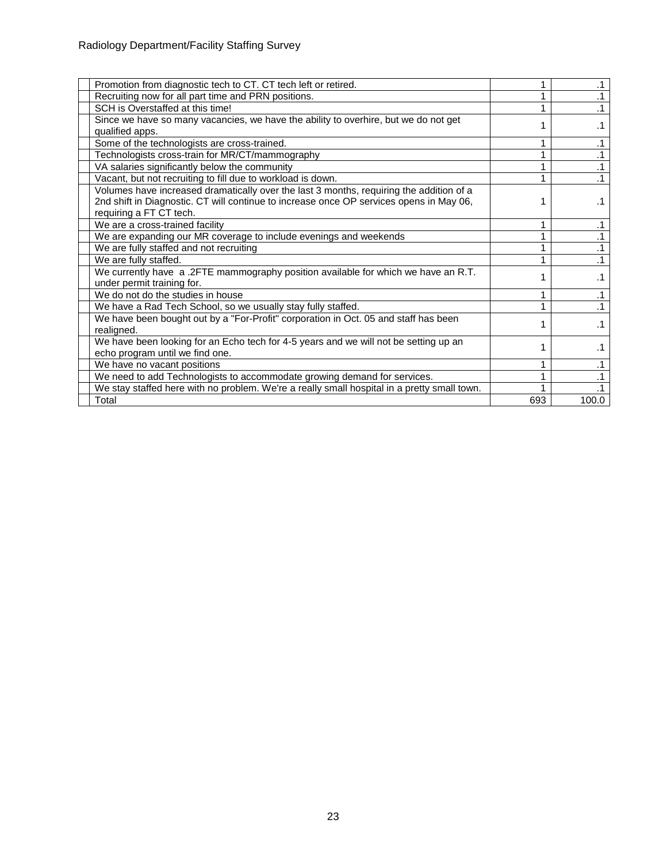| Promotion from diagnostic tech to CT. CT tech left or retired.                                                                                                                                                |     | $\cdot$ 1 |
|---------------------------------------------------------------------------------------------------------------------------------------------------------------------------------------------------------------|-----|-----------|
| Recruiting now for all part time and PRN positions.                                                                                                                                                           |     | $\cdot$ 1 |
| SCH is Overstaffed at this time!                                                                                                                                                                              |     | $\cdot$ 1 |
| Since we have so many vacancies, we have the ability to overhire, but we do not get<br>qualified apps.                                                                                                        |     | $\cdot$ 1 |
| Some of the technologists are cross-trained.                                                                                                                                                                  |     | $\cdot$ 1 |
| Technologists cross-train for MR/CT/mammography                                                                                                                                                               |     | $\cdot$ 1 |
| VA salaries significantly below the community                                                                                                                                                                 |     | $\cdot$ 1 |
| Vacant, but not recruiting to fill due to workload is down.                                                                                                                                                   |     | $\cdot$ 1 |
| Volumes have increased dramatically over the last 3 months, requiring the addition of a<br>2nd shift in Diagnostic. CT will continue to increase once OP services opens in May 06,<br>requiring a FT CT tech. |     | .1        |
| We are a cross-trained facility                                                                                                                                                                               |     | $\cdot$ 1 |
| We are expanding our MR coverage to include evenings and weekends                                                                                                                                             |     | $\cdot$ 1 |
| We are fully staffed and not recruiting                                                                                                                                                                       |     | $\cdot$ 1 |
| We are fully staffed.                                                                                                                                                                                         |     | .1        |
| We currently have a .2FTE mammography position available for which we have an R.T.<br>under permit training for.                                                                                              |     | $\cdot$ 1 |
| We do not do the studies in house                                                                                                                                                                             |     | $\cdot$ 1 |
| We have a Rad Tech School, so we usually stay fully staffed.                                                                                                                                                  |     | $\cdot$ 1 |
| We have been bought out by a "For-Profit" corporation in Oct. 05 and staff has been<br>realigned.                                                                                                             |     | $\cdot$ 1 |
| We have been looking for an Echo tech for 4-5 years and we will not be setting up an<br>echo program until we find one.                                                                                       |     | .1        |
| We have no vacant positions                                                                                                                                                                                   |     | $\cdot$ 1 |
| We need to add Technologists to accommodate growing demand for services.                                                                                                                                      |     | $\cdot$ 1 |
| We stay staffed here with no problem. We're a really small hospital in a pretty small town.                                                                                                                   |     | $\cdot$ 1 |
| Total                                                                                                                                                                                                         | 693 | 100.0     |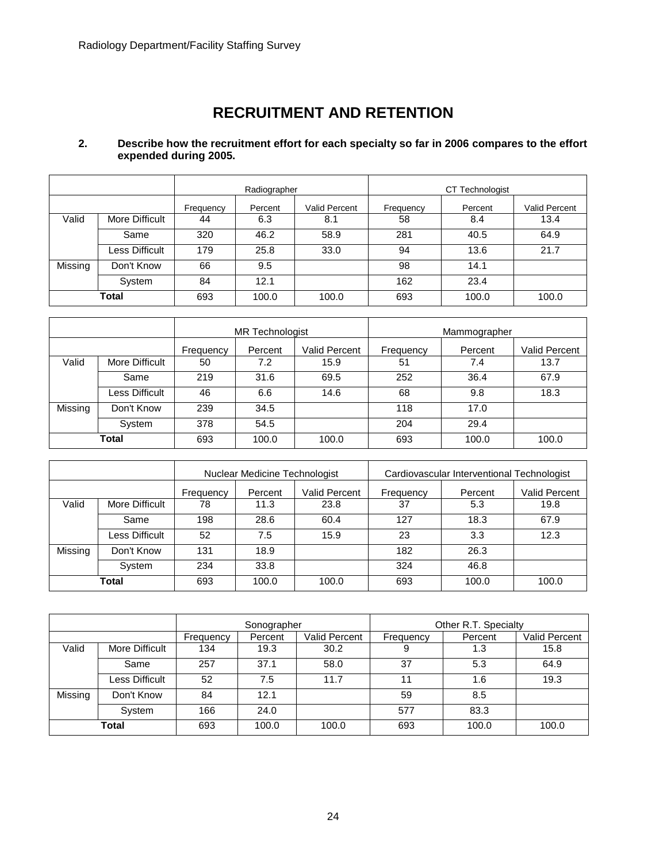# **RECRUITMENT AND RETENTION**

#### <span id="page-23-0"></span>**2. Describe how the recruitment effort for each specialty so far in 2006 compares to the effort expended during 2005.**

|         |                |                                       | Radiographer |           | СT<br>Technologist |               |       |
|---------|----------------|---------------------------------------|--------------|-----------|--------------------|---------------|-------|
|         |                | Valid Percent<br>Frequency<br>Percent |              | Frequency | Percent            | Valid Percent |       |
| Valid   | More Difficult | 44                                    | 6.3          | 8.1       | 58                 | 8.4           | 13.4  |
|         | Same           | 320                                   | 46.2         | 58.9      | 281                | 40.5          | 64.9  |
|         | Less Difficult | 179                                   | 25.8         | 33.0      | 94                 | 13.6          | 21.7  |
| Missing | Don't Know     | 66                                    | 9.5          |           | 98                 | 14.1          |       |
|         | System         | 84                                    | 12.1         |           | 162                | 23.4          |       |
|         | Total          | 693                                   | 100.0        | 100.0     | 693                | 100.0         | 100.0 |

|         |                                       |     | <b>MR</b> Technologist |         |                      | Mammographer |       |
|---------|---------------------------------------|-----|------------------------|---------|----------------------|--------------|-------|
|         | Valid Percent<br>Percent<br>Frequency |     | Frequency              | Percent | <b>Valid Percent</b> |              |       |
| Valid   | More Difficult                        | 50  | 7.2                    | 15.9    | 51                   | 7.4          | 13.7  |
|         | Same                                  | 219 | 31.6                   | 69.5    | 252                  | 36.4         | 67.9  |
|         | Less Difficult                        | 46  | 6.6                    | 14.6    | 68                   | 9.8          | 18.3  |
| Missing | Don't Know                            | 239 | 34.5                   |         | 118                  | 17.0         |       |
|         | System                                | 378 | 54.5                   |         | 204                  | 29.4         |       |
|         | Total                                 | 693 | 100.0                  | 100.0   | 693<br>100.0         |              | 100.0 |

|         |                | Nuclear Medicine Technologist         |       |           | Cardiovascular Interventional Technologist |                      |       |
|---------|----------------|---------------------------------------|-------|-----------|--------------------------------------------|----------------------|-------|
|         |                | Valid Percent<br>Percent<br>Frequency |       | Frequency | Percent                                    | <b>Valid Percent</b> |       |
| Valid   | More Difficult | 78                                    | 11.3  | 23.8      | 37                                         | 5.3                  | 19.8  |
|         | Same           | 198                                   | 28.6  | 60.4      | 127                                        | 18.3                 | 67.9  |
|         |                | 52                                    | 7.5   | 15.9      | 23                                         | 3.3                  | 12.3  |
| Missing | Don't Know     | 131                                   | 18.9  |           | 182                                        | 26.3                 |       |
|         | System         | 234                                   | 33.8  |           | 324                                        | 46.8                 |       |
|         | Total          | 693                                   | 100.0 | 100.0     | 693                                        | 100.0                | 100.0 |

|         |                |                                       | Sonographer |           | Other R.T. Specialty |                      |       |
|---------|----------------|---------------------------------------|-------------|-----------|----------------------|----------------------|-------|
|         |                | Valid Percent<br>Percent<br>Frequency |             | Frequency | Percent              | <b>Valid Percent</b> |       |
| Valid   | More Difficult | 134                                   | 19.3        | 30.2      |                      | 1.3                  | 15.8  |
|         | Same           | 257                                   | 37.1        | 58.0      | 37                   | 5.3                  | 64.9  |
|         | Less Difficult | 52                                    | 7.5         | 11.7      | 11                   | 1.6                  | 19.3  |
| Missing | Don't Know     | 84                                    | 12.1        |           | 59                   | 8.5                  |       |
|         | System         | 166                                   | 24.0        |           | 577                  | 83.3                 |       |
|         | Total          | 693                                   | 100.0       | 100.0     | 693                  | 100.0                | 100.0 |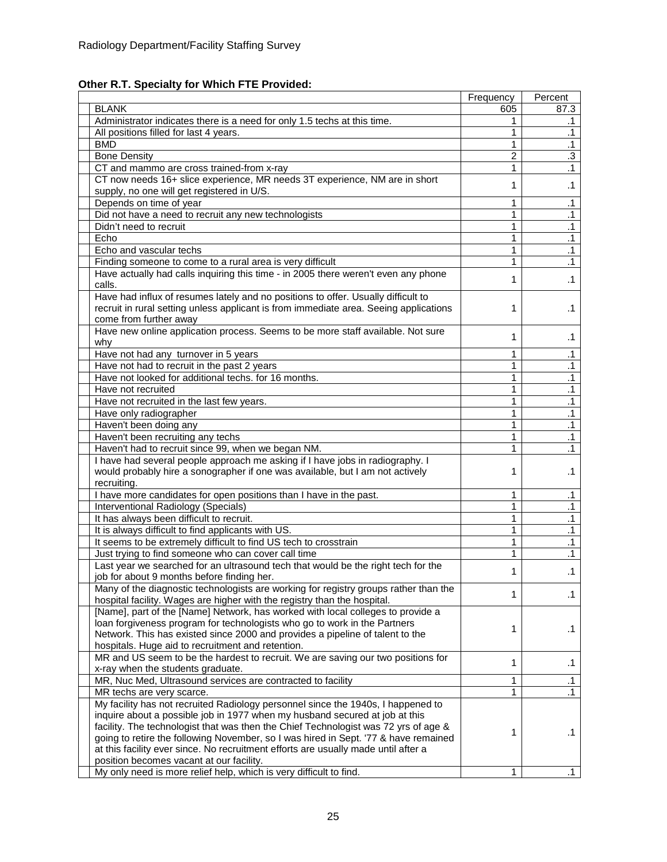| Other R.T. Specialty for Which FTE Provided: |  |  |  |
|----------------------------------------------|--|--|--|
|----------------------------------------------|--|--|--|

|                                                                                       | Frequency | Percent        |
|---------------------------------------------------------------------------------------|-----------|----------------|
| <b>BLANK</b>                                                                          | 605       | 87.3           |
| Administrator indicates there is a need for only 1.5 techs at this time.              | 1         | $\cdot$ 1      |
| All positions filled for last 4 years.                                                | 1         | $\cdot$ 1      |
| <b>BMD</b>                                                                            | 1         | $\cdot$ 1      |
| <b>Bone Density</b>                                                                   | 2         | $\overline{3}$ |
| CT and mammo are cross trained-from x-ray                                             | 1         | $\cdot$ 1      |
| CT now needs 16+ slice experience, MR needs 3T experience, NM are in short            | 1         | $\cdot$ 1      |
| supply, no one will get registered in U/S.                                            |           |                |
| Depends on time of year                                                               | 1         | $\cdot$ 1      |
| Did not have a need to recruit any new technologists                                  | 1         | $\cdot$ 1      |
| Didn't need to recruit                                                                | 1         | $\cdot$ 1      |
| Echo                                                                                  | 1         | $\cdot$ 1      |
| Echo and vascular techs                                                               | 1         | $\cdot$ 1      |
| Finding someone to come to a rural area is very difficult                             | 1         | $\cdot$ 1      |
| Have actually had calls inquiring this time - in 2005 there weren't even any phone    | 1         | $\cdot$ 1      |
| calls.                                                                                |           |                |
| Have had influx of resumes lately and no positions to offer. Usually difficult to     |           |                |
| recruit in rural setting unless applicant is from immediate area. Seeing applications | 1         | $\cdot$ 1      |
| come from further away                                                                |           |                |
| Have new online application process. Seems to be more staff available. Not sure       | 1         | $\cdot$ 1      |
| why                                                                                   |           |                |
| Have not had any turnover in 5 years                                                  | 1         | $\cdot$ 1      |
| Have not had to recruit in the past 2 years                                           | 1         | $\cdot$ 1      |
| Have not looked for additional techs. for 16 months.                                  | 1         | $\cdot$ 1      |
| Have not recruited                                                                    | 1         | $\cdot$ 1      |
| Have not recruited in the last few years.                                             | 1         | $\cdot$ 1      |
| Have only radiographer                                                                | 1         | $\cdot$ 1      |
| Haven't been doing any                                                                | 1         | $\cdot$ 1      |
| Haven't been recruiting any techs                                                     | 1         | .1             |
| Haven't had to recruit since 99, when we began NM.                                    | 1         | $\cdot$ 1      |
| I have had several people approach me asking if I have jobs in radiography. I         |           |                |
| would probably hire a sonographer if one was available, but I am not actively         | 1         | .1             |
| recruiting.                                                                           |           |                |
| I have more candidates for open positions than I have in the past.                    | 1         | $\cdot$ 1      |
| Interventional Radiology (Specials)                                                   | 1         | $\cdot$ 1      |
| It has always been difficult to recruit.                                              | 1         | $\cdot$ 1      |
| It is always difficult to find applicants with US.                                    | 1         | $\cdot$ 1      |
| It seems to be extremely difficult to find US tech to crosstrain                      | 1         | $\cdot$ 1      |
| Just trying to find someone who can cover call time                                   | 1         | $\cdot$ 1      |
| Last year we searched for an ultrasound tech that would be the right tech for the     |           |                |
| job for about 9 months before finding her.                                            | 1         | $\cdot$ 1      |
| Many of the diagnostic technologists are working for registry groups rather than the  |           |                |
| hospital facility. Wages are higher with the registry than the hospital.              | 1         | $\cdot$ 1      |
| [Name], part of the [Name] Network, has worked with local colleges to provide a       |           |                |
| loan forgiveness program for technologists who go to work in the Partners             | 1         |                |
| Network. This has existed since 2000 and provides a pipeline of talent to the         |           | $\cdot$ 1      |
| hospitals. Huge aid to recruitment and retention.                                     |           |                |
| MR and US seem to be the hardest to recruit. We are saving our two positions for      | 1         | $\cdot$ 1      |
| x-ray when the students graduate.                                                     |           |                |
| MR, Nuc Med, Ultrasound services are contracted to facility                           | 1         | $\cdot$ 1      |
| MR techs are very scarce.                                                             | 1         | .1             |
| My facility has not recruited Radiology personnel since the 1940s, I happened to      |           |                |
| inquire about a possible job in 1977 when my husband secured at job at this           |           |                |
| facility. The technologist that was then the Chief Technologist was 72 yrs of age &   | 1         |                |
| going to retire the following November, so I was hired in Sept. '77 & have remained   |           | $\cdot$ 1      |
| at this facility ever since. No recruitment efforts are usually made until after a    |           |                |
| position becomes vacant at our facility.                                              |           |                |
| My only need is more relief help, which is very difficult to find.                    | 1         | .1             |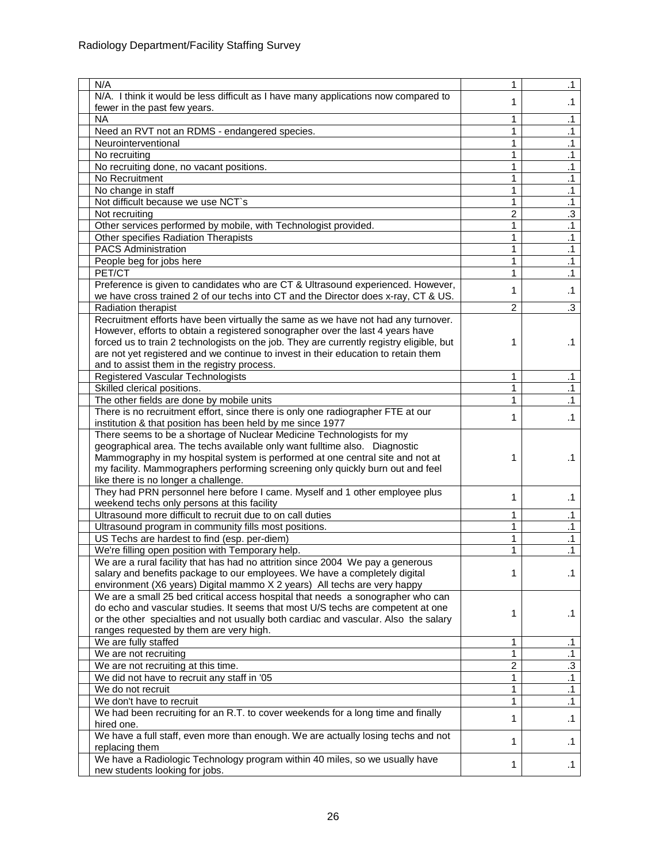| N/A                                                                                      | 1              | $\cdot$ 1       |
|------------------------------------------------------------------------------------------|----------------|-----------------|
| N/A. I think it would be less difficult as I have many applications now compared to      |                |                 |
| fewer in the past few years.                                                             | 1              | $\cdot$ 1       |
| NA                                                                                       | 1              | $\cdot$ 1       |
| Need an RVT not an RDMS - endangered species.                                            | 1              | .1              |
| Neurointerventional                                                                      | 1              | $\cdot$ 1       |
| No recruiting                                                                            | 1              | $\cdot$ 1       |
| No recruiting done, no vacant positions.                                                 | 1              | .1              |
| No Recruitment                                                                           | 1              | $\cdot$ 1       |
| No change in staff                                                                       | 1              | $\cdot$ 1       |
| Not difficult because we use NCT's                                                       | 1              | $\overline{.1}$ |
| Not recruiting                                                                           | $\overline{2}$ | $\cdot$ 3       |
| Other services performed by mobile, with Technologist provided.                          | 1              | .1              |
| Other specifies Radiation Therapists                                                     | 1              | .1              |
| <b>PACS Administration</b>                                                               | 1              | $\cdot$ 1       |
| People beg for jobs here                                                                 | 1              | $\cdot$ 1       |
|                                                                                          | $\mathbf{1}$   |                 |
| PET/CT                                                                                   |                | $\cdot$ 1       |
| Preference is given to candidates who are CT & Ultrasound experienced. However,          | 1              | .1              |
| we have cross trained 2 of our techs into CT and the Director does x-ray, CT & US.       |                |                 |
| Radiation therapist                                                                      | $\overline{2}$ | $\cdot$ 3       |
| Recruitment efforts have been virtually the same as we have not had any turnover.        |                |                 |
| However, efforts to obtain a registered sonographer over the last 4 years have           |                |                 |
| forced us to train 2 technologists on the job. They are currently registry eligible, but | 1              | .1              |
| are not yet registered and we continue to invest in their education to retain them       |                |                 |
| and to assist them in the registry process.                                              |                |                 |
| Registered Vascular Technologists                                                        | 1              | $\cdot$ 1       |
| Skilled clerical positions.                                                              | 1              | $\cdot$ 1       |
| The other fields are done by mobile units                                                | 1              | $\cdot$ 1       |
| There is no recruitment effort, since there is only one radiographer FTE at our          | 1              | .1              |
| institution & that position has been held by me since 1977                               |                |                 |
| There seems to be a shortage of Nuclear Medicine Technologists for my                    |                |                 |
| geographical area. The techs available only want fulltime also. Diagnostic               |                |                 |
| Mammography in my hospital system is performed at one central site and not at            | 1              | .1              |
| my facility. Mammographers performing screening only quickly burn out and feel           |                |                 |
| like there is no longer a challenge.                                                     |                |                 |
| They had PRN personnel here before I came. Myself and 1 other employee plus              | 1              | .1              |
| weekend techs only persons at this facility                                              |                |                 |
| Ultrasound more difficult to recruit due to on call duties                               | 1              | $\cdot$ 1       |
| Ultrasound program in community fills most positions.                                    | $\mathbf{1}$   | $\cdot$ 1       |
| US Techs are hardest to find (esp. per-diem)                                             | 1              | .1              |
| We're filling open position with Temporary help.                                         | $\mathbf{1}$   | $\cdot$ 1       |
| We are a rural facility that has had no attrition since 2004 We pay a generous           |                |                 |
| salary and benefits package to our employees. We have a completely digital               | 1              | $\cdot$ 1       |
| environment (X6 years) Digital mammo X 2 years) All techs are very happy                 |                |                 |
| We are a small 25 bed critical access hospital that needs a sonographer who can          |                |                 |
| do echo and vascular studies. It seems that most U/S techs are competent at one          |                |                 |
| or the other specialties and not usually both cardiac and vascular. Also the salary      | 1              | .1              |
| ranges requested by them are very high.                                                  |                |                 |
| We are fully staffed                                                                     | 1              | $\cdot$ 1       |
| We are not recruiting                                                                    | $\mathbf{1}$   | $\cdot$ 1       |
| We are not recruiting at this time.                                                      | $\overline{2}$ | $\overline{.3}$ |
| We did not have to recruit any staff in '05                                              | 1              | .1              |
| We do not recruit                                                                        | 1              | .1              |
| We don't have to recruit                                                                 | 1              | $\cdot$ 1       |
| We had been recruiting for an R.T. to cover weekends for a long time and finally         |                |                 |
| hired one.                                                                               | $\mathbf{1}$   | .1              |
| We have a full staff, even more than enough. We are actually losing techs and not        |                |                 |
| replacing them                                                                           | 1              | .1              |
| We have a Radiologic Technology program within 40 miles, so we usually have              |                |                 |
| new students looking for jobs.                                                           | 1              | $\cdot$ 1       |
|                                                                                          |                |                 |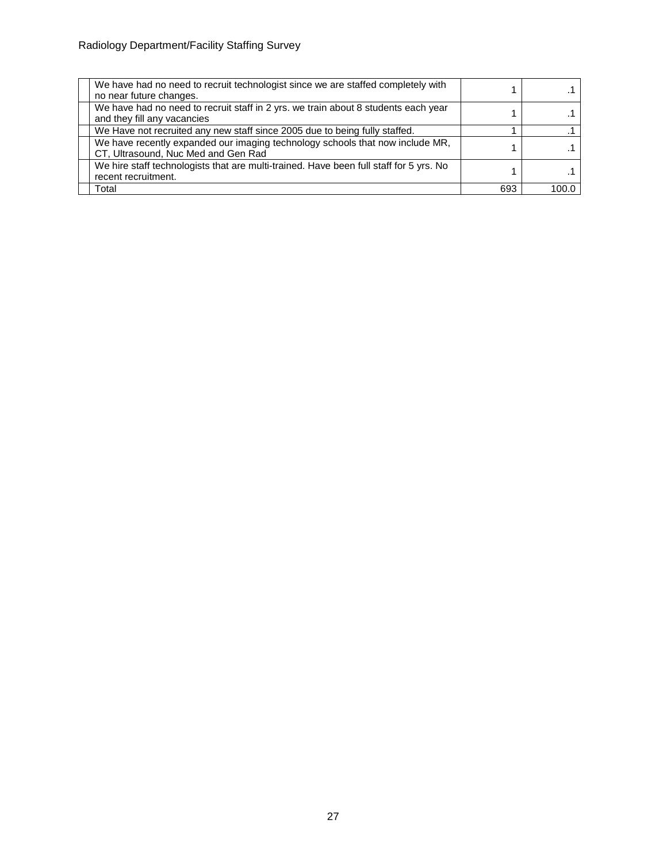| We have had no need to recruit technologist since we are staffed completely with<br>no near future changes.          |     |  |
|----------------------------------------------------------------------------------------------------------------------|-----|--|
| We have had no need to recruit staff in 2 yrs. we train about 8 students each year<br>and they fill any vacancies    |     |  |
| We Have not recruited any new staff since 2005 due to being fully staffed.                                           |     |  |
| We have recently expanded our imaging technology schools that now include MR,<br>CT, Ultrasound, Nuc Med and Gen Rad |     |  |
| We hire staff technologists that are multi-trained. Have been full staff for 5 yrs. No<br>recent recruitment.        |     |  |
| Total                                                                                                                | 693 |  |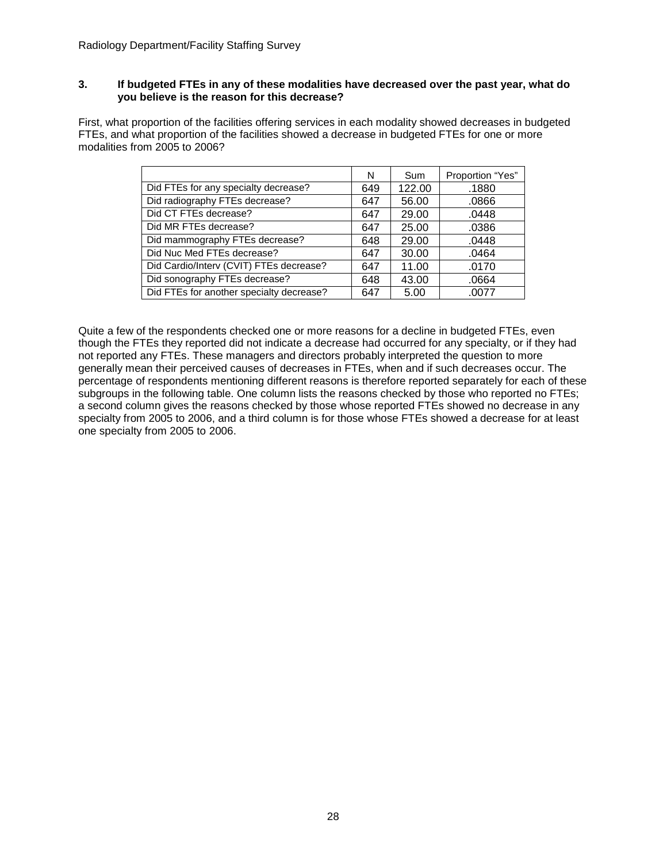#### **3. If budgeted FTEs in any of these modalities have decreased over the past year, what do you believe is the reason for this decrease?**

First, what proportion of the facilities offering services in each modality showed decreases in budgeted FTEs, and what proportion of the facilities showed a decrease in budgeted FTEs for one or more modalities from 2005 to 2006?

|                                          | N   | Sum    | Proportion "Yes" |
|------------------------------------------|-----|--------|------------------|
| Did FTEs for any specialty decrease?     | 649 | 122.00 | .1880            |
| Did radiography FTEs decrease?           | 647 | 56.00  | .0866            |
| Did CT FTEs decrease?                    | 647 | 29.00  | .0448            |
| Did MR FTEs decrease?                    | 647 | 25.00  | .0386            |
| Did mammography FTEs decrease?           | 648 | 29.00  | .0448            |
| Did Nuc Med FTEs decrease?               | 647 | 30.00  | .0464            |
| Did Cardio/Interv (CVIT) FTEs decrease?  | 647 | 11.00  | .0170            |
| Did sonography FTEs decrease?            | 648 | 43.00  | .0664            |
| Did FTEs for another specialty decrease? | 647 | 5.00   | .0077            |

Quite a few of the respondents checked one or more reasons for a decline in budgeted FTEs, even though the FTEs they reported did not indicate a decrease had occurred for any specialty, or if they had not reported any FTEs. These managers and directors probably interpreted the question to more generally mean their perceived causes of decreases in FTEs, when and if such decreases occur. The percentage of respondents mentioning different reasons is therefore reported separately for each of these subgroups in the following table. One column lists the reasons checked by those who reported no FTEs; a second column gives the reasons checked by those whose reported FTEs showed no decrease in any specialty from 2005 to 2006, and a third column is for those whose FTEs showed a decrease for at least one specialty from 2005 to 2006.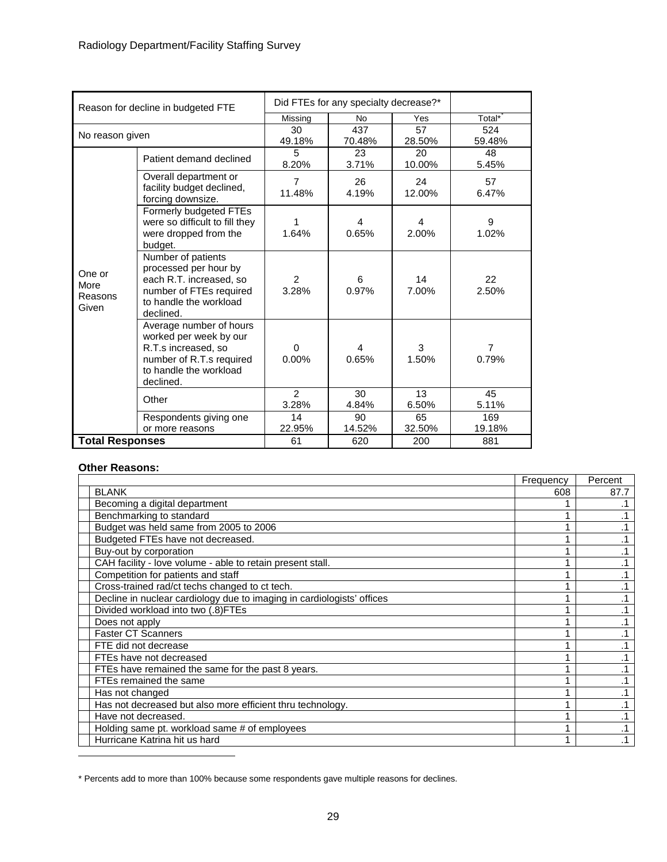|                                    | Reason for decline in budgeted FTE                                                                                                          | Did FTEs for any specialty decrease?* |             |              |                         |
|------------------------------------|---------------------------------------------------------------------------------------------------------------------------------------------|---------------------------------------|-------------|--------------|-------------------------|
|                                    |                                                                                                                                             | Missing                               | <b>No</b>   | Yes          | Total* <sup>*</sup>     |
|                                    |                                                                                                                                             | 30                                    | 437         | 57           | 524                     |
| No reason given                    |                                                                                                                                             | 49.18%                                | 70.48%      | 28.50%       | 59.48%                  |
|                                    | Patient demand declined                                                                                                                     | 5<br>8.20%                            | 23<br>3.71% | 20<br>10.00% | 48<br>5.45%             |
|                                    | Overall department or<br>facility budget declined,<br>forcing downsize.                                                                     | $\overline{7}$<br>11.48%              | 26<br>4.19% | 24<br>12.00% | 57<br>6.47%             |
|                                    | Formerly budgeted FTEs<br>were so difficult to fill they<br>were dropped from the<br>budget.                                                | 1<br>1.64%                            | 4<br>0.65%  | 4<br>2.00%   | 9<br>1.02%              |
| One or<br>More<br>Reasons<br>Given | Number of patients<br>processed per hour by<br>each R.T. increased, so<br>number of FTEs required<br>to handle the workload<br>declined.    | 2<br>3.28%                            | 6<br>0.97%  | 14<br>7.00%  | 22<br>2.50%             |
|                                    | Average number of hours<br>worked per week by our<br>R.T.s increased, so<br>number of R.T.s required<br>to handle the workload<br>declined. | $\Omega$<br>$0.00\%$                  | 4<br>0.65%  | 3<br>1.50%   | $\overline{7}$<br>0.79% |
|                                    | Other                                                                                                                                       | $\mathfrak{p}$<br>3.28%               | 30<br>4.84% | 13<br>6.50%  | 45<br>5.11%             |
|                                    | Respondents giving one                                                                                                                      | 14                                    | 90          | 65           | 169                     |
|                                    | or more reasons                                                                                                                             | 22.95%                                | 14.52%      | 32.50%       | 19.18%                  |
| <b>Total Responses</b>             |                                                                                                                                             | 61                                    | 620         | 200          | 881                     |

#### **Other Reasons:**

-

|                                                                        | Frequency | Percent |
|------------------------------------------------------------------------|-----------|---------|
| <b>BLANK</b>                                                           | 608       | 87.7    |
| Becoming a digital department                                          |           |         |
| Benchmarking to standard                                               |           |         |
| Budget was held same from 2005 to 2006                                 |           |         |
| Budgeted FTEs have not decreased.                                      |           |         |
| Buy-out by corporation                                                 |           |         |
| CAH facility - love volume - able to retain present stall.             |           |         |
| Competition for patients and staff                                     |           | .1      |
| Cross-trained rad/ct techs changed to ct tech.                         |           | .1      |
| Decline in nuclear cardiology due to imaging in cardiologists' offices |           |         |
| Divided workload into two (.8)FTEs                                     |           |         |
| Does not apply                                                         |           |         |
| <b>Faster CT Scanners</b>                                              |           | .1      |
| FTE did not decrease                                                   |           |         |
| FTEs have not decreased                                                |           |         |
| FTEs have remained the same for the past 8 years.                      |           |         |
| FTEs remained the same                                                 |           |         |
| Has not changed                                                        |           | .1      |
| Has not decreased but also more efficient thru technology.             |           |         |
| Have not decreased.                                                    |           |         |
| Holding same pt. workload same # of employees                          |           |         |
| Hurricane Katrina hit us hard                                          |           |         |

<span id="page-28-0"></span><sup>\*</sup> Percents add to more than 100% because some respondents gave multiple reasons for declines.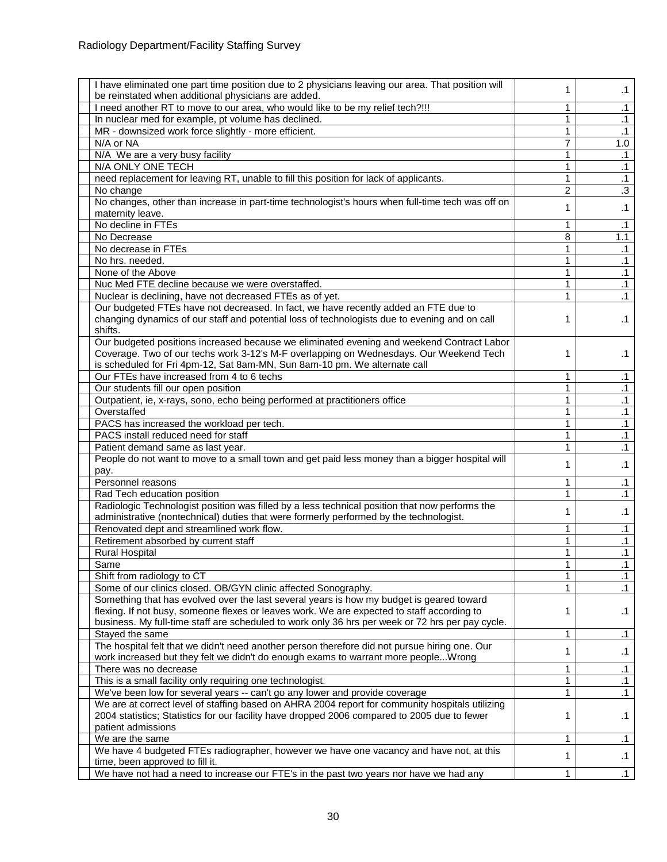| I have eliminated one part time position due to 2 physicians leaving our area. That position will<br>be reinstated when additional physicians are added.                                                                                                                                   | 1            | $\cdot$ 1 |
|--------------------------------------------------------------------------------------------------------------------------------------------------------------------------------------------------------------------------------------------------------------------------------------------|--------------|-----------|
| I need another RT to move to our area, who would like to be my relief tech?!!!                                                                                                                                                                                                             | 1            | $\cdot$ 1 |
| In nuclear med for example, pt volume has declined.                                                                                                                                                                                                                                        | 1            | $\cdot$ 1 |
| MR - downsized work force slightly - more efficient.                                                                                                                                                                                                                                       | 1            | $\cdot$ 1 |
| N/A or NA                                                                                                                                                                                                                                                                                  | 7            | 1.0       |
| N/A We are a very busy facility                                                                                                                                                                                                                                                            | $\mathbf{1}$ | $\cdot$ 1 |
| N/A ONLY ONE TECH                                                                                                                                                                                                                                                                          | 1            |           |
|                                                                                                                                                                                                                                                                                            | 1            | $\cdot$ 1 |
| need replacement for leaving RT, unable to fill this position for lack of applicants.                                                                                                                                                                                                      |              | $\cdot$ 1 |
| No change                                                                                                                                                                                                                                                                                  | 2            | $\cdot$ 3 |
| No changes, other than increase in part-time technologist's hours when full-time tech was off on<br>maternity leave.                                                                                                                                                                       | 1            | $\cdot$ 1 |
| No decline in FTEs                                                                                                                                                                                                                                                                         | 1            | $\cdot$ 1 |
| No Decrease                                                                                                                                                                                                                                                                                | 8            | 1.1       |
| No decrease in FTEs                                                                                                                                                                                                                                                                        | 1            | $\cdot$ 1 |
| No hrs. needed.                                                                                                                                                                                                                                                                            | 1            | $\cdot$ 1 |
| None of the Above                                                                                                                                                                                                                                                                          | $\mathbf{1}$ | $\cdot$ 1 |
| Nuc Med FTE decline because we were overstaffed.                                                                                                                                                                                                                                           | 1            | $\cdot$ 1 |
| Nuclear is declining, have not decreased FTEs as of yet.                                                                                                                                                                                                                                   | 1            | $\cdot$ 1 |
| Our budgeted FTEs have not decreased. In fact, we have recently added an FTE due to                                                                                                                                                                                                        |              |           |
| changing dynamics of our staff and potential loss of technologists due to evening and on call<br>shifts.                                                                                                                                                                                   | 1            | $\cdot$ 1 |
| Our budgeted positions increased because we eliminated evening and weekend Contract Labor<br>Coverage. Two of our techs work 3-12's M-F overlapping on Wednesdays. Our Weekend Tech<br>is scheduled for Fri 4pm-12, Sat 8am-MN, Sun 8am-10 pm. We alternate call                           | 1            | $\cdot$ 1 |
| Our FTEs have increased from 4 to 6 techs                                                                                                                                                                                                                                                  | 1            | $\cdot$ 1 |
| Our students fill our open position                                                                                                                                                                                                                                                        | 1            | $\cdot$ 1 |
| Outpatient, ie, x-rays, sono, echo being performed at practitioners office                                                                                                                                                                                                                 | 1            | $\cdot$ 1 |
| Overstaffed                                                                                                                                                                                                                                                                                | 1            | $\cdot$ 1 |
| PACS has increased the workload per tech.                                                                                                                                                                                                                                                  | 1            | $\cdot$ 1 |
| PACS install reduced need for staff                                                                                                                                                                                                                                                        | 1            | $\cdot$ 1 |
| Patient demand same as last year.                                                                                                                                                                                                                                                          | 1            | $\cdot$ 1 |
| People do not want to move to a small town and get paid less money than a bigger hospital will                                                                                                                                                                                             |              |           |
| pay.                                                                                                                                                                                                                                                                                       | 1            | $\cdot$ 1 |
| Personnel reasons                                                                                                                                                                                                                                                                          | 1            | $\cdot$ 1 |
| Rad Tech education position                                                                                                                                                                                                                                                                | 1            | $\cdot$ 1 |
| Radiologic Technologist position was filled by a less technical position that now performs the<br>administrative (nontechnical) duties that were formerly performed by the technologist.                                                                                                   | 1            | $\cdot$ 1 |
| Renovated dept and streamlined work flow.                                                                                                                                                                                                                                                  | 1            | $\cdot$ 1 |
| Retirement absorbed by current staff                                                                                                                                                                                                                                                       | 1            | $\cdot$ 1 |
| <b>Rural Hospital</b>                                                                                                                                                                                                                                                                      | 1            |           |
|                                                                                                                                                                                                                                                                                            |              | $\cdot$ 1 |
| Same                                                                                                                                                                                                                                                                                       | 1            | $\cdot$ 1 |
| Shift from radiology to CT                                                                                                                                                                                                                                                                 | 1            | $\cdot$ 1 |
| Some of our clinics closed. OB/GYN clinic affected Sonography.                                                                                                                                                                                                                             | 1            | $\cdot$ 1 |
| Something that has evolved over the last several years is how my budget is geared toward<br>flexing. If not busy, someone flexes or leaves work. We are expected to staff according to<br>business. My full-time staff are scheduled to work only 36 hrs per week or 72 hrs per pay cycle. | 1            | $\cdot$ 1 |
| Stayed the same                                                                                                                                                                                                                                                                            | 1            | $\cdot$ 1 |
| The hospital felt that we didn't need another person therefore did not pursue hiring one. Our<br>work increased but they felt we didn't do enough exams to warrant more peopleWrong                                                                                                        | 1            | $\cdot$ 1 |
| There was no decrease                                                                                                                                                                                                                                                                      | 1            |           |
| This is a small facility only requiring one technologist.                                                                                                                                                                                                                                  | 1            | $\cdot$ 1 |
|                                                                                                                                                                                                                                                                                            |              | $\cdot$ 1 |
| We've been low for several years -- can't go any lower and provide coverage                                                                                                                                                                                                                | 1            | $\cdot$ 1 |
| We are at correct level of staffing based on AHRA 2004 report for community hospitals utilizing<br>2004 statistics; Statistics for our facility have dropped 2006 compared to 2005 due to fewer<br>patient admissions                                                                      | 1            | $\cdot$ 1 |
| We are the same                                                                                                                                                                                                                                                                            | 1            | $\cdot$ 1 |
| We have 4 budgeted FTEs radiographer, however we have one vacancy and have not, at this<br>time, been approved to fill it.                                                                                                                                                                 | 1            | $\cdot$ 1 |
| We have not had a need to increase our FTE's in the past two years nor have we had any                                                                                                                                                                                                     | $\mathbf{1}$ | .1        |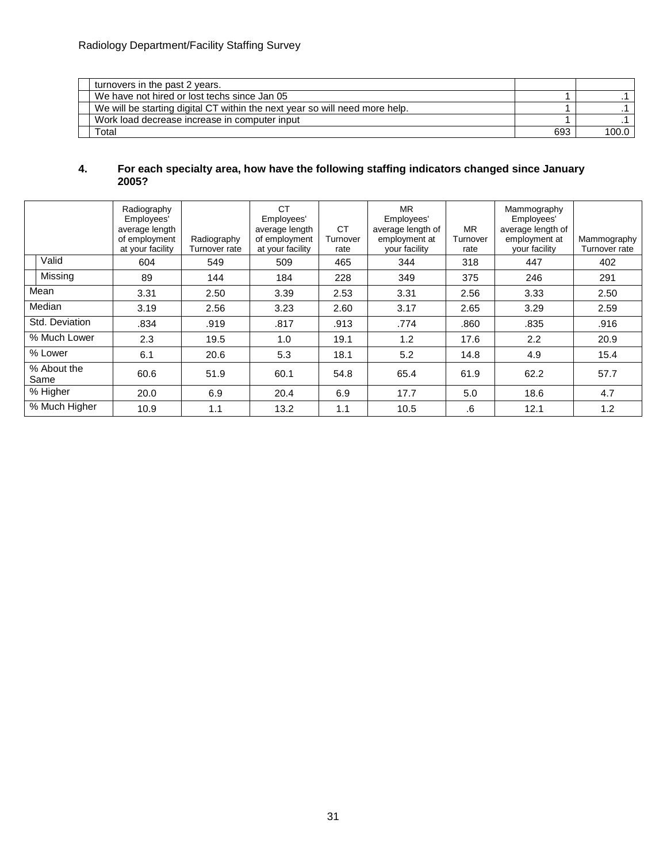| turnovers in the past 2 years.                                              |     |         |
|-----------------------------------------------------------------------------|-----|---------|
| We have not hired or lost techs since Jan 05                                |     |         |
| We will be starting digital CT within the next year so will need more help. |     |         |
| Work load decrease increase in computer input                               |     |         |
| Total                                                                       | 693 | 100.0 l |

#### **4. For each specialty area, how have the following staffing indicators changed since January 2005?**

|                     | Radiography<br>Employees'<br>average length<br>of employment<br>at your facility | Radiography<br>Turnover rate | <b>CT</b><br>Employees'<br>average length<br>of employment<br>at your facility | <b>CT</b><br>Turnover<br>rate | <b>MR</b><br>Employees'<br>average length of<br>employment at<br>your facility | <b>MR</b><br>Turnover<br>rate | Mammography<br>Employees'<br>average length of<br>employment at<br>your facility | Mammography<br>Turnover rate |
|---------------------|----------------------------------------------------------------------------------|------------------------------|--------------------------------------------------------------------------------|-------------------------------|--------------------------------------------------------------------------------|-------------------------------|----------------------------------------------------------------------------------|------------------------------|
| Valid               | 604                                                                              | 549                          | 509                                                                            | 465                           | 344                                                                            | 318                           | 447                                                                              | 402                          |
| Missing             | 89                                                                               | 144                          | 184                                                                            | 228                           | 349                                                                            | 375                           | 246                                                                              | 291                          |
| Mean                | 3.31                                                                             | 2.50                         | 3.39                                                                           | 2.53                          | 3.31                                                                           | 2.56                          | 3.33                                                                             | 2.50                         |
| Median              | 3.19                                                                             | 2.56                         | 3.23                                                                           | 2.60                          | 3.17                                                                           | 2.65                          | 3.29                                                                             | 2.59                         |
| Std. Deviation      | .834                                                                             | .919                         | .817                                                                           | .913                          | .774                                                                           | .860                          | .835                                                                             | .916                         |
| % Much Lower        | 2.3                                                                              | 19.5                         | 1.0                                                                            | 19.1                          | 1.2                                                                            | 17.6                          | 2.2                                                                              | 20.9                         |
| % Lower             | 6.1                                                                              | 20.6                         | 5.3                                                                            | 18.1                          | 5.2                                                                            | 14.8                          | 4.9                                                                              | 15.4                         |
| % About the<br>Same | 60.6                                                                             | 51.9                         | 60.1                                                                           | 54.8                          | 65.4                                                                           | 61.9                          | 62.2                                                                             | 57.7                         |
| % Higher            | 20.0                                                                             | 6.9                          | 20.4                                                                           | 6.9                           | 17.7                                                                           | 5.0                           | 18.6                                                                             | 4.7                          |
| % Much Higher       | 10.9                                                                             | 1.1                          | 13.2                                                                           | 1.1                           | 10.5                                                                           | .6                            | 12.1                                                                             | 1.2                          |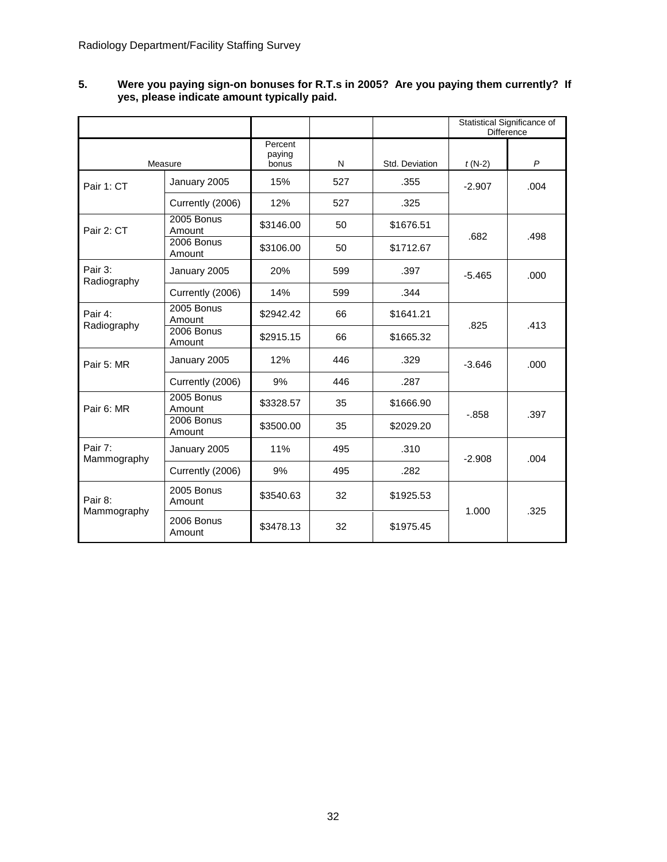|                        |                      |                            |     | Statistical Significance of<br>Difference |          |              |
|------------------------|----------------------|----------------------------|-----|-------------------------------------------|----------|--------------|
| Measure                |                      | Percent<br>paying<br>bonus | N   | Std. Deviation                            | $t(N-2)$ | $\mathsf{P}$ |
| Pair 1: CT             | January 2005         | 15%                        | 527 | .355                                      | $-2.907$ | .004         |
|                        | Currently (2006)     | 12%                        | 527 | .325                                      |          |              |
| Pair 2: CT             | 2005 Bonus<br>Amount | \$3146.00                  | 50  | \$1676.51                                 | .682     | .498         |
|                        | 2006 Bonus<br>Amount | \$3106.00                  | 50  | \$1712.67                                 |          |              |
| Pair 3:<br>Radiography | January 2005         | 20%                        | 599 | .397                                      | $-5.465$ | .000         |
|                        | Currently (2006)     | 14%                        | 599 | .344                                      |          |              |
| Pair 4:                | 2005 Bonus<br>Amount | \$2942.42                  | 66  | \$1641.21                                 | .825     | .413         |
| Radiography            | 2006 Bonus<br>Amount | \$2915.15                  | 66  | \$1665.32                                 |          |              |
| Pair 5: MR             | January 2005         | 12%                        | 446 | .329                                      | $-3.646$ | .000         |
|                        | Currently (2006)     | 9%                         | 446 | .287                                      |          |              |
| Pair 6: MR             | 2005 Bonus<br>Amount | \$3328.57                  | 35  | \$1666.90                                 | $-0.858$ | .397         |
|                        | 2006 Bonus<br>Amount | \$3500.00                  | 35  | \$2029.20                                 |          |              |
| Pair 7:<br>Mammography | January 2005         | 11%                        | 495 | .310                                      | $-2.908$ | .004         |
|                        | Currently (2006)     | 9%                         | 495 | .282                                      |          |              |
| Pair 8:                | 2005 Bonus<br>Amount | \$3540.63                  | 32  | \$1925.53                                 | 1.000    | .325         |
| Mammography            | 2006 Bonus<br>Amount | \$3478.13                  | 32  | \$1975.45                                 |          |              |

#### **5. Were you paying sign-on bonuses for R.T.s in 2005? Are you paying them currently? If yes, please indicate amount typically paid.**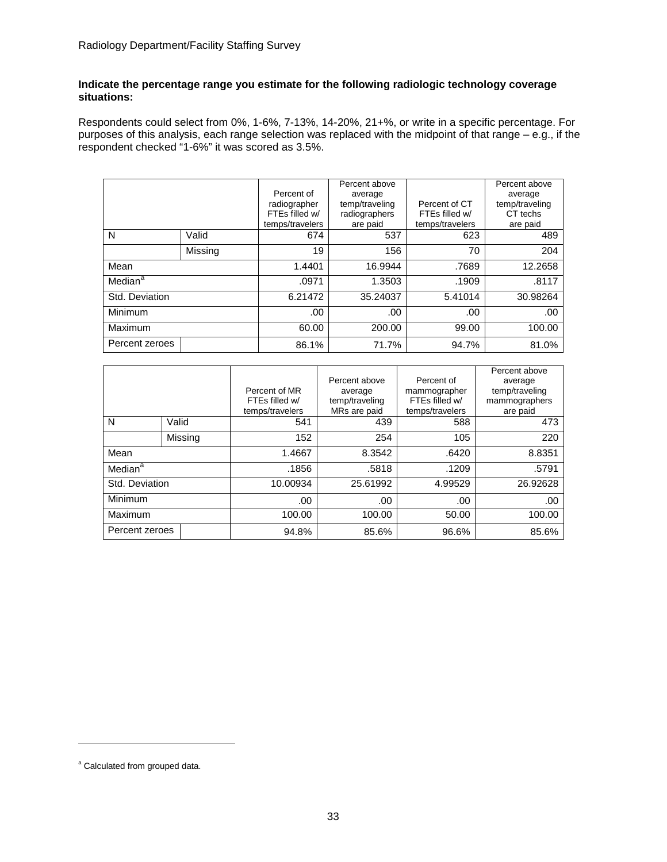#### **Indicate the percentage range you estimate for the following radiologic technology coverage situations:**

Respondents could select from 0%, 1-6%, 7-13%, 14-20%, 21+%, or write in a specific percentage. For purposes of this analysis, each range selection was replaced with the midpoint of that range – e.g., if the respondent checked "1-6%" it was scored as 3.5%.

|                     |         | Percent of<br>radiographer<br>FTEs filled w/<br>temps/travelers | Percent above<br>average<br>temp/traveling<br>radiographers<br>are paid | Percent of CT<br>FTEs filled w/<br>temps/travelers | Percent above<br>average<br>temp/traveling<br>CT techs<br>are paid |
|---------------------|---------|-----------------------------------------------------------------|-------------------------------------------------------------------------|----------------------------------------------------|--------------------------------------------------------------------|
| N                   | Valid   | 674                                                             | 537                                                                     | 623                                                | 489                                                                |
|                     | Missing | 19                                                              | 156                                                                     | 70                                                 | 204                                                                |
| Mean                |         | 1.4401                                                          | 16.9944                                                                 | .7689                                              | 12.2658                                                            |
| Median <sup>a</sup> |         | .0971                                                           | 1.3503                                                                  | .1909                                              | .8117                                                              |
| Std. Deviation      |         | 6.21472                                                         | 35.24037                                                                | 5.41014                                            | 30.98264                                                           |
| Minimum             |         | .00                                                             | .00                                                                     | .00                                                | .00                                                                |
| Maximum             |         | 60.00                                                           | 200.00                                                                  | 99.00                                              | 100.00                                                             |
| Percent zeroes      |         | 86.1%                                                           | 71.7%                                                                   | 94.7%                                              | 81.0%                                                              |

|                     |         | Percent of MR<br>FTEs filled w/<br>temps/travelers | Percent above<br>average<br>temp/traveling<br>MRs are paid | Percent of<br>mammographer<br>FTEs filled w/<br>temps/travelers | Percent above<br>average<br>temp/traveling<br>mammographers<br>are paid |
|---------------------|---------|----------------------------------------------------|------------------------------------------------------------|-----------------------------------------------------------------|-------------------------------------------------------------------------|
| N                   | Valid   | 541                                                | 439                                                        | 588                                                             | 473                                                                     |
|                     | Missing | 152                                                | 254                                                        | 105                                                             | 220                                                                     |
| Mean                |         | 1.4667                                             | 8.3542                                                     | .6420                                                           | 8.8351                                                                  |
| Median <sup>a</sup> |         | .1856                                              | .5818                                                      | .1209                                                           | .5791                                                                   |
| Std. Deviation      |         | 10.00934                                           | 25.61992                                                   | 4.99529                                                         | 26.92628                                                                |
| Minimum             |         | .00                                                | .00                                                        | .00                                                             | .00                                                                     |
| Maximum             |         | 100.00                                             | 100.00                                                     | 50.00                                                           | 100.00                                                                  |
| Percent zeroes      |         | 94.8%                                              | 85.6%                                                      | 96.6%                                                           | 85.6%                                                                   |

j

a Calculated from grouped data.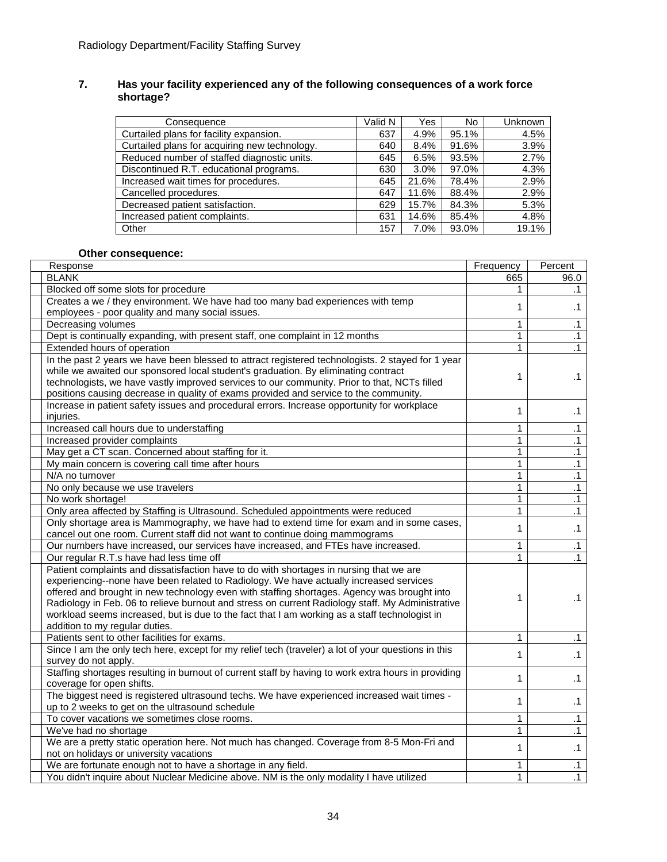#### **7. Has your facility experienced any of the following consequences of a work force shortage?**

| Consequence                                   | Valid N | Yes   | <b>No</b> | Unknown |
|-----------------------------------------------|---------|-------|-----------|---------|
| Curtailed plans for facility expansion.       | 637     | 4.9%  | 95.1%     | 4.5%    |
| Curtailed plans for acquiring new technology. | 640     | 8.4%  | 91.6%     | 3.9%    |
| Reduced number of staffed diagnostic units.   | 645     | 6.5%  | 93.5%     | 2.7%    |
| Discontinued R.T. educational programs.       | 630     | 3.0%  | 97.0%     | 4.3%    |
| Increased wait times for procedures.          | 645     | 21.6% | 78.4%     | 2.9%    |
| Cancelled procedures.                         | 647     | 11.6% | 88.4%     | 2.9%    |
| Decreased patient satisfaction.               | 629     | 15.7% | 84.3%     | 5.3%    |
| Increased patient complaints.                 | 631     | 14.6% | 85.4%     | 4.8%    |
| Other                                         | 157     | 7.0%  | 93.0%     | 19.1%   |

# **Other consequence:**

| Response                                                                                            | Frequency    | Percent         |
|-----------------------------------------------------------------------------------------------------|--------------|-----------------|
| <b>BLANK</b>                                                                                        | 665          | 96.0            |
| Blocked off some slots for procedure                                                                | 1            | .1              |
| Creates a we / they environment. We have had too many bad experiences with temp                     | 1            | $\cdot$ 1       |
| employees - poor quality and many social issues.                                                    |              |                 |
| Decreasing volumes                                                                                  | $\mathbf{1}$ | $\cdot$ 1       |
| Dept is continually expanding, with present staff, one complaint in 12 months                       | $\mathbf{1}$ | $\overline{.1}$ |
| Extended hours of operation                                                                         | $\mathbf{1}$ | $\cdot$ 1       |
| In the past 2 years we have been blessed to attract registered technologists. 2 stayed for 1 year   |              |                 |
| while we awaited our sponsored local student's graduation. By eliminating contract                  | 1            | .1              |
| technologists, we have vastly improved services to our community. Prior to that, NCTs filled        |              |                 |
| positions causing decrease in quality of exams provided and service to the community.               |              |                 |
| Increase in patient safety issues and procedural errors. Increase opportunity for workplace         | 1            | .1              |
| injuries.                                                                                           |              |                 |
| Increased call hours due to understaffing                                                           | $\mathbf{1}$ | $\cdot$ 1       |
| Increased provider complaints                                                                       | $\mathbf{1}$ | $\cdot$ 1       |
| May get a CT scan. Concerned about staffing for it.                                                 | 1            | $\cdot$ 1       |
| My main concern is covering call time after hours                                                   | 1            | $\cdot$ 1       |
| N/A no turnover                                                                                     | 1            | $\overline{.1}$ |
| No only because we use travelers                                                                    | 1            | $\cdot$ 1       |
| No work shortage!                                                                                   | $\mathbf{1}$ | $\cdot$ 1       |
| Only area affected by Staffing is Ultrasound. Scheduled appointments were reduced                   | $\mathbf{1}$ | $\overline{.1}$ |
| Only shortage area is Mammography, we have had to extend time for exam and in some cases,           |              |                 |
| cancel out one room. Current staff did not want to continue doing mammograms                        | 1            | $\cdot$ 1       |
| Our numbers have increased, our services have increased, and FTEs have increased.                   | 1            | $\overline{.1}$ |
| Our regular R.T.s have had less time off                                                            | 1            | $\cdot$ 1       |
| Patient complaints and dissatisfaction have to do with shortages in nursing that we are             |              |                 |
| experiencing--none have been related to Radiology. We have actually increased services              |              |                 |
| offered and brought in new technology even with staffing shortages. Agency was brought into         |              |                 |
| Radiology in Feb. 06 to relieve burnout and stress on current Radiology staff. My Administrative    | 1            | .1              |
| workload seems increased, but is due to the fact that I am working as a staff technologist in       |              |                 |
| addition to my regular duties.                                                                      |              |                 |
| Patients sent to other facilities for exams.                                                        | 1            | $\cdot$ 1       |
| Since I am the only tech here, except for my relief tech (traveler) a lot of your questions in this | 1            | $\cdot$ 1       |
| survey do not apply.                                                                                |              |                 |
| Staffing shortages resulting in burnout of current staff by having to work extra hours in providing | 1            | $\cdot$ 1       |
| coverage for open shifts.                                                                           |              |                 |
| The biggest need is registered ultrasound techs. We have experienced increased wait times -         | 1            | $\cdot$ 1       |
| up to 2 weeks to get on the ultrasound schedule                                                     |              |                 |
| To cover vacations we sometimes close rooms.                                                        | 1            | $\cdot$ 1       |
| We've had no shortage                                                                               | 1            | $\cdot$ 1       |
| We are a pretty static operation here. Not much has changed. Coverage from 8-5 Mon-Fri and          | 1            | $\cdot$ 1       |
| not on holidays or university vacations                                                             |              |                 |
| We are fortunate enough not to have a shortage in any field.                                        | 1            | $\cdot$ 1       |
| You didn't inquire about Nuclear Medicine above. NM is the only modality I have utilized            | 1            | $\overline{.1}$ |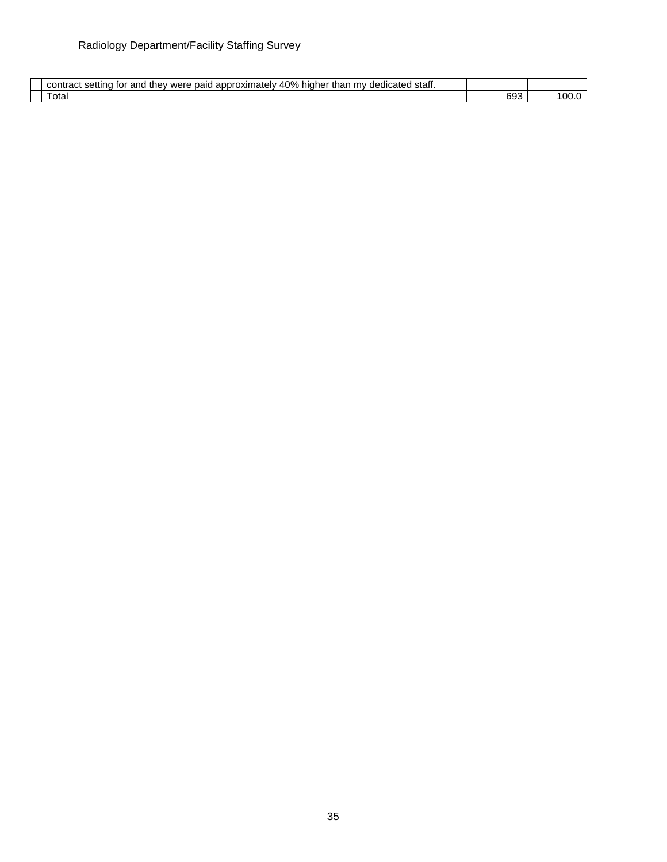| $\Lambda$ <sup>O</sup><br>ated<br>staff<br>∩atel∨<br>and<br>.oxim<br>____<br>higher<br>--<br>dedica<br>wer<br>$\sim$<br>w<br>appr<br>TOI<br>paid<br>mev<br>a ian-<br>70<br>шаы<br>סוכו<br>our |               |     |
|-----------------------------------------------------------------------------------------------------------------------------------------------------------------------------------------------|---------------|-----|
| otal                                                                                                                                                                                          | $\sim$<br>ხუა | '00 |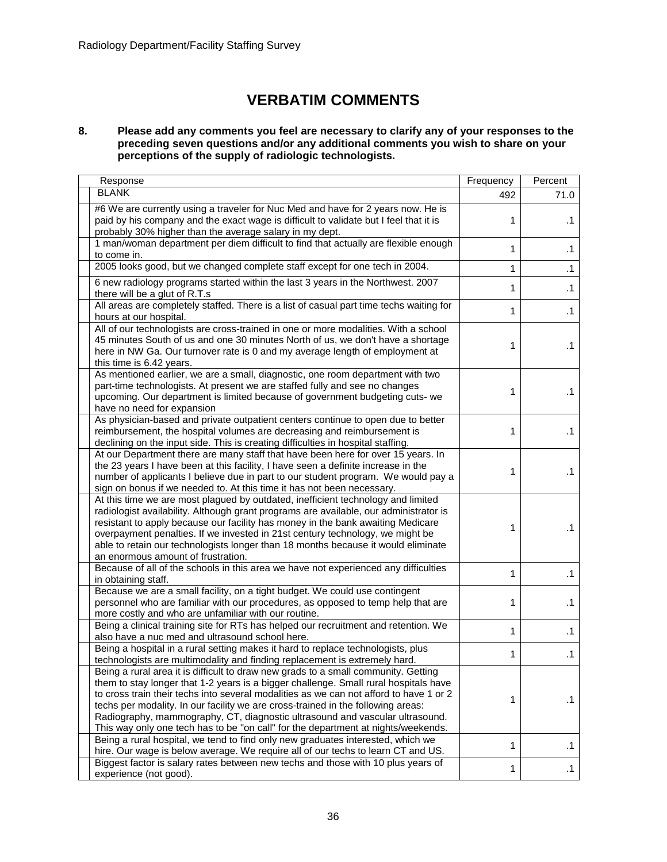# **VERBATIM COMMENTS**

#### <span id="page-35-0"></span>**8. Please add any comments you feel are necessary to clarify any of your responses to the preceding seven questions and/or any additional comments you wish to share on your perceptions of the supply of radiologic technologists.**

| Response                                                                                                                                                                                                                                                                                                                                                                                                                                                                                                                                                                                                    | Frequency | Percent   |
|-------------------------------------------------------------------------------------------------------------------------------------------------------------------------------------------------------------------------------------------------------------------------------------------------------------------------------------------------------------------------------------------------------------------------------------------------------------------------------------------------------------------------------------------------------------------------------------------------------------|-----------|-----------|
| <b>BLANK</b>                                                                                                                                                                                                                                                                                                                                                                                                                                                                                                                                                                                                | 492       | 71.0      |
| #6 We are currently using a traveler for Nuc Med and have for 2 years now. He is<br>paid by his company and the exact wage is difficult to validate but I feel that it is<br>probably 30% higher than the average salary in my dept.                                                                                                                                                                                                                                                                                                                                                                        | 1         | $\cdot$ 1 |
| 1 man/woman department per diem difficult to find that actually are flexible enough<br>to come in.                                                                                                                                                                                                                                                                                                                                                                                                                                                                                                          | 1         | $\cdot$ 1 |
| 2005 looks good, but we changed complete staff except for one tech in 2004.                                                                                                                                                                                                                                                                                                                                                                                                                                                                                                                                 | 1         | $\cdot$ 1 |
| 6 new radiology programs started within the last 3 years in the Northwest. 2007<br>there will be a glut of R.T.s                                                                                                                                                                                                                                                                                                                                                                                                                                                                                            | 1         | $\cdot$ 1 |
| All areas are completely staffed. There is a list of casual part time techs waiting for<br>hours at our hospital.                                                                                                                                                                                                                                                                                                                                                                                                                                                                                           | 1         | $\cdot$ 1 |
| All of our technologists are cross-trained in one or more modalities. With a school<br>45 minutes South of us and one 30 minutes North of us, we don't have a shortage<br>here in NW Ga. Our turnover rate is 0 and my average length of employment at<br>this time is 6.42 years.                                                                                                                                                                                                                                                                                                                          | 1         | .1        |
| As mentioned earlier, we are a small, diagnostic, one room department with two<br>part-time technologists. At present we are staffed fully and see no changes<br>upcoming. Our department is limited because of government budgeting cuts- we<br>have no need for expansion                                                                                                                                                                                                                                                                                                                                 | 1         | .1        |
| As physician-based and private outpatient centers continue to open due to better<br>reimbursement, the hospital volumes are decreasing and reimbursement is<br>declining on the input side. This is creating difficulties in hospital staffing.                                                                                                                                                                                                                                                                                                                                                             | 1         | .1        |
| At our Department there are many staff that have been here for over 15 years. In<br>the 23 years I have been at this facility, I have seen a definite increase in the<br>number of applicants I believe due in part to our student program. We would pay a<br>sign on bonus if we needed to. At this time it has not been necessary.                                                                                                                                                                                                                                                                        | 1         | .1        |
| At this time we are most plagued by outdated, inefficient technology and limited<br>radiologist availability. Although grant programs are available, our administrator is<br>resistant to apply because our facility has money in the bank awaiting Medicare<br>overpayment penalties. If we invested in 21st century technology, we might be<br>able to retain our technologists longer than 18 months because it would eliminate<br>an enormous amount of frustration.                                                                                                                                    | 1         | $\cdot$ 1 |
| Because of all of the schools in this area we have not experienced any difficulties<br>in obtaining staff.                                                                                                                                                                                                                                                                                                                                                                                                                                                                                                  | 1         | .1        |
| Because we are a small facility, on a tight budget. We could use contingent<br>personnel who are familiar with our procedures, as opposed to temp help that are<br>more costly and who are unfamiliar with our routine.                                                                                                                                                                                                                                                                                                                                                                                     | 1         | $\cdot$ 1 |
| Being a clinical training site for RTs has helped our recruitment and retention. We<br>also have a nuc med and ultrasound school here.                                                                                                                                                                                                                                                                                                                                                                                                                                                                      | 1         | $\cdot$ 1 |
| Being a hospital in a rural setting makes it hard to replace technologists, plus                                                                                                                                                                                                                                                                                                                                                                                                                                                                                                                            | 1         | $\cdot$ 1 |
| technologists are multimodality and finding replacement is extremely hard.<br>Being a rural area it is difficult to draw new grads to a small community. Getting<br>them to stay longer that 1-2 years is a bigger challenge. Small rural hospitals have<br>to cross train their techs into several modalities as we can not afford to have 1 or 2<br>techs per modality. In our facility we are cross-trained in the following areas:<br>Radiography, mammography, CT, diagnostic ultrasound and vascular ultrasound.<br>This way only one tech has to be "on call" for the department at nights/weekends. | 1         | $\cdot$ 1 |
| Being a rural hospital, we tend to find only new graduates interested, which we<br>hire. Our wage is below average. We require all of our techs to learn CT and US.                                                                                                                                                                                                                                                                                                                                                                                                                                         | 1         | $\cdot$ 1 |
| Biggest factor is salary rates between new techs and those with 10 plus years of<br>experience (not good).                                                                                                                                                                                                                                                                                                                                                                                                                                                                                                  | 1         | $\cdot$ 1 |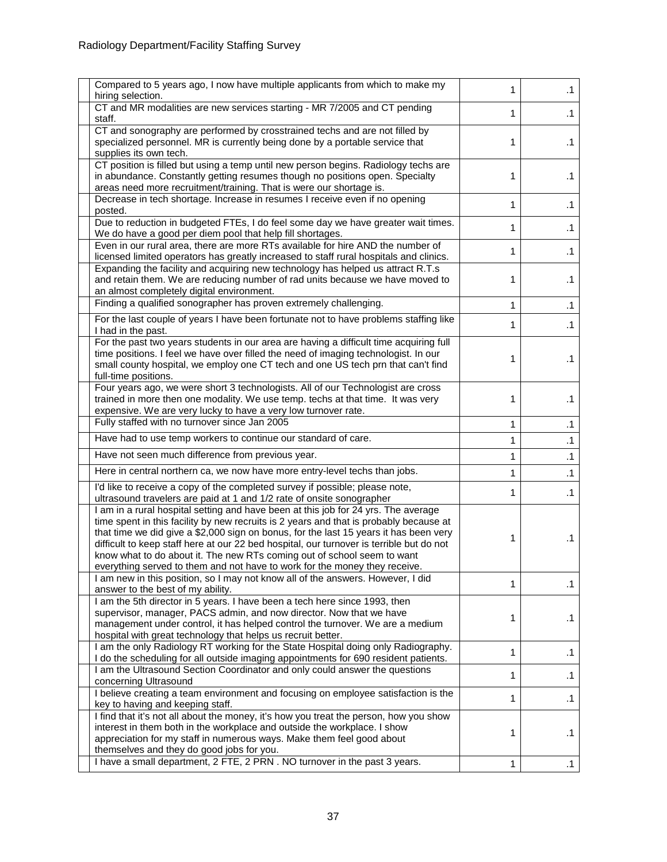| Compared to 5 years ago, I now have multiple applicants from which to make my<br>hiring selection.                                                                                                                                                                                                                                                                                                                                                                                                                         | 1 | .1        |
|----------------------------------------------------------------------------------------------------------------------------------------------------------------------------------------------------------------------------------------------------------------------------------------------------------------------------------------------------------------------------------------------------------------------------------------------------------------------------------------------------------------------------|---|-----------|
| CT and MR modalities are new services starting - MR 7/2005 and CT pending<br>staff.                                                                                                                                                                                                                                                                                                                                                                                                                                        | 1 | $\cdot$ 1 |
| CT and sonography are performed by crosstrained techs and are not filled by<br>specialized personnel. MR is currently being done by a portable service that<br>supplies its own tech.                                                                                                                                                                                                                                                                                                                                      | 1 | $\cdot$ 1 |
| CT position is filled but using a temp until new person begins. Radiology techs are<br>in abundance. Constantly getting resumes though no positions open. Specialty<br>areas need more recruitment/training. That is were our shortage is.                                                                                                                                                                                                                                                                                 | 1 | $\cdot$ 1 |
| Decrease in tech shortage. Increase in resumes I receive even if no opening<br>posted.                                                                                                                                                                                                                                                                                                                                                                                                                                     | 1 | $\cdot$ 1 |
| Due to reduction in budgeted FTEs, I do feel some day we have greater wait times.<br>We do have a good per diem pool that help fill shortages.                                                                                                                                                                                                                                                                                                                                                                             | 1 | $\cdot$ 1 |
| Even in our rural area, there are more RTs available for hire AND the number of<br>licensed limited operators has greatly increased to staff rural hospitals and clinics.                                                                                                                                                                                                                                                                                                                                                  | 1 | $\cdot$ 1 |
| Expanding the facility and acquiring new technology has helped us attract R.T.s<br>and retain them. We are reducing number of rad units because we have moved to<br>an almost completely digital environment.                                                                                                                                                                                                                                                                                                              | 1 | $\cdot$ 1 |
| Finding a qualified sonographer has proven extremely challenging.                                                                                                                                                                                                                                                                                                                                                                                                                                                          | 1 | $\cdot$ 1 |
| For the last couple of years I have been fortunate not to have problems staffing like<br>I had in the past.                                                                                                                                                                                                                                                                                                                                                                                                                | 1 | $\cdot$ 1 |
| For the past two years students in our area are having a difficult time acquiring full<br>time positions. I feel we have over filled the need of imaging technologist. In our<br>small county hospital, we employ one CT tech and one US tech prn that can't find<br>full-time positions.                                                                                                                                                                                                                                  | 1 | $\cdot$ 1 |
| Four years ago, we were short 3 technologists. All of our Technologist are cross<br>trained in more then one modality. We use temp. techs at that time. It was very<br>expensive. We are very lucky to have a very low turnover rate.                                                                                                                                                                                                                                                                                      | 1 | $\cdot$ 1 |
| Fully staffed with no turnover since Jan 2005                                                                                                                                                                                                                                                                                                                                                                                                                                                                              | 1 | $\cdot$ 1 |
| Have had to use temp workers to continue our standard of care.                                                                                                                                                                                                                                                                                                                                                                                                                                                             | 1 | $\cdot$ 1 |
| Have not seen much difference from previous year.                                                                                                                                                                                                                                                                                                                                                                                                                                                                          | 1 | $\cdot$ 1 |
| Here in central northern ca, we now have more entry-level techs than jobs.                                                                                                                                                                                                                                                                                                                                                                                                                                                 | 1 | $\cdot$ 1 |
| I'd like to receive a copy of the completed survey if possible; please note,<br>ultrasound travelers are paid at 1 and 1/2 rate of onsite sonographer                                                                                                                                                                                                                                                                                                                                                                      | 1 | $\cdot$ 1 |
| I am in a rural hospital setting and have been at this job for 24 yrs. The average<br>time spent in this facility by new recruits is 2 years and that is probably because at<br>that time we did give a \$2,000 sign on bonus, for the last 15 years it has been very<br>difficult to keep staff here at our 22 bed hospital, our turnover is terrible but do not<br>know what to do about it. The new RTs coming out of school seem to want<br>everything served to them and not have to work for the money they receive. | 1 | $\cdot$ 1 |
| I am new in this position, so I may not know all of the answers. However, I did<br>answer to the best of my ability.                                                                                                                                                                                                                                                                                                                                                                                                       | 1 | .1        |
| I am the 5th director in 5 years. I have been a tech here since 1993, then<br>supervisor, manager, PACS admin, and now director. Now that we have<br>management under control, it has helped control the turnover. We are a medium<br>hospital with great technology that helps us recruit better.                                                                                                                                                                                                                         | 1 | $\cdot$ 1 |
| I am the only Radiology RT working for the State Hospital doing only Radiography.<br>I do the scheduling for all outside imaging appointments for 690 resident patients.                                                                                                                                                                                                                                                                                                                                                   | 1 | $\cdot$ 1 |
| I am the Ultrasound Section Coordinator and only could answer the questions<br>concerning Ultrasound                                                                                                                                                                                                                                                                                                                                                                                                                       | 1 | $\cdot$ 1 |
| I believe creating a team environment and focusing on employee satisfaction is the<br>key to having and keeping staff.                                                                                                                                                                                                                                                                                                                                                                                                     | 1 | $\cdot$ 1 |
| I find that it's not all about the money, it's how you treat the person, how you show<br>interest in them both in the workplace and outside the workplace. I show<br>appreciation for my staff in numerous ways. Make them feel good about<br>themselves and they do good jobs for you.                                                                                                                                                                                                                                    | 1 | $\cdot$ 1 |
| I have a small department, 2 FTE, 2 PRN . NO turnover in the past 3 years.                                                                                                                                                                                                                                                                                                                                                                                                                                                 | 1 | $\cdot$ 1 |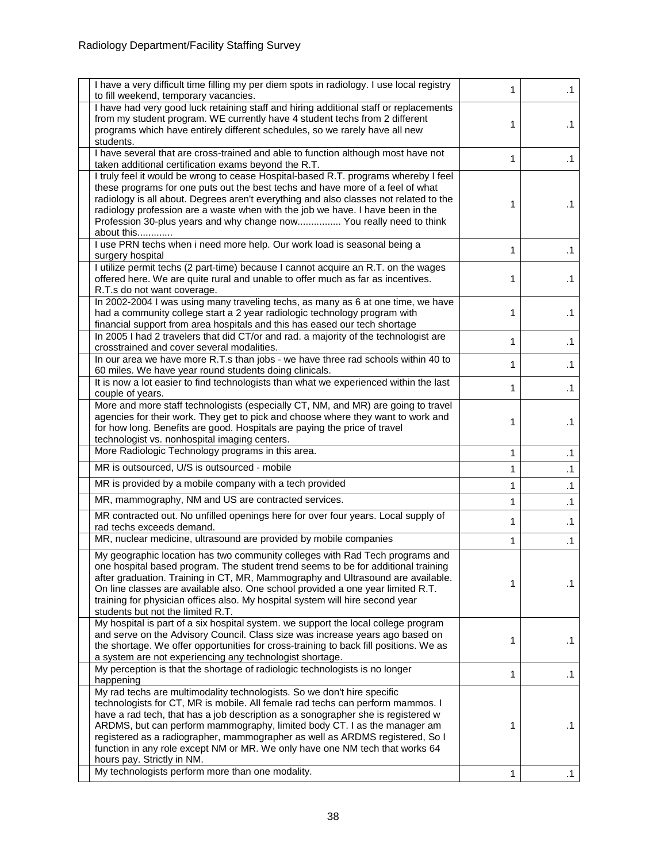| I have a very difficult time filling my per diem spots in radiology. I use local registry<br>to fill weekend, temporary vacancies.                                                                                                                                                                                                                                                                                                                                                                                      | 1 | $\cdot$ 1 |
|-------------------------------------------------------------------------------------------------------------------------------------------------------------------------------------------------------------------------------------------------------------------------------------------------------------------------------------------------------------------------------------------------------------------------------------------------------------------------------------------------------------------------|---|-----------|
| I have had very good luck retaining staff and hiring additional staff or replacements<br>from my student program. WE currently have 4 student techs from 2 different<br>programs which have entirely different schedules, so we rarely have all new<br>students.                                                                                                                                                                                                                                                        | 1 | $\cdot$ 1 |
| I have several that are cross-trained and able to function although most have not<br>taken additional certification exams beyond the R.T.                                                                                                                                                                                                                                                                                                                                                                               | 1 | $\cdot$ 1 |
| I truly feel it would be wrong to cease Hospital-based R.T. programs whereby I feel<br>these programs for one puts out the best techs and have more of a feel of what<br>radiology is all about. Degrees aren't everything and also classes not related to the<br>radiology profession are a waste when with the job we have. I have been in the<br>Profession 30-plus years and why change now You really need to think<br>about this                                                                                  | 1 | .1        |
| I use PRN techs when i need more help. Our work load is seasonal being a<br>surgery hospital                                                                                                                                                                                                                                                                                                                                                                                                                            | 1 | $\cdot$ 1 |
| I utilize permit techs (2 part-time) because I cannot acquire an R.T. on the wages<br>offered here. We are quite rural and unable to offer much as far as incentives.<br>R.T.s do not want coverage.                                                                                                                                                                                                                                                                                                                    | 1 | $\cdot$ 1 |
| In 2002-2004 I was using many traveling techs, as many as 6 at one time, we have<br>had a community college start a 2 year radiologic technology program with<br>financial support from area hospitals and this has eased our tech shortage                                                                                                                                                                                                                                                                             | 1 | $\cdot$ 1 |
| In 2005 I had 2 travelers that did CT/or and rad. a majority of the technologist are<br>crosstrained and cover several modalities.                                                                                                                                                                                                                                                                                                                                                                                      | 1 | $\cdot$ 1 |
| In our area we have more R.T.s than jobs - we have three rad schools within 40 to<br>60 miles. We have year round students doing clinicals.                                                                                                                                                                                                                                                                                                                                                                             | 1 | $\cdot$ 1 |
| It is now a lot easier to find technologists than what we experienced within the last<br>couple of years.                                                                                                                                                                                                                                                                                                                                                                                                               | 1 | $\cdot$ 1 |
| More and more staff technologists (especially CT, NM, and MR) are going to travel<br>agencies for their work. They get to pick and choose where they want to work and<br>for how long. Benefits are good. Hospitals are paying the price of travel<br>technologist vs. nonhospital imaging centers.                                                                                                                                                                                                                     | 1 | .1        |
| More Radiologic Technology programs in this area.                                                                                                                                                                                                                                                                                                                                                                                                                                                                       | 1 | $\cdot$ 1 |
| MR is outsourced, U/S is outsourced - mobile                                                                                                                                                                                                                                                                                                                                                                                                                                                                            | 1 | $\cdot$ 1 |
| MR is provided by a mobile company with a tech provided                                                                                                                                                                                                                                                                                                                                                                                                                                                                 | 1 | $\cdot$ 1 |
| MR, mammography, NM and US are contracted services.                                                                                                                                                                                                                                                                                                                                                                                                                                                                     | 1 | $\cdot$ 1 |
| MR contracted out. No unfilled openings here for over four years. Local supply of<br>rad techs exceeds demand.                                                                                                                                                                                                                                                                                                                                                                                                          | 1 | $\cdot$ 1 |
| MR, nuclear medicine, ultrasound are provided by mobile companies                                                                                                                                                                                                                                                                                                                                                                                                                                                       | 1 | $\cdot$ 1 |
| My geographic location has two community colleges with Rad Tech programs and<br>one hospital based program. The student trend seems to be for additional training<br>after graduation. Training in CT, MR, Mammography and Ultrasound are available.<br>On line classes are available also. One school provided a one year limited R.T.<br>training for physician offices also. My hospital system will hire second year<br>students but not the limited R.T.                                                           | 1 | $\cdot$ 1 |
| My hospital is part of a six hospital system. we support the local college program<br>and serve on the Advisory Council. Class size was increase years ago based on<br>the shortage. We offer opportunities for cross-training to back fill positions. We as<br>a system are not experiencing any technologist shortage.                                                                                                                                                                                                | 1 | $\cdot$ 1 |
| My perception is that the shortage of radiologic technologists is no longer<br>happening                                                                                                                                                                                                                                                                                                                                                                                                                                | 1 | $\cdot$ 1 |
| My rad techs are multimodality technologists. So we don't hire specific<br>technologists for CT, MR is mobile. All female rad techs can perform mammos. I<br>have a rad tech, that has a job description as a sonographer she is registered w<br>ARDMS, but can perform mammography, limited body CT. I as the manager am<br>registered as a radiographer, mammographer as well as ARDMS registered, So I<br>function in any role except NM or MR. We only have one NM tech that works 64<br>hours pay. Strictly in NM. | 1 | $\cdot$ 1 |
| My technologists perform more than one modality.                                                                                                                                                                                                                                                                                                                                                                                                                                                                        | 1 | .1        |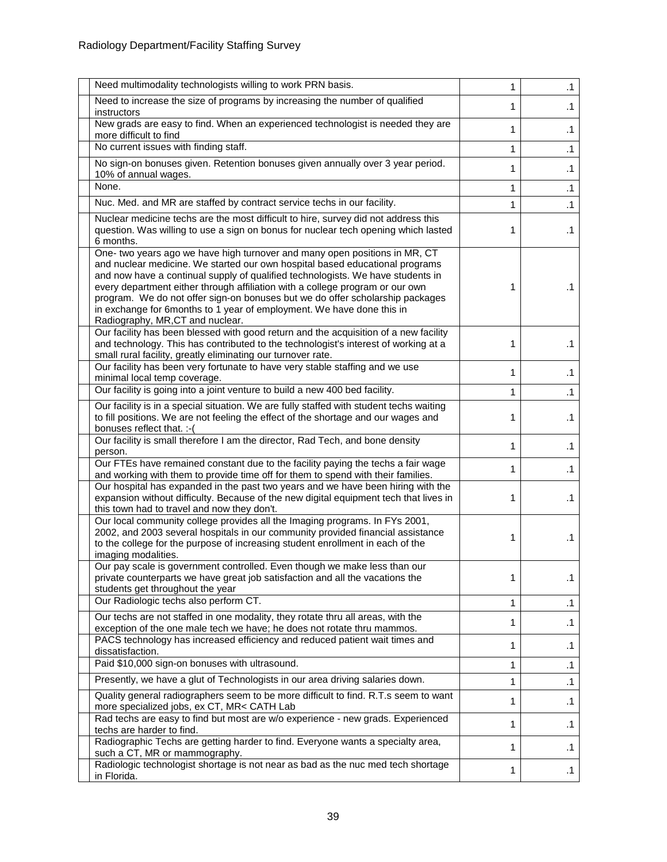| Need multimodality technologists willing to work PRN basis.                                                                                                                                                                                                                                                                                                                                                                                                                                                                  | 1 | $\cdot$ 1 |
|------------------------------------------------------------------------------------------------------------------------------------------------------------------------------------------------------------------------------------------------------------------------------------------------------------------------------------------------------------------------------------------------------------------------------------------------------------------------------------------------------------------------------|---|-----------|
| Need to increase the size of programs by increasing the number of qualified<br>instructors                                                                                                                                                                                                                                                                                                                                                                                                                                   | 1 | $\cdot$ 1 |
| New grads are easy to find. When an experienced technologist is needed they are<br>more difficult to find                                                                                                                                                                                                                                                                                                                                                                                                                    | 1 | $\cdot$ 1 |
| No current issues with finding staff.                                                                                                                                                                                                                                                                                                                                                                                                                                                                                        | 1 | $\cdot$ 1 |
| No sign-on bonuses given. Retention bonuses given annually over 3 year period.<br>10% of annual wages.                                                                                                                                                                                                                                                                                                                                                                                                                       | 1 | $\cdot$ 1 |
| None.                                                                                                                                                                                                                                                                                                                                                                                                                                                                                                                        | 1 | $\cdot$ 1 |
| Nuc. Med. and MR are staffed by contract service techs in our facility.                                                                                                                                                                                                                                                                                                                                                                                                                                                      | 1 | $\cdot$ 1 |
| Nuclear medicine techs are the most difficult to hire, survey did not address this<br>question. Was willing to use a sign on bonus for nuclear tech opening which lasted<br>6 months.                                                                                                                                                                                                                                                                                                                                        | 1 | .1        |
| One- two years ago we have high turnover and many open positions in MR, CT<br>and nuclear medicine. We started our own hospital based educational programs<br>and now have a continual supply of qualified technologists. We have students in<br>every department either through affiliation with a college program or our own<br>program. We do not offer sign-on bonuses but we do offer scholarship packages<br>in exchange for 6months to 1 year of employment. We have done this in<br>Radiography, MR, CT and nuclear. | 1 | .1        |
| Our facility has been blessed with good return and the acquisition of a new facility<br>and technology. This has contributed to the technologist's interest of working at a<br>small rural facility, greatly eliminating our turnover rate.                                                                                                                                                                                                                                                                                  | 1 | .1        |
| Our facility has been very fortunate to have very stable staffing and we use<br>minimal local temp coverage.                                                                                                                                                                                                                                                                                                                                                                                                                 | 1 | .1        |
| Our facility is going into a joint venture to build a new 400 bed facility.                                                                                                                                                                                                                                                                                                                                                                                                                                                  | 1 | $\cdot$ 1 |
| Our facility is in a special situation. We are fully staffed with student techs waiting<br>to fill positions. We are not feeling the effect of the shortage and our wages and<br>bonuses reflect that. :- (                                                                                                                                                                                                                                                                                                                  | 1 | $\cdot$ 1 |
| Our facility is small therefore I am the director, Rad Tech, and bone density<br>person.                                                                                                                                                                                                                                                                                                                                                                                                                                     | 1 | $\cdot$ 1 |
| Our FTEs have remained constant due to the facility paying the techs a fair wage<br>and working with them to provide time off for them to spend with their families.                                                                                                                                                                                                                                                                                                                                                         | 1 | $\cdot$ 1 |
| Our hospital has expanded in the past two years and we have been hiring with the<br>expansion without difficulty. Because of the new digital equipment tech that lives in<br>this town had to travel and now they don't.                                                                                                                                                                                                                                                                                                     | 1 | $\cdot$ 1 |
| Our local community college provides all the Imaging programs. In FYs 2001,<br>2002, and 2003 several hospitals in our community provided financial assistance<br>to the college for the purpose of increasing student enrollment in each of the<br>imaging modalities.                                                                                                                                                                                                                                                      | 1 | $\cdot$ 1 |
| Our pay scale is government controlled. Even though we make less than our<br>private counterparts we have great job satisfaction and all the vacations the<br>students get throughout the year                                                                                                                                                                                                                                                                                                                               | 1 | .1        |
| Our Radiologic techs also perform CT.                                                                                                                                                                                                                                                                                                                                                                                                                                                                                        | 1 | $\cdot$ 1 |
| Our techs are not staffed in one modality, they rotate thru all areas, with the<br>exception of the one male tech we have; he does not rotate thru mammos.                                                                                                                                                                                                                                                                                                                                                                   | 1 | $\cdot$ 1 |
| PACS technology has increased efficiency and reduced patient wait times and<br>dissatisfaction.                                                                                                                                                                                                                                                                                                                                                                                                                              | 1 | $\cdot$ 1 |
| Paid \$10,000 sign-on bonuses with ultrasound.                                                                                                                                                                                                                                                                                                                                                                                                                                                                               | 1 | $\cdot$ 1 |
| Presently, we have a glut of Technologists in our area driving salaries down.                                                                                                                                                                                                                                                                                                                                                                                                                                                | 1 | $\cdot$ 1 |
| Quality general radiographers seem to be more difficult to find. R.T.s seem to want<br>more specialized jobs, ex CT, MR< CATH Lab                                                                                                                                                                                                                                                                                                                                                                                            | 1 | $\cdot$ 1 |
| Rad techs are easy to find but most are w/o experience - new grads. Experienced<br>techs are harder to find.                                                                                                                                                                                                                                                                                                                                                                                                                 | 1 | $\cdot$ 1 |
| Radiographic Techs are getting harder to find. Everyone wants a specialty area,<br>such a CT, MR or mammography.                                                                                                                                                                                                                                                                                                                                                                                                             | 1 | .1        |
| Radiologic technologist shortage is not near as bad as the nuc med tech shortage<br>in Florida.                                                                                                                                                                                                                                                                                                                                                                                                                              | 1 | $\cdot$ 1 |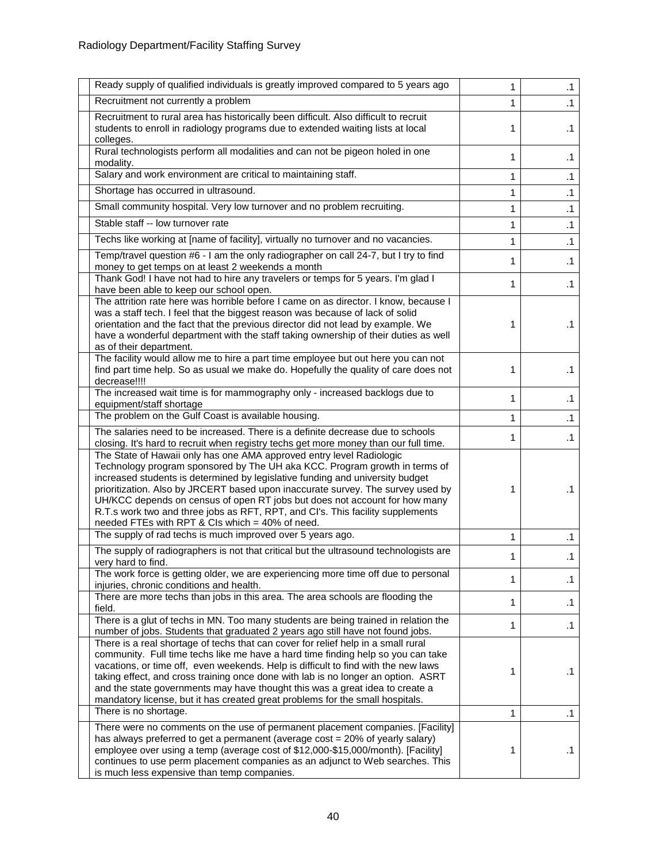| Ready supply of qualified individuals is greatly improved compared to 5 years ago                                                                                                                                                                                                                                                                                                                                                                                                                                                         | 1 | .1        |
|-------------------------------------------------------------------------------------------------------------------------------------------------------------------------------------------------------------------------------------------------------------------------------------------------------------------------------------------------------------------------------------------------------------------------------------------------------------------------------------------------------------------------------------------|---|-----------|
| Recruitment not currently a problem                                                                                                                                                                                                                                                                                                                                                                                                                                                                                                       | 1 | $\cdot$ 1 |
| Recruitment to rural area has historically been difficult. Also difficult to recruit<br>students to enroll in radiology programs due to extended waiting lists at local<br>colleges.                                                                                                                                                                                                                                                                                                                                                      | 1 | .1        |
| Rural technologists perform all modalities and can not be pigeon holed in one<br>modality.                                                                                                                                                                                                                                                                                                                                                                                                                                                | 1 | $\cdot$ 1 |
| Salary and work environment are critical to maintaining staff.                                                                                                                                                                                                                                                                                                                                                                                                                                                                            | 1 | $\cdot$ 1 |
| Shortage has occurred in ultrasound.                                                                                                                                                                                                                                                                                                                                                                                                                                                                                                      | 1 | $\cdot$ 1 |
| Small community hospital. Very low turnover and no problem recruiting.                                                                                                                                                                                                                                                                                                                                                                                                                                                                    | 1 | $\cdot$ 1 |
| Stable staff -- low turnover rate                                                                                                                                                                                                                                                                                                                                                                                                                                                                                                         | 1 | $\cdot$ 1 |
| Techs like working at [name of facility], virtually no turnover and no vacancies.                                                                                                                                                                                                                                                                                                                                                                                                                                                         | 1 | $\cdot$ 1 |
| Temp/travel question #6 - I am the only radiographer on call 24-7, but I try to find<br>money to get temps on at least 2 weekends a month                                                                                                                                                                                                                                                                                                                                                                                                 | 1 | $\cdot$ 1 |
| Thank God! I have not had to hire any travelers or temps for 5 years. I'm glad I<br>have been able to keep our school open.                                                                                                                                                                                                                                                                                                                                                                                                               | 1 | $\cdot$ 1 |
| The attrition rate here was horrible before I came on as director. I know, because I<br>was a staff tech. I feel that the biggest reason was because of lack of solid<br>orientation and the fact that the previous director did not lead by example. We<br>have a wonderful department with the staff taking ownership of their duties as well<br>as of their department.                                                                                                                                                                | 1 | $\cdot$ 1 |
| The facility would allow me to hire a part time employee but out here you can not<br>find part time help. So as usual we make do. Hopefully the quality of care does not<br>decrease!!!!                                                                                                                                                                                                                                                                                                                                                  | 1 | .1        |
| The increased wait time is for mammography only - increased backlogs due to<br>equipment/staff shortage                                                                                                                                                                                                                                                                                                                                                                                                                                   | 1 | $\cdot$ 1 |
| The problem on the Gulf Coast is available housing.                                                                                                                                                                                                                                                                                                                                                                                                                                                                                       | 1 | $\cdot$ 1 |
| The salaries need to be increased. There is a definite decrease due to schools<br>closing. It's hard to recruit when registry techs get more money than our full time.                                                                                                                                                                                                                                                                                                                                                                    | 1 | .1        |
| The State of Hawaii only has one AMA approved entry level Radiologic<br>Technology program sponsored by The UH aka KCC. Program growth in terms of<br>increased students is determined by legislative funding and university budget<br>prioritization. Also by JRCERT based upon inaccurate survey. The survey used by<br>UH/KCC depends on census of open RT jobs but does not account for how many<br>R.T.s work two and three jobs as RFT, RPT, and CI's. This facility supplements<br>needed FTEs with RPT & CIs which = 40% of need. | 1 | $\cdot$ 1 |
| The supply of rad techs is much improved over 5 years ago.                                                                                                                                                                                                                                                                                                                                                                                                                                                                                | 1 | $\cdot$ 1 |
| The supply of radiographers is not that critical but the ultrasound technologists are<br>very hard to find.                                                                                                                                                                                                                                                                                                                                                                                                                               | 1 | $\cdot$ 1 |
| The work force is getting older, we are experiencing more time off due to personal<br>injuries, chronic conditions and health.                                                                                                                                                                                                                                                                                                                                                                                                            | 1 | .1        |
| There are more techs than jobs in this area. The area schools are flooding the<br>field.                                                                                                                                                                                                                                                                                                                                                                                                                                                  | 1 | $\cdot$ 1 |
| There is a glut of techs in MN. Too many students are being trained in relation the<br>number of jobs. Students that graduated 2 years ago still have not found jobs.                                                                                                                                                                                                                                                                                                                                                                     | 1 | $\cdot$ 1 |
| There is a real shortage of techs that can cover for relief help in a small rural<br>community. Full time techs like me have a hard time finding help so you can take<br>vacations, or time off, even weekends. Help is difficult to find with the new laws<br>taking effect, and cross training once done with lab is no longer an option. ASRT<br>and the state governments may have thought this was a great idea to create a<br>mandatory license, but it has created great problems for the small hospitals.                         | 1 | $\cdot$ 1 |
| There is no shortage.                                                                                                                                                                                                                                                                                                                                                                                                                                                                                                                     | 1 | $\cdot$ 1 |
| There were no comments on the use of permanent placement companies. [Facility]<br>has always preferred to get a permanent (average cost = 20% of yearly salary)<br>employee over using a temp (average cost of \$12,000-\$15,000/month). [Facility]<br>continues to use perm placement companies as an adjunct to Web searches. This<br>is much less expensive than temp companies.                                                                                                                                                       | 1 | $\cdot$ 1 |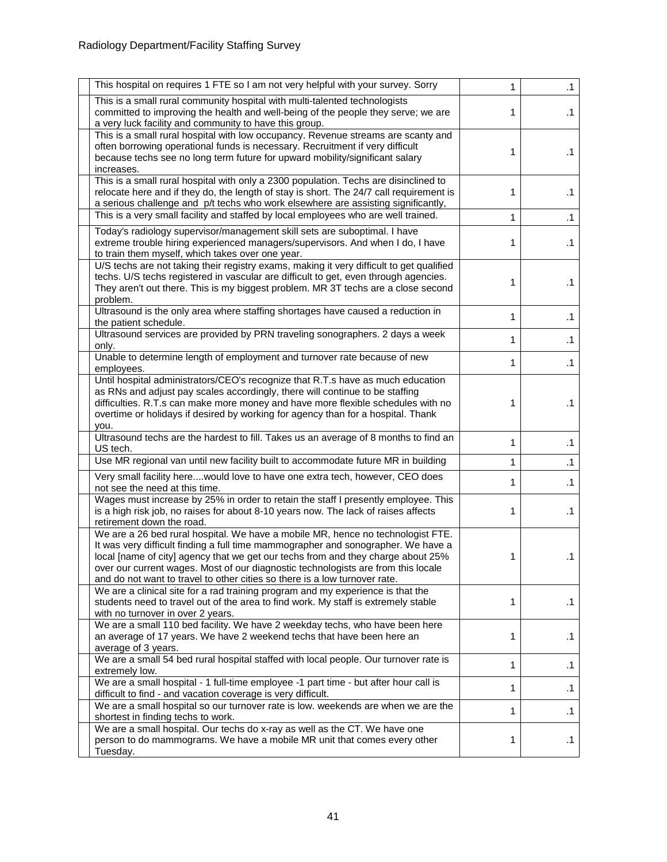| This hospital on requires 1 FTE so I am not very helpful with your survey. Sorry                                                                                                                                                                                                                                                                                                                                            | 1 | $\cdot$ 1 |
|-----------------------------------------------------------------------------------------------------------------------------------------------------------------------------------------------------------------------------------------------------------------------------------------------------------------------------------------------------------------------------------------------------------------------------|---|-----------|
| This is a small rural community hospital with multi-talented technologists<br>committed to improving the health and well-being of the people they serve; we are<br>a very luck facility and community to have this group.                                                                                                                                                                                                   | 1 | $\cdot$ 1 |
| This is a small rural hospital with low occupancy. Revenue streams are scanty and<br>often borrowing operational funds is necessary. Recruitment if very difficult<br>because techs see no long term future for upward mobility/significant salary<br>increases.                                                                                                                                                            | 1 | $\cdot$ 1 |
| This is a small rural hospital with only a 2300 population. Techs are disinclined to<br>relocate here and if they do, the length of stay is short. The 24/7 call requirement is<br>a serious challenge and p/t techs who work elsewhere are assisting significantly,                                                                                                                                                        | 1 | $\cdot$ 1 |
| This is a very small facility and staffed by local employees who are well trained.                                                                                                                                                                                                                                                                                                                                          | 1 | $\cdot$ 1 |
| Today's radiology supervisor/management skill sets are suboptimal. I have<br>extreme trouble hiring experienced managers/supervisors. And when I do, I have<br>to train them myself, which takes over one year.                                                                                                                                                                                                             | 1 | $\cdot$ 1 |
| U/S techs are not taking their registry exams, making it very difficult to get qualified<br>techs. U/S techs registered in vascular are difficult to get, even through agencies.<br>They aren't out there. This is my biggest problem. MR 3T techs are a close second<br>problem.                                                                                                                                           | 1 | $\cdot$ 1 |
| Ultrasound is the only area where staffing shortages have caused a reduction in<br>the patient schedule.                                                                                                                                                                                                                                                                                                                    | 1 | $\cdot$ 1 |
| Ultrasound services are provided by PRN traveling sonographers. 2 days a week<br>only.                                                                                                                                                                                                                                                                                                                                      | 1 | $\cdot$ 1 |
| Unable to determine length of employment and turnover rate because of new<br>employees.                                                                                                                                                                                                                                                                                                                                     | 1 | $\cdot$ 1 |
| Until hospital administrators/CEO's recognize that R.T.s have as much education<br>as RNs and adjust pay scales accordingly, there will continue to be staffing<br>difficulties. R.T.s can make more money and have more flexible schedules with no<br>overtime or holidays if desired by working for agency than for a hospital. Thank<br>vou.                                                                             | 1 | $\cdot$ 1 |
| Ultrasound techs are the hardest to fill. Takes us an average of 8 months to find an<br>US tech.                                                                                                                                                                                                                                                                                                                            | 1 | $\cdot$ 1 |
| Use MR regional van until new facility built to accommodate future MR in building                                                                                                                                                                                                                                                                                                                                           | 1 | $\cdot$ 1 |
| Very small facility herewould love to have one extra tech, however, CEO does<br>not see the need at this time.                                                                                                                                                                                                                                                                                                              | 1 | $\cdot$ 1 |
| Wages must increase by 25% in order to retain the staff I presently employee. This<br>is a high risk job, no raises for about 8-10 years now. The lack of raises affects<br>retirement down the road.                                                                                                                                                                                                                       | 1 | $\cdot$ 1 |
| We are a 26 bed rural hospital. We have a mobile MR, hence no technologist FTE.<br>It was very difficult finding a full time mammographer and sonographer. We have a<br>local [name of city] agency that we get our techs from and they charge about 25%<br>over our current wages. Most of our diagnostic technologists are from this locale<br>and do not want to travel to other cities so there is a low turnover rate. | 1 | $\cdot$ 1 |
| We are a clinical site for a rad training program and my experience is that the<br>students need to travel out of the area to find work. My staff is extremely stable<br>with no turnover in over 2 years.                                                                                                                                                                                                                  | 1 | $\cdot$ 1 |
| We are a small 110 bed facility. We have 2 weekday techs, who have been here<br>an average of 17 years. We have 2 weekend techs that have been here an<br>average of 3 years.                                                                                                                                                                                                                                               | 1 | $\cdot$ 1 |
| We are a small 54 bed rural hospital staffed with local people. Our turnover rate is<br>extremely low.                                                                                                                                                                                                                                                                                                                      | 1 | $\cdot$ 1 |
| We are a small hospital - 1 full-time employee -1 part time - but after hour call is<br>difficult to find - and vacation coverage is very difficult.                                                                                                                                                                                                                                                                        | 1 | $\cdot$ 1 |
| We are a small hospital so our turnover rate is low. weekends are when we are the<br>shortest in finding techs to work.                                                                                                                                                                                                                                                                                                     | 1 | $\cdot$ 1 |
| We are a small hospital. Our techs do x-ray as well as the CT. We have one<br>person to do mammograms. We have a mobile MR unit that comes every other<br>Tuesday.                                                                                                                                                                                                                                                          | 1 | $\cdot$ 1 |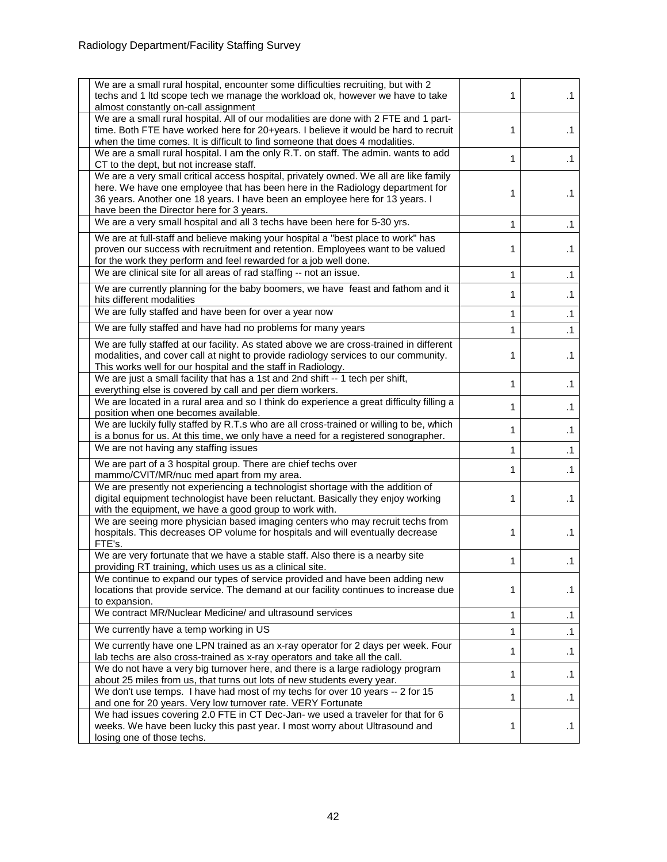| We are a small rural hospital, encounter some difficulties recruiting, but with 2<br>techs and 1 ltd scope tech we manage the workload ok, however we have to take<br>almost constantly on-call assignment                                                                                         | 1 | $\cdot$ 1 |
|----------------------------------------------------------------------------------------------------------------------------------------------------------------------------------------------------------------------------------------------------------------------------------------------------|---|-----------|
| We are a small rural hospital. All of our modalities are done with 2 FTE and 1 part-<br>time. Both FTE have worked here for 20+years. I believe it would be hard to recruit<br>when the time comes. It is difficult to find someone that does 4 modalities.                                        | 1 | $\cdot$ 1 |
| We are a small rural hospital. I am the only R.T. on staff. The admin. wants to add<br>CT to the dept, but not increase staff.                                                                                                                                                                     | 1 | $\cdot$ 1 |
| We are a very small critical access hospital, privately owned. We all are like family<br>here. We have one employee that has been here in the Radiology department for<br>36 years. Another one 18 years. I have been an employee here for 13 years. I<br>have been the Director here for 3 years. | 1 | $\cdot$ 1 |
| We are a very small hospital and all 3 techs have been here for 5-30 yrs.                                                                                                                                                                                                                          | 1 | $\cdot$ 1 |
| We are at full-staff and believe making your hospital a "best place to work" has<br>proven our success with recruitment and retention. Employees want to be valued<br>for the work they perform and feel rewarded for a job well done.                                                             | 1 | $\cdot$ 1 |
| We are clinical site for all areas of rad staffing -- not an issue.                                                                                                                                                                                                                                | 1 | $\cdot$ 1 |
| We are currently planning for the baby boomers, we have feast and fathom and it<br>hits different modalities                                                                                                                                                                                       | 1 | $\cdot$ 1 |
| We are fully staffed and have been for over a year now                                                                                                                                                                                                                                             | 1 | $\cdot$ 1 |
| We are fully staffed and have had no problems for many years                                                                                                                                                                                                                                       | 1 | $\cdot$ 1 |
| We are fully staffed at our facility. As stated above we are cross-trained in different<br>modalities, and cover call at night to provide radiology services to our community.<br>This works well for our hospital and the staff in Radiology.                                                     | 1 | $\cdot$ 1 |
| We are just a small facility that has a 1st and 2nd shift -- 1 tech per shift,                                                                                                                                                                                                                     | 1 | $\cdot$ 1 |
| everything else is covered by call and per diem workers.<br>We are located in a rural area and so I think do experience a great difficulty filling a                                                                                                                                               | 1 | $\cdot$ 1 |
| position when one becomes available.<br>We are luckily fully staffed by R.T.s who are all cross-trained or willing to be, which                                                                                                                                                                    | 1 | $\cdot$ 1 |
| is a bonus for us. At this time, we only have a need for a registered sonographer.                                                                                                                                                                                                                 |   |           |
| We are not having any staffing issues                                                                                                                                                                                                                                                              | 1 | $\cdot$ 1 |
| We are part of a 3 hospital group. There are chief techs over<br>mammo/CVIT/MR/nuc med apart from my area.                                                                                                                                                                                         | 1 | $\cdot$ 1 |
| We are presently not experiencing a technologist shortage with the addition of<br>digital equipment technologist have been reluctant. Basically they enjoy working<br>with the equipment, we have a good group to work with.                                                                       | 1 | $\cdot$ 1 |
| We are seeing more physician based imaging centers who may recruit techs from<br>hospitals. This decreases OP volume for hospitals and will eventually decrease<br>FTE's.                                                                                                                          | 1 | $\cdot$ 1 |
| We are very fortunate that we have a stable staff. Also there is a nearby site<br>providing RT training, which uses us as a clinical site.                                                                                                                                                         |   | .1.       |
| We continue to expand our types of service provided and have been adding new<br>locations that provide service. The demand at our facility continues to increase due<br>to expansion.                                                                                                              | 1 | $\cdot$ 1 |
| We contract MR/Nuclear Medicine/ and ultrasound services                                                                                                                                                                                                                                           | 1 | $\cdot$ 1 |
| We currently have a temp working in US                                                                                                                                                                                                                                                             | 1 | $\cdot$ 1 |
| We currently have one LPN trained as an x-ray operator for 2 days per week. Four                                                                                                                                                                                                                   | 1 | $\cdot$ 1 |
| lab techs are also cross-trained as x-ray operators and take all the call.<br>We do not have a very big turnover here, and there is a large radiology program                                                                                                                                      | 1 | $\cdot$ 1 |
| about 25 miles from us, that turns out lots of new students every year.<br>We don't use temps. I have had most of my techs for over 10 years -- 2 for 15                                                                                                                                           |   |           |
| and one for 20 years. Very low turnover rate. VERY Fortunate                                                                                                                                                                                                                                       | 1 | $\cdot$ 1 |
| We had issues covering 2.0 FTE in CT Dec-Jan- we used a traveler for that for 6<br>weeks. We have been lucky this past year. I most worry about Ultrasound and<br>losing one of those techs.                                                                                                       | 1 | $\cdot$ 1 |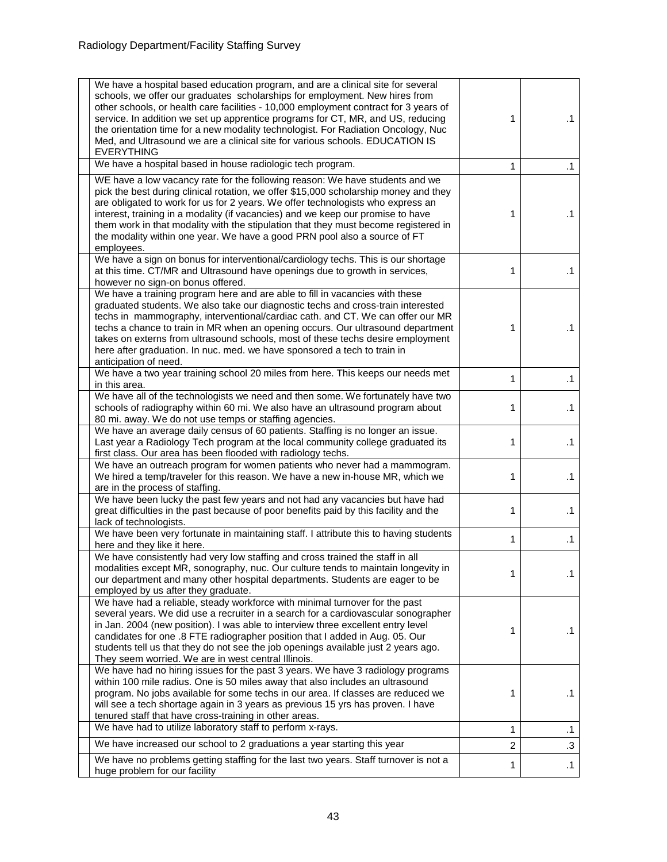| We have a hospital based education program, and are a clinical site for several<br>schools, we offer our graduates scholarships for employment. New hires from<br>other schools, or health care facilities - 10,000 employment contract for 3 years of<br>service. In addition we set up apprentice programs for CT, MR, and US, reducing<br>the orientation time for a new modality technologist. For Radiation Oncology, Nuc<br>Med, and Ultrasound we are a clinical site for various schools. EDUCATION IS<br><b>EVERYTHING</b> | 1 | .1        |
|-------------------------------------------------------------------------------------------------------------------------------------------------------------------------------------------------------------------------------------------------------------------------------------------------------------------------------------------------------------------------------------------------------------------------------------------------------------------------------------------------------------------------------------|---|-----------|
| We have a hospital based in house radiologic tech program.                                                                                                                                                                                                                                                                                                                                                                                                                                                                          | 1 | $\cdot$ 1 |
| WE have a low vacancy rate for the following reason: We have students and we<br>pick the best during clinical rotation, we offer \$15,000 scholarship money and they<br>are obligated to work for us for 2 years. We offer technologists who express an<br>interest, training in a modality (if vacancies) and we keep our promise to have<br>them work in that modality with the stipulation that they must become registered in<br>the modality within one year. We have a good PRN pool also a source of FT<br>employees.        | 1 | $\cdot$ 1 |
| We have a sign on bonus for interventional/cardiology techs. This is our shortage<br>at this time. CT/MR and Ultrasound have openings due to growth in services,<br>however no sign-on bonus offered.                                                                                                                                                                                                                                                                                                                               | 1 | $\cdot$ 1 |
| We have a training program here and are able to fill in vacancies with these<br>graduated students. We also take our diagnostic techs and cross-train interested<br>techs in mammography, interventional/cardiac cath. and CT. We can offer our MR<br>techs a chance to train in MR when an opening occurs. Our ultrasound department<br>takes on externs from ultrasound schools, most of these techs desire employment<br>here after graduation. In nuc. med. we have sponsored a tech to train in<br>anticipation of need.       | 1 | $\cdot$ 1 |
| We have a two year training school 20 miles from here. This keeps our needs met<br>in this area.                                                                                                                                                                                                                                                                                                                                                                                                                                    | 1 | $\cdot$ 1 |
| We have all of the technologists we need and then some. We fortunately have two<br>schools of radiography within 60 mi. We also have an ultrasound program about<br>80 mi. away. We do not use temps or staffing agencies.                                                                                                                                                                                                                                                                                                          | 1 | $\cdot$ 1 |
| We have an average daily census of 60 patients. Staffing is no longer an issue.<br>Last year a Radiology Tech program at the local community college graduated its<br>first class. Our area has been flooded with radiology techs.                                                                                                                                                                                                                                                                                                  | 1 | .1        |
| We have an outreach program for women patients who never had a mammogram.<br>We hired a temp/traveler for this reason. We have a new in-house MR, which we<br>are in the process of staffing.                                                                                                                                                                                                                                                                                                                                       | 1 | $\cdot$ 1 |
| We have been lucky the past few years and not had any vacancies but have had<br>great difficulties in the past because of poor benefits paid by this facility and the<br>lack of technologists.                                                                                                                                                                                                                                                                                                                                     | 1 | $\cdot$ 1 |
| We have been very fortunate in maintaining staff. I attribute this to having students<br>here and they like it here.                                                                                                                                                                                                                                                                                                                                                                                                                | 1 | $\cdot$ 1 |
| We have consistently had very low staffing and cross trained the staff in all<br>modalities except MR, sonography, nuc. Our culture tends to maintain longevity in<br>our department and many other hospital departments. Students are eager to be<br>employed by us after they graduate.                                                                                                                                                                                                                                           | 1 | $\cdot$ 1 |
| We have had a reliable, steady workforce with minimal turnover for the past<br>several years. We did use a recruiter in a search for a cardiovascular sonographer<br>in Jan. 2004 (new position). I was able to interview three excellent entry level<br>candidates for one .8 FTE radiographer position that I added in Aug. 05. Our<br>students tell us that they do not see the job openings available just 2 years ago.<br>They seem worried. We are in west central Illinois.                                                  | 1 | $\cdot$ 1 |
| We have had no hiring issues for the past 3 years. We have 3 radiology programs<br>within 100 mile radius. One is 50 miles away that also includes an ultrasound<br>program. No jobs available for some techs in our area. If classes are reduced we<br>will see a tech shortage again in 3 years as previous 15 yrs has proven. I have<br>tenured staff that have cross-training in other areas.                                                                                                                                   | 1 | $\cdot$ 1 |
| We have had to utilize laboratory staff to perform x-rays.                                                                                                                                                                                                                                                                                                                                                                                                                                                                          | 1 | $\cdot$ 1 |
| We have increased our school to 2 graduations a year starting this year                                                                                                                                                                                                                                                                                                                                                                                                                                                             | 2 | $.3\,$    |
| We have no problems getting staffing for the last two years. Staff turnover is not a<br>huge problem for our facility                                                                                                                                                                                                                                                                                                                                                                                                               | 1 | $\cdot$ 1 |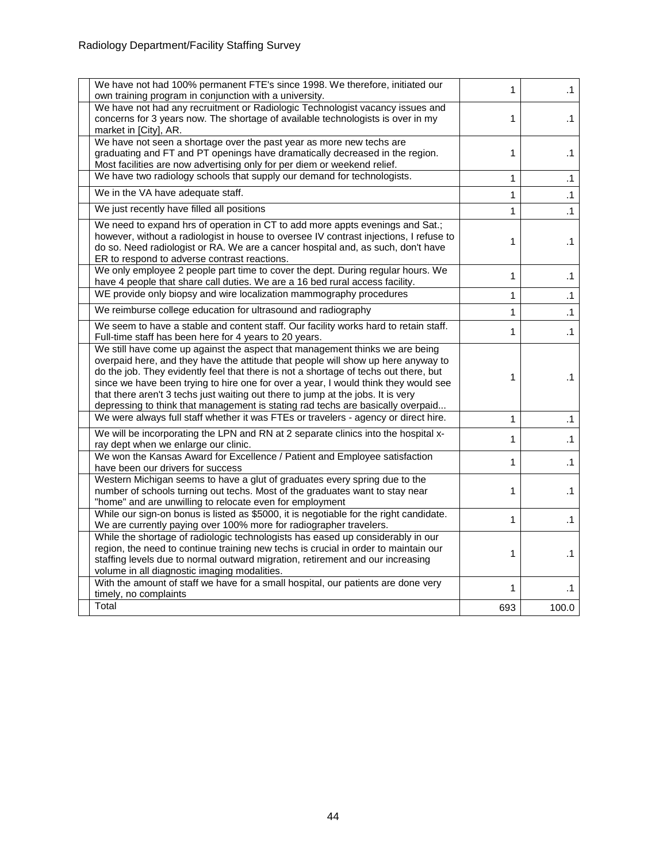| We have not had 100% permanent FTE's since 1998. We therefore, initiated our<br>own training program in conjunction with a university.                                                                                                                                                                                                                                                                                                                                                                                  | 1   | $\cdot$ 1 |
|-------------------------------------------------------------------------------------------------------------------------------------------------------------------------------------------------------------------------------------------------------------------------------------------------------------------------------------------------------------------------------------------------------------------------------------------------------------------------------------------------------------------------|-----|-----------|
| We have not had any recruitment or Radiologic Technologist vacancy issues and<br>concerns for 3 years now. The shortage of available technologists is over in my<br>market in [City], AR.                                                                                                                                                                                                                                                                                                                               | 1   | $\cdot$ 1 |
| We have not seen a shortage over the past year as more new techs are<br>graduating and FT and PT openings have dramatically decreased in the region.<br>Most facilities are now advertising only for per diem or weekend relief.                                                                                                                                                                                                                                                                                        | 1   | $\cdot$ 1 |
| We have two radiology schools that supply our demand for technologists.                                                                                                                                                                                                                                                                                                                                                                                                                                                 | 1   | $\cdot$ 1 |
| We in the VA have adequate staff.                                                                                                                                                                                                                                                                                                                                                                                                                                                                                       | 1   | $\cdot$ 1 |
| We just recently have filled all positions                                                                                                                                                                                                                                                                                                                                                                                                                                                                              | 1   | $\cdot$ 1 |
| We need to expand hrs of operation in CT to add more appts evenings and Sat.;<br>however, without a radiologist in house to oversee IV contrast injections, I refuse to<br>do so. Need radiologist or RA. We are a cancer hospital and, as such, don't have<br>ER to respond to adverse contrast reactions.                                                                                                                                                                                                             | 1   | $\cdot$ 1 |
| We only employee 2 people part time to cover the dept. During regular hours. We<br>have 4 people that share call duties. We are a 16 bed rural access facility.                                                                                                                                                                                                                                                                                                                                                         | 1   | $\cdot$ 1 |
| WE provide only biopsy and wire localization mammography procedures                                                                                                                                                                                                                                                                                                                                                                                                                                                     | 1   | $\cdot$ 1 |
| We reimburse college education for ultrasound and radiography                                                                                                                                                                                                                                                                                                                                                                                                                                                           | 1   | $\cdot$ 1 |
| We seem to have a stable and content staff. Our facility works hard to retain staff.<br>Full-time staff has been here for 4 years to 20 years.                                                                                                                                                                                                                                                                                                                                                                          | 1   | $\cdot$ 1 |
| We still have come up against the aspect that management thinks we are being<br>overpaid here, and they have the attitude that people will show up here anyway to<br>do the job. They evidently feel that there is not a shortage of techs out there, but<br>since we have been trying to hire one for over a year, I would think they would see<br>that there aren't 3 techs just waiting out there to jump at the jobs. It is very<br>depressing to think that management is stating rad techs are basically overpaid | 1   | $\cdot$ 1 |
| We were always full staff whether it was FTEs or travelers - agency or direct hire.                                                                                                                                                                                                                                                                                                                                                                                                                                     | 1   | $\cdot$ 1 |
| We will be incorporating the LPN and RN at 2 separate clinics into the hospital x-<br>ray dept when we enlarge our clinic.                                                                                                                                                                                                                                                                                                                                                                                              | 1   | $\cdot$ 1 |
| We won the Kansas Award for Excellence / Patient and Employee satisfaction<br>have been our drivers for success                                                                                                                                                                                                                                                                                                                                                                                                         | 1   | $\cdot$ 1 |
| Western Michigan seems to have a glut of graduates every spring due to the<br>number of schools turning out techs. Most of the graduates want to stay near<br>"home" and are unwilling to relocate even for employment                                                                                                                                                                                                                                                                                                  | 1   | $\cdot$ 1 |
| While our sign-on bonus is listed as \$5000, it is negotiable for the right candidate.<br>We are currently paying over 100% more for radiographer travelers.                                                                                                                                                                                                                                                                                                                                                            | 1   | $\cdot$ 1 |
| While the shortage of radiologic technologists has eased up considerably in our<br>region, the need to continue training new techs is crucial in order to maintain our<br>staffing levels due to normal outward migration, retirement and our increasing<br>volume in all diagnostic imaging modalities.                                                                                                                                                                                                                | 1   | $\cdot$ 1 |
| With the amount of staff we have for a small hospital, our patients are done very<br>timely, no complaints                                                                                                                                                                                                                                                                                                                                                                                                              | 1   | .1        |
| Total                                                                                                                                                                                                                                                                                                                                                                                                                                                                                                                   | 693 | 100.0     |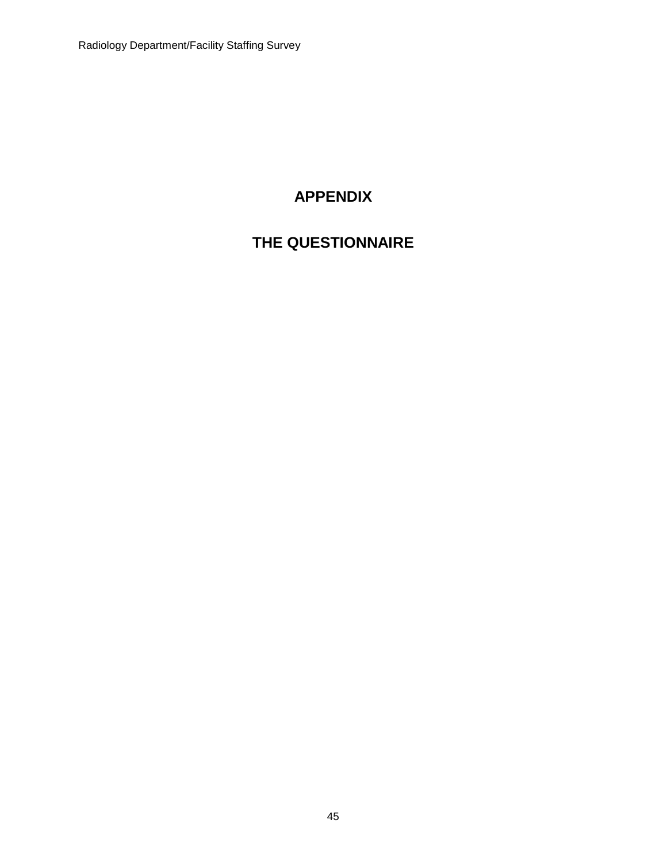# **APPENDIX**

# <span id="page-44-0"></span>**THE QUESTIONNAIRE**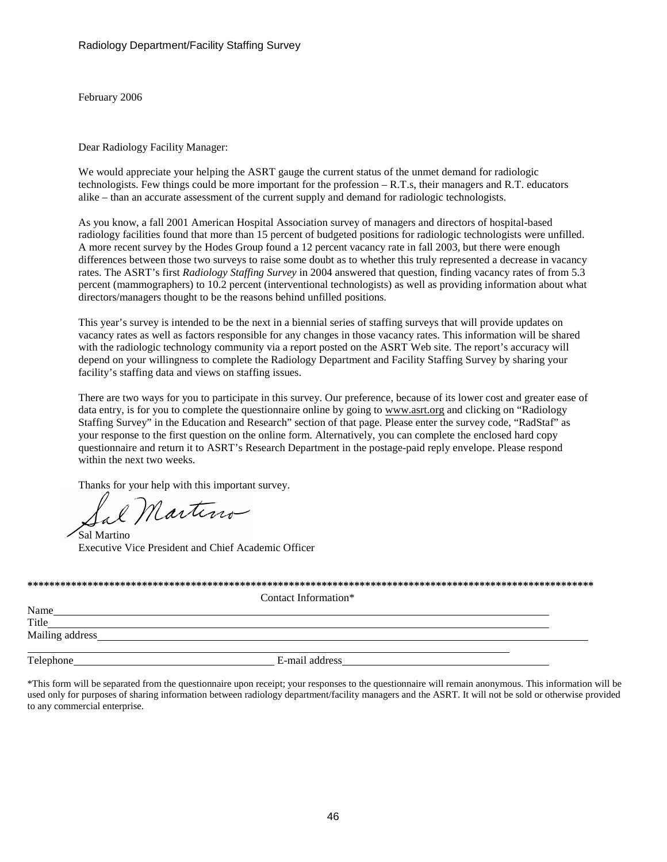February 2006

Dear Radiology Facility Manager:

We would appreciate your helping the ASRT gauge the current status of the unmet demand for radiologic technologists. Few things could be more important for the profession – R.T.s, their managers and R.T. educators alike – than an accurate assessment of the current supply and demand for radiologic technologists.

As you know, a fall 2001 American Hospital Association survey of managers and directors of hospital-based radiology facilities found that more than 15 percent of budgeted positions for radiologic technologists were unfilled. A more recent survey by the Hodes Group found a 12 percent vacancy rate in fall 2003, but there were enough differences between those two surveys to raise some doubt as to whether this truly represented a decrease in vacancy rates. The ASRT's first *Radiology Staffing Survey* in 2004 answered that question, finding vacancy rates of from 5.3 percent (mammographers) to 10.2 percent (interventional technologists) as well as providing information about what directors/managers thought to be the reasons behind unfilled positions.

This year's survey is intended to be the next in a biennial series of staffing surveys that will provide updates on vacancy rates as well as factors responsible for any changes in those vacancy rates. This information will be shared with the radiologic technology community via a report posted on the ASRT Web site. The report's accuracy will depend on your willingness to complete the Radiology Department and Facility Staffing Survey by sharing your facility's staffing data and views on staffing issues.

There are two ways for you to participate in this survey. Our preference, because of its lower cost and greater ease of data entry, is for you to complete the questionnaire online by going t[o www.asrt.org](http://www.asrt.org/) and clicking on "Radiology Staffing Survey" in the Education and Research" section of that page. Please enter the survey code, "RadStaf" as your response to the first question on the online form. Alternatively, you can complete the enclosed hard copy questionnaire and return it to ASRT's Research Department in the postage-paid reply envelope. Please respond within the next two weeks.

Thanks for your help with this important survey.

Martino

Sal Martino Executive Vice President and Chief Academic Officer

|                 | Contact Information* |
|-----------------|----------------------|
| Name            |                      |
| Title           |                      |
| Mailing address |                      |
|                 |                      |
| Telephone       | E-mail address       |

\*This form will be separated from the questionnaire upon receipt; your responses to the questionnaire will remain anonymous. This information will be used only for purposes of sharing information between radiology department/facility managers and the ASRT. It will not be sold or otherwise provided to any commercial enterprise.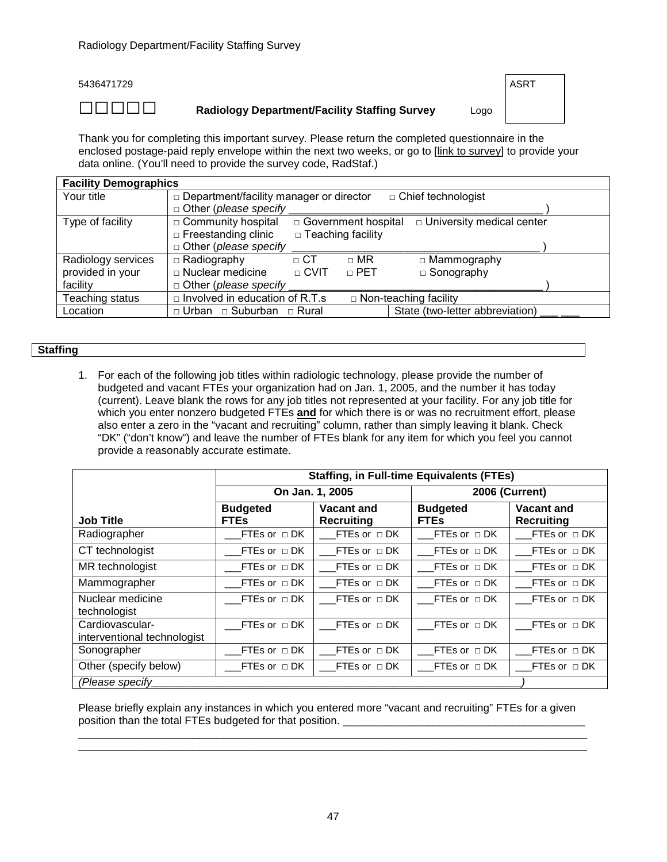5436471729 ASRT

$$
\square \square \square \square \square
$$

#### **Radiology Department/Facility Staffing Survey Logo**

Thank you for completing this important survey. Please return the completed questionnaire in the enclosed postage-paid reply envelope within the next two weeks, or go to [link to survey] to provide your data online. (You'll need to provide the survey code, RadStaf.)

| <b>Facility Demographics</b> |                                                |               |                          |                                  |  |
|------------------------------|------------------------------------------------|---------------|--------------------------|----------------------------------|--|
| Your title                   | $\Box$ Department/facility manager or director |               |                          | $\Box$ Chief technologist        |  |
|                              | $\Box$ Other (please specify                   |               |                          |                                  |  |
| Type of facility             | $\Box$ Community hospital                      |               | □ Government hospital    | $\Box$ University medical center |  |
|                              | $\Box$ Freestanding clinic                     |               | $\Box$ Teaching facility |                                  |  |
|                              | $\Box$ Other (please specify                   |               |                          |                                  |  |
| Radiology services           | $\Box$ Radiography                             | $\Box$ CT     | $\sqcap$ MR              | $\Box$ Mammography               |  |
| provided in your             | $\Box$ Nuclear medicine                        | $\sqcap$ CVIT | $\sqcap$ PET             | $\Box$ Sonography                |  |
| facility                     | $\Box$ Other (please specify                   |               |                          |                                  |  |
| Teaching status              | $\Box$ Involved in education of R.T.s          |               |                          | $\Box$ Non-teaching facility     |  |
| Location                     | □ Urban □ Suburban □ Rural                     |               |                          | State (two-letter abbreviation)  |  |

#### **Staffing**

1. For each of the following job titles within radiologic technology, please provide the number of budgeted and vacant FTEs your organization had on Jan. 1, 2005, and the number it has today (current). Leave blank the rows for any job titles not represented at your facility. For any job title for which you enter nonzero budgeted FTEs **and** for which there is or was no recruitment effort, please also enter a zero in the "vacant and recruiting" column, rather than simply leaving it blank. Check "DK" ("don't know") and leave the number of FTEs blank for any item for which you feel you cannot provide a reasonably accurate estimate.

|                                                | <b>Staffing, in Full-time Equivalents (FTEs)</b> |                                        |                                |                                 |
|------------------------------------------------|--------------------------------------------------|----------------------------------------|--------------------------------|---------------------------------|
|                                                | On Jan. 1, 2005                                  |                                        |                                | <b>2006 (Current)</b>           |
| <b>Job Title</b>                               | <b>Budgeted</b><br><b>FTEs</b>                   | <b>Vacant and</b><br><b>Recruiting</b> | <b>Budgeted</b><br><b>FTEs</b> | Vacant and<br><b>Recruiting</b> |
| Radiographer                                   | FTEs or $\Box$ DK                                | FTEs or $\Box$ DK                      | FTEs or $\Box$ DK              | FTEs or $\Box$ DK               |
| CT technologist                                | FTEs or $\Box$ DK                                | FTEs or $\Box$ DK                      | FTEs or $\Box$ DK              | FTEs or $\Box$ DK               |
| MR technologist                                | FTEs or $\Box$ DK                                | FTEs or $\Box$ DK                      | FTEs or $\Box$ DK              | FTEs or $\Box$ DK               |
| Mammographer                                   | FTEs or $\Box$ DK                                | FTEs or $\Box$ DK                      | FTEs or $\sqcap$ DK            | FTEs or $\Box$ DK               |
| Nuclear medicine<br>technologist               | FTEs or $\Box$ DK                                | FTEs or $\sqcap$ DK                    | FTEs or $\Box$ DK              | FTEs or $\Box$ DK               |
| Cardiovascular-<br>interventional technologist | FTEs or $\Box$ DK                                | FTEs or $\Box$ DK                      | FTEs or $\Box$ DK              | FTEs or $\Box$ DK               |
| Sonographer                                    | FTEs or $\Box$ DK                                | FTEs or $\Box$ DK                      | FTEs or $\Box$ DK              | FTEs or $\Box$ DK               |
| Other (specify below)                          | FTEs or $\Box$ DK                                | FTEs or $\Box$ DK                      | FTEs or $\Box$ DK              | FTEs or $\Box$ DK               |
| (Please specify                                |                                                  |                                        |                                |                                 |

Please briefly explain any instances in which you entered more "vacant and recruiting" FTEs for a given position than the total FTEs budgeted for that position.

\_\_\_\_\_\_\_\_\_\_\_\_\_\_\_\_\_\_\_\_\_\_\_\_\_\_\_\_\_\_\_\_\_\_\_\_\_\_\_\_\_\_\_\_\_\_\_\_\_\_\_\_\_\_\_\_\_\_\_\_\_\_\_\_\_\_\_\_\_\_\_\_\_\_\_\_\_\_\_\_\_\_\_\_ \_\_\_\_\_\_\_\_\_\_\_\_\_\_\_\_\_\_\_\_\_\_\_\_\_\_\_\_\_\_\_\_\_\_\_\_\_\_\_\_\_\_\_\_\_\_\_\_\_\_\_\_\_\_\_\_\_\_\_\_\_\_\_\_\_\_\_\_\_\_\_\_\_\_\_\_\_\_\_\_\_\_\_\_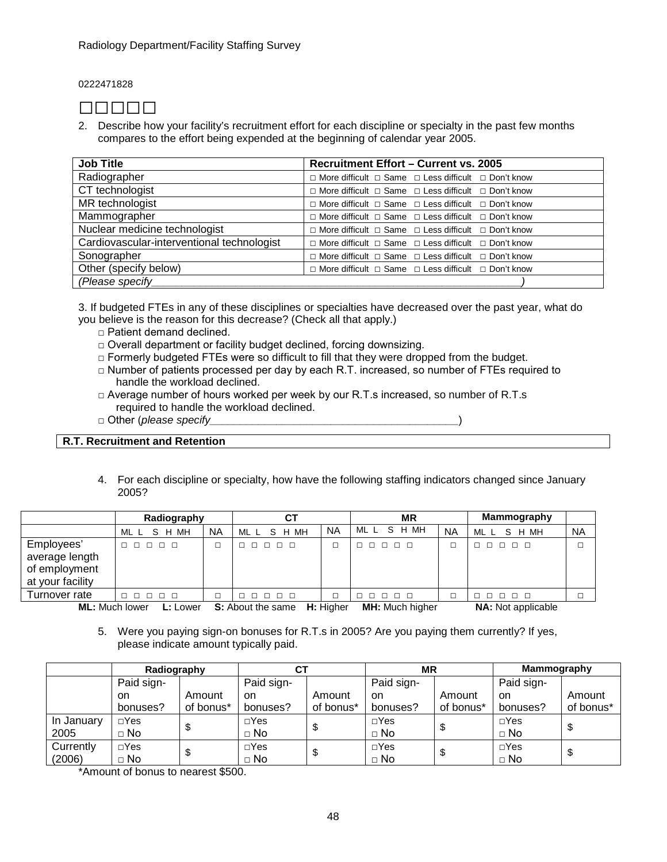0222471828

2. Describe how your facility's recruitment effort for each discipline or specialty in the past few months compares to the effort being expended at the beginning of calendar year 2005.

| <b>Job Title</b>                           | <b>Recruitment Effort - Current vs. 2005</b>                              |
|--------------------------------------------|---------------------------------------------------------------------------|
| Radiographer                               | $\Box$ More difficult $\Box$ Same $\Box$ Less difficult $\Box$ Don't know |
| CT technologist                            | $\Box$ More difficult $\Box$ Same $\Box$ Less difficult $\Box$ Don't know |
| MR technologist                            | $\Box$ More difficult $\Box$ Same $\Box$ Less difficult $\Box$ Don't know |
| Mammographer                               | $\Box$ More difficult $\Box$ Same $\Box$ Less difficult $\Box$ Don't know |
| Nuclear medicine technologist              | $\Box$ More difficult $\Box$ Same $\Box$ Less difficult $\Box$ Don't know |
| Cardiovascular-interventional technologist | $\Box$ More difficult $\Box$ Same $\Box$ Less difficult $\Box$ Don't know |
| Sonographer                                | $\Box$ More difficult $\Box$ Same $\Box$ Less difficult $\Box$ Don't know |
| Other (specify below)                      | $\Box$ More difficult $\Box$ Same $\Box$ Less difficult $\Box$ Don't know |
| (Please specify                            |                                                                           |

3. If budgeted FTEs in any of these disciplines or specialties have decreased over the past year, what do you believe is the reason for this decrease? (Check all that apply.)

- □ Patient demand declined.
- $\Box$  Overall department or facility budget declined, forcing downsizing.
- $\Box$  Formerly budgeted FTEs were so difficult to fill that they were dropped from the budget.
- $\Box$  Number of patients processed per day by each R.T. increased, so number of FTEs required to handle the workload declined.
- □ Average number of hours worked per week by our R.T.s increased, so number of R.T.s required to handle the workload declined.
- □ Other (*please specify\_\_\_\_\_\_\_\_\_\_\_\_\_\_\_\_\_\_\_\_\_\_\_\_\_\_\_\_\_\_\_\_\_\_\_\_\_\_\_\_\_*)

**R.T. Recruitment and Retention**

4. For each discipline or specialty, how have the following staffing indicators changed since January 2005?

|                                                                   | Radiography |           | СT        |           | <b>MR</b>                      |           | Mammography             |    |
|-------------------------------------------------------------------|-------------|-----------|-----------|-----------|--------------------------------|-----------|-------------------------|----|
|                                                                   | MLL SHMH    | <b>NA</b> | MLL SHMH  | <b>NA</b> | MLL SHMH                       | <b>NA</b> | MLL SHMH                | NA |
| Employees'<br>average length<br>of employment<br>at your facility | 00000       |           | .         | п         | 00000                          | $\Box$    | <b>DDDD</b><br>n.       |    |
| Turnover rate                                                     | 00000       |           | 1 0 0 0 0 | □         | $\Box$<br>$\Box$ $\Box$ $\Box$ |           | $\Box$ $\Box$<br>$\Box$ |    |

**ML:** Much lower **L:** Lower **S:** About the same **H:** Higher **MH:** Much higher **NA:** Not applicable

5. Were you paying sign-on bonuses for R.T.s in 2005? Are you paying them currently? If yes, please indicate amount typically paid.

|            | Radiography |           | СT         |           | <b>MR</b>  |           | Mammography |           |
|------------|-------------|-----------|------------|-----------|------------|-----------|-------------|-----------|
|            | Paid sign-  |           | Paid sign- |           | Paid sign- |           | Paid sign-  |           |
|            | on          | Amount    | on         | Amount    | on         | Amount    | on.         | Amount    |
|            | bonuses?    | of bonus* | bonuses?   | of bonus* | bonuses?   | of bonus* | bonuses?    | of bonus* |
| In January | $\Box$ Yes  | \$        | $\Box$ Yes |           | $\Box$ Yes |           | $\Box$ Yes  | \$        |
| 2005       | $\Box$ No   |           | $\Box$ No  |           | $\Box$ No  | \$        | $\Box$ No   |           |
| Currently  | $\Box$ Yes  |           | $\Box$ Yes | S         | $\Box$ Yes |           | $\Box$ Yes  |           |
| (2006)     | $\Box$ No   | \$        | $\Box$ No  |           | $\Box$ No  | \$        | $\Box$ No   | \$        |

\*Amount of bonus to nearest \$500.